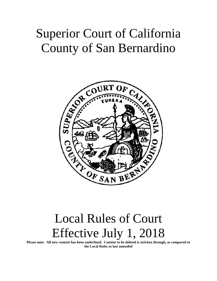# Superior Court of California County of San Bernardino



# Local Rules of Court Effective July 1, 2018

**Please note: All new content has been underlined. Content to be deleted is stricken through, as compared to the Local Rules as last amended**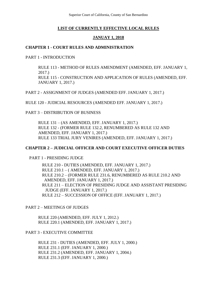Superior Court of California, County of San Bernardino

## **LIST OF CURRENTLY EFFECTIVE LOCAL RULES**

## **JANUAY 1, 2018**

## **CHAPTER 1 - COURT RULES AND ADMINISTRATION**

PART 1 - INTRODUCTION

RULE 113 - METHOD OF RULES AMENDMENT (AMENDED, EFF. JANUARY 1, 2017.) RULE 115 - CONSTRUCTION AND APPLICATION OF RULES (AMENDED, EFF. JANUARY 1, 2017.)

PART 2 - ASSIGNMENT OF JUDGES (AMENDED EFF. JANUARY 1, 2017.)

RULE 120 - JUDICIAL RESOURCES (AMENDED EFF. JANUARY 1, 2017.)

PART 3 – DISTRIBUTION OF BUSINESS

RULE 131 – (AS AMENDED, EFF. JANUARY 1, 2017.) RULE 132 - (FORMER RULE 132.2, RENUMBERED AS RULE 132 AND AMENDED, EFF. JANUARY 1, 2017.) RULE 133 TRIAL JURY VENIRES (AMENDED, EFF. JANUARY 1, 2017.)

#### **CHAPTER 2 – JUDICIAL OFFICER AND COURT EXECUTIVE OFFICER DUTIES**

PART 1 - PRESIDING JUDGE

RULE 210 - DUTIES (AMENDED, EFF. JANUARY 1, 2017.) RULE 210.1 – ( AMENDED, EFF. JANUARY 1, 2017.) RULE 210.2 – (FORMER RULE 231.6, RENUMBERED AS RULE 210.2 AND AMENDED, EFF. JANUARY 1, 2017.) RULE 211 – ELECTION OF PRESIDING JUDGE AND ASSISTANT PRESIDING JUDGE (EFF. JANUARY 1, 2017.) RULE 212 – SUCCESSION OF OFFICE (EFF. JANUARY 1, 2017.)

PART 2 – MEETINGS OF JUDGES

RULE 220 (AMENDED, EFF. JULY 1, 2012.) RULE 220.1 (AMENDED, EFF. JANUARY 1, 2017.)

PART 3 - EXECUTIVE COMMITTEE

RULE 231 - DUTIES (AMENDED, EFF. JULY 1, 2000.) RULE 231.1 (EFF. JANUARY 1, 2000.) RULE 231.2 (AMENDED, EFF. JANUARY 1, 2004.) RULE 231.3 (EFF. JANUARY 1, 2000.)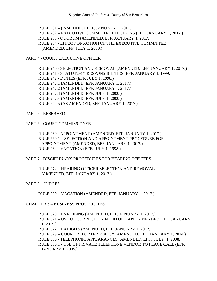RULE 231.4 ( AMENDED, EFF. JANUARY 1, 2017.) RULE 232 – EXECUTIVE COMMITTEE ELECTIONS (EFF. JANUARY 1, 2017.) RULE 233 - QUORUM (AMENDED, EFF. JANUARY 1, 2017.) RULE 234 - EFFECT OF ACTION OF THE EXECUTIVE COMMITTEE (AMENDED, EFF. JULY 1, 2000.)

# PART 4 - COURT EXECUTIVE OFFICER

RULE 240 - SELECTION AND REMOVAL (AMENDED, EFF. JANUARY 1, 2017.) RULE 241 - STATUTORY RESPONSIBILITIES (EFF. JANUARY 1, 1999.) RULE 242 - DUTIES (EFF. JULY 1, 1998.) RULE 242.1 (AMENDED, EFF. JANUARY 1, 2017.) RULE 242.2 (AMENDED, EFF. JANUARY 1, 2017.) RULE 242.3 (AMENDED, EFF. JULY 1, 2000.) RULE 242.4 (AMENDED, EFF. JULY 1, 2000.) RULE 242.5 (AS AMENDED, EFF. JANUARY 1, 2017.)

## PART 5 - RESERVED

#### PART 6 - COURT COMMISSIONER

RULE 260 - APPOINTMENT (AMENDED, EFF. JANUARY 1, 2017.) RULE 260.1 – SELECTION AND APPOINTMENT PROCEDURE FOR APPOINTMENT (AMENDED, EFF. JANUARY 1, 2017.) RULE 262 - VACATION (EFF. JULY 1, 1998.)

# PART 7 - DISCIPLINARY PROCEDURES FOR HEARING OFFICERS

RULE 272 – HEARING OFFICER SELECTION AND REMOVAL (AMENDED, EFF. JANUARY 1, 2017.)

PART 8 – JUDGES

RULE 280 – VACATION (AMENDED, EFF. JANUARY 1, 2017.)

# **CHAPTER 3 – BUSINESS PROCEDURES**

RULE 320 – FAX FILING (AMENDED, EFF. JANUARY 1, 2017.) RULE 321 – USE OF CORRECTION FLUID OR TAPE (AMENDED, EFF. JANUARY 1, 2015.) RULE 322 – EXHIBITS (AMENDED, EFF. JANUARY 1, 2017.) RULE 329 – COURT REPORTER POLICY (AMENDED, EFF. JANUARY 1, 2014.) RULE 330 - TELEPHONIC APPEARANCES (AMENDED, EFF. JULY 1, 2008.) RULE 330.1 - USE OF PRIVATE TELEPHONE VENDOR TO PLACE CALL (EFF.

JANUARY 1, 2005.)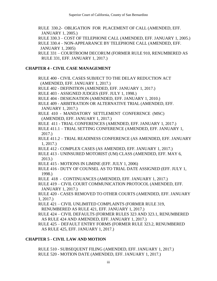RULE 330.2- OBLIGATION FOR PLACEMENT OF CALL (AMENDED, EFF. JANUARY 1, 2005.)

RULE 330.3 – COST OF TELEPHONE CALL (AMENDED, EFF. JANUARY 1, 2005.) RULE 330.4 – NON-APPEARANCE BY TELEPHONE CALL (AMENDED, EFF. JANUARY 1, 2005)

RULE 331 – COURTROOM DECORUM (FORMER RULE 910, RENUMBERED AS RULE 331, EFF. JANUARY 1, 2017.)

# **CHAPTER 4 - CIVIL CASE MANAGEMENT**

RULE 400 - CIVIL CASES SUBJECT TO THE DELAY REDUCTION ACT (AMENDED, EFF. JANUARY 1, 2017.) RULE 402 - DEFINITION (AMENDED, EFF. JANUARY 1, 2017.) RULE 403 - ASSIGNED JUDGES (EFF. JULY 1, 1998.) RULE 404 - DESIGNATION (AMENDED, EFF. JANUARY 1, 2010.) RULE 409 - ARBITRATION OR ALTERNATIVE TRIAL (AMENDED, EFF. JANUARY 1, 2017.) RULE 410 - MANDATORY SETTLEMENT CONFERENCE (MSC) (AMENDED, EFF. JANUARY 1, 2017.) RULE 411 - TRIAL CONFERENCES (AMENDED, EFF. JANUARY 1, 2017.) RULE 411.1 – TRIAL SETTING CONFERENCE (AMENDED, EFF. JANUARY 1, 2017.) RULE 411.2 – TRIAL READINESS CONFERENCE (AS AMENDED, EFF. JANUARY 1, 2017.) RULE 412 - COMPLEX CASES (AS AMENDED, EFF. JANUARY 1, 2017.) RULE 413 - UNINSURED MOTORIST (UM) CLASS (AMENDED, EFF. MAY 6, 2013.) RULE 415 - MOTIONS IN LIMINE (EFF. JULY 1, 2006) RULE 416 - DUTY OF COUNSEL AS TO TRIAL DATE ASSIGNED (EFF. JULY 1, 1998.) RULE 418 - CONTINUANCES (AMENDED, EFF. JANUARY 1, 2017.) RULE 419 – CIVIL COURT COMMUNICATION PROTOCOL (AMENDED, EFF. JANUARY 1, 2017.) RULE 420 - CASES REMOVED TO OTHER COURTS (AMENDED, EFF. JANUARY 1, 2017.) RULE 421 – CIVIL UNLIMITED COMPLAINTS (FORMER RULE 319, RENUMBERED AS RULE 421, EFF. JANUARY 1, 2017.) RULE 424 – CIVIL DEFAULTS (FORMER RULES 323 AND 323.1, RENUMBERED AS RULE 424 AND AMENDED, EFF. JANUARY 1, 2017.) RULE 425 – DEFAULT ENTRY FORMS (FORMER RULE 323.2, RENUMBERED AS RULE 425, EFF. JANUARY 1, 2017.)

# **CHAPTER 5 - CIVIL LAW AND MOTION**

RULE 510 - SUBSEQUENT FILING (AMENDED, EFF. JANUARY 1, 2017.) RULE 520 - MOTION DATE (AMENDED, EFF. JANUARY 1, 2017.)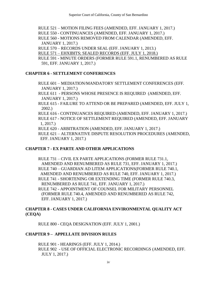RULE 521 – MOTION FILING FEES (AMENDED, EFF. JANUARY 1, 2017.)

RULE 550 - CONTINUANCES (AMENDED, EFF. JANUARY 1, 2017.)

RULE 560 - MOTIONS REMOVED FROM CALENDAR (AMENDED, EFF. JANUARY 1, 2017.)

RULE 570 – RECORDS UNDER SEAL (EFF. JANUARY 1, 2013.)

RULE 571 – EHXIBITS; SEALED RECORDS (EFF. JULY 1, 2018.)

RULE 591 - MINUTE ORDERS (FORMER RULE 591.1, RENUMBERED AS RULE 591, EFF. JANUARY 1, 2017.)

# **CHAPTER 6 - SETTLEMENT CONFERENCES**

RULE 601 – MEDIATION/MANDATORY SETTLEMENT CONFERENCES (EFF. JANUARY 1, 2017.)

RULE 611 - PERSONS WHOSE PRESENCE IS REQUIRED (AMENDED, EFF. JANUARY 1, 2017.)

RULE 615 - FAILURE TO ATTEND OR BE PREPARED (AMENDED, EFF. JULY 1, 2002.)

RULE 616 - CONTINUANCES REQUIRED (AMENDED, EFF. JANUARY 1, 2017.) RULE 617 - NOTICE OF SETTLEMENT REQUIRED (AMENDED, EFF. JANUARY 1, 2017.)

RULE 620 - ARBITRATION (AMENDED, EFF. JANUARY 1, 2017.)

RULE 621 – ALTERNATIVE DISPUTE RESOLUTION PROCEDURES (AMENDED, EFF. JANUARY 1, 2017.)

# **CHAPTER 7 - EX PARTE AND OTHER APPLICATIONS**

RULE 731 – CIVIL EX PARTE APPLICATIONS (FORMER RULE 731.1, AMENDED AND RENUMBERED AS RULE 731, EFF. JANUARY 1, 2017.) RULE 740 – GUARDIAN AD LITEM APPLICATIONS(FORMER RULE 740.1, AMENDED AND RENUMBERED AS RULE 740, EFF. JANUARY 1, 2017.) RULE 741 - SHORTENING OR EXTENDING TIME (FORMER RULE 740.3, RENUMBERED AS RULE 741, EFF. JANUARY 1, 2017.)

RULE 742 - APPOINTMENT OF COUNSEL FOR MILITARY PERSONNEL (FORMER RULE 740.4, AMENDED AND RENUMBERED AS RULE 742, EFF. JANUARY 1, 2017.)

# **CHAPTER 8 - CASES UNDER CALIFORNIA ENVIRONMENTAL QUALITY ACT (CEQA)**

RULE 800 - CEQA DESIGNATION (EFF. JULY 1, 2001.)

# **CHAPTER 9 – APPELLATE DIVISION RULES**

RULE 901 - HEARINGS (EFF. JULY 1, 2014.) RULE 902 - USE OF OFFICIAL ELECTRONIC RECORDINGS (AMENDED, EFF. JULY 1, 2017.)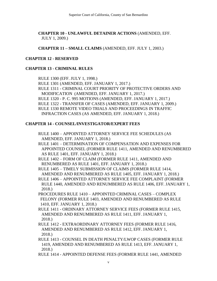**CHAPTER 10 - UNLAWFUL DETAINER ACTIONS** (AMENDED, EFF. JULY 1, 2009.)

**CHAPTER 11 – SMALL CLAIMS** (AMENDED, EFF. JULY 1, 2003.)

# **CHAPTER 12 - RESERVED**

# **CHAPTER 13 - CRIMINAL RULES**

RULE 1300 (EFF. JULY 1, 1998.) RULE 1301 (AMENDED, EFF. JANUARY 1, 2017.) RULE 1311 - CRIMINAL COURT PRIORITY OF PROTECTIVE ORDERS AND MODIFICATION (AMENDED, EFF. JANUARY 1, 2017.) RULE 1320 - P. C. 995 MOTIONS (AMENDED, EFF. JANUARY 1, 2017.) RULE 1322 - TRANSFER OF CASES (AMENDED, EFF. JANUARY 1, 2009.) RULE 1330 REMOTE VIDEO TRIALS AND PROCEEDINGS IN TRAFFIC INFRACTION CASES (AS AMENDED, EFF. JANUARY 1, 2018.)

# **CHAPTER 14 - COUNSEL/INVESTIGATOR/EXPERT FEES**

RULE 1400 – APPOINTED ATTORNEY SERVICE FEE SCHEDULES (AS AMENDED, EFF. JANUARY 1, 2018.)

RULE 1401 – DETERMINATION OF COMPENSATION AND EXPENSES FOR APPOINTED COUNSEL (FORMER RULE 1411, AMENDED AND RENUMBERED AS RULE 1401, EFF. JANUARY 1, 2018.)

RULE 1402 – FORM OF CLAIM (FORMER RULE 1411, AMENDED AND RENUMBERED AS RULE 1401, EFF. JANUARY 1, 2018.)

RULE 1405 – TIMELY SUBMISSION OF CLAIMS (FORMER RULE 1414, AMENDED AND RENUMBERED AS RULE 1405, EFF. JANUARY 1, 2018.)

RULE 1406 – APPOINTED ATTORNEY SERVICE FEE COMPLAINT (FORMER RULE 1440, AMENDED AND RENUMBERED AS RULE 1406, EFF. JANUARY 1, 2018.)

PROCEDURES RULE 1410 – APPOINTED CRIMINAL CASES – COMPLEX FELONY (FORMER RULE 1403, AMENDED AND RENUMBERED AS RULE 1410, EFF. JANUARY 1, 2018.)

RULE 1411 - ORDINARY ATTORNEY SERVICE FEES (FORMER RULE 1415, AMENDED AND RENUMBERED AS RULE 1411, EFF. JANUARY 1, 2018.)

RULE 1412 - EXTRAORDINARY ATTORNEY FEES (FORMER RULE 1416, AMENDED AND RENUMBERED AS RULE 1412, EFF. JANUARY 1, 2018.)

RULE 1413 - COUNSEL IN DEATH PENALTY/LWOP CASES (FORMER RULE 1419, AMENDED AND RENUMBERED AS RULE 1413, EFF. JANUARY 1, 2018.)

RULE 1414 - APPOINTED DEFENSE FEES (FORMER RULE 1441, AMENDED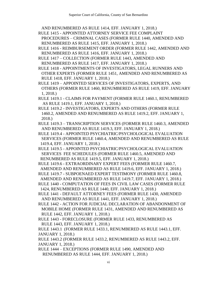AND RENUMBERED AS RULE 1414, EFF. JANUARY 1, 2018.)

- RULE 1415 APPOINTED ATTORNEY SERVICE FEE COMPLAINT PROCEDURES – CRIMINAL CASES (FORMER RULE 1440, AMENDED AND RENUMBERED AS RULE 1415, EFF. JANUARY 1, 2018.)
- RULE 1416 REIMBURSEMENT ORDER (FORMER RULE 1442, AMENDED AND RENUMBERED AS RULE 1416, EFF. JANUARY 1, 2018.)
- RULE 1417 COLLECTION (FORMER RULE 1443, AMENDED AND RENUMBERED AS RULE 1417, EFF. JANUARY 1, 2018.)
- RULE 1418 APPOINTMENTS OF INVESTIGATORS, LEGAL RUNNERS AND OTHER EXPERTS (FORMER RULE 1451, AMENDED AND RENUMBERED AS RULE 1418, EFF. JANUARY 1, 2018.)
- RULE 1419 APPOINTED SERVICES OF INVESTIGATORS, EXPERTS, AND OTHERS (FORMER RULE 1460, RENUMBERED AS RULE 1419, EFF. JANUARY 1, 2018.)
- RULE 1419.1 CLAIMS FOR PAYMENT (FORMER RULE 1460.1, RENUMBERED AS RULE 1419.1, EFF. JANUARY 1, 2018.)
- RULE 1419.2 INVESTIGATORS, EXPERTS AND OTHERS (FORMER RULE 1460.2, AMENDED AND RENUMBERED AS RULE 1419.2, EFF. JANUARY 1, 2018.)
- RULE 1419.3 TRANSCRIPTION SERVICES (FORMER RULE 1460.3, AMENDED AND RENUMBERED AS RULE 1419.3, EFF. JANUARY 1, 2018.)
- RULE 1419.4 APPOINTED PSYCHIATRIC/PSYCHOLOGICAL EVALUATION SERVICES (FORMER RULE 1460.4, AMENDED AND RENUMBERED AS RULE 1419.4, EFF. JANUARY 1, 2018.)
- RULE 1419.5 APPOINTED PSYCHIATRIC/PSYCHOLOGICAL EVALUATION SERVICES FEE SCHEDULES (FORMER RULE 1460.5, AMENDED AND RENUMBERED AS RULE 1419.5, EFF. JANUARY 1, 2018.)
- RULE 1419.6 EXTRAORDINARY EXPERT FEES (FORMER RULE 1460.7, AMENDED AND RENUMBERED AS RULE 1419.6, EFF. JANUARY 1, 2018.)
- RULE 1419.7 SUBPOENAED EXPERT TESTIMONY (FORMER RULE 1460.8,
- AMENDED AND RENUMBERED AS RULE 1419.7, EFF. JANUARY 1, 2018.) RULE 1440 - COMPUTATION OF FEES IN CIVIL LAW CASES (FORMER RULE 1424, RENUMBERED AS RULE 1440, EFF. JANUARY 1, 2018.)
- RULE 1441 DEFAULT ATTORNEY FEES (FORMER RULE 1430, AMENDED AND RENUMBERED AS RULE 1441, EFF. JANUARY 1, 2018.)
- RULE 1442 ACTION FOR JUDICIAL DECLARATION OF ABANDONMENT OF MOBILE HOME (FORMER RULE 1431, AMENDED AND RENUMBERED AS RULE 1442, EFF. JANUARY 1, 2018.)
- RULE 1443 FORECLOSURE (FORMER RULE 1433, RENUMBERED AS RULE 1443, EFF. JANUARY 1, 2018.)
- RULE 1443.1 (FORMER RULE 1433.1, RENUMBERED AS RULE 1443.1, EFF. JANUARY 1, 2018.)
- RULE 1443.2 (FORMER RULE 1433.2, RENUMBERED AS RULE 1443.2, EFF. JANUARY 1, 2018.)
- RULE 1444 EXCEPTIONS (FORMER RULE 1490, AMENDED AND RENUMBERED AS RULE 1444, EFF. JANUARY 1, 2018.)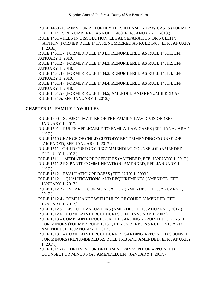RULE 1460 - CLAIMS FOR ATTORNEY FEES IN FAMILY LAW CASES (FORMER RULE 1417, RENUMBERED AS RULE 1460, EFF. JANUARY 1, 2018.)

RULE 1461 – FEES IN DISSOLUTION, LEGAL SEPARATION OR NULLITY ACTION (FORMER RULE 1417, RENUMBERED AS RULE 1460, EFF. JANUARY 1, 2018.)

RULE 1461.1 - (FORMER RULE 1434.1, RENUMBERED AS RULE 1461.1, EFF. JANUARY 1, 2018.)

RULE 1461.2 - (FORMER RULE 1434.2, RENUMBERED AS RULE 1461.2, EFF. JANUARY 1, 2018.)

RULE 1461.3 - (FORMER RULE 1434.3, RENUMBERED AS RULE 1461.3, EFF. JANUARY 1, 2018.)

RULE 1461.4 - (FORMER RULE 1434.4, RENUMBERED AS RULE 1461.4, EFF. JANUARY 1, 2018.)

RULE 1461.5 - (FORMER RULE 1434.5, AMENDED AND RENUMBERED AS RULE 1461.5, EFF. JANUARY 1, 2018.)

# **CHAPTER 15 - FAMILY LAW RULES**

RULE 1500 – SUBJECT MATTER OF THE FAMILY LAW DIVISION (EFF. JANUARY 1, 2017.)

RULE 1501 – RULES APPLICABLE TO FAMILY LAW CASES (EFF. JANAUARY 1, 2017.)

RULE 1510 CHANGE OF CHILD CUSTODY RECOMMENDING COUNSELOR (AMENDED, EFF. JANUARY 1, 2017.)

RULE 1511 - CHILD CUSTODY RECOMMENDING COUNSELOR (AMENDED EFF. JULY 1, 2012.)

RULE 1511.1- MEDIATION PROCEDURES (AMENDED, EFF. JANUARY 1, 2017.)

RULE 1511.2 EX PARTE COMMUNICATION (AMENDED, EFF. JANUARY 1, 2017.)

RULE 1512 – EVALUATION PROCESS (EFF. JULY 1, 2003.)

RULE 1512.1 - QUALIFICATIONS AND REQUIREMENTS (AMENDED, EFF. JANUARY 1, 2017.)

RULE 1512.2 - EX PARTE COMMUNICATION (AMENDED, EFF. JANUARY 1, 2017.)

RULE 1512.4 - COMPLIANCE WITH RULES OF COURT (AMENDED, EFF. JANUARY 1, 2017.)

RULE 1512.5 – LIST OF EVALUATORS (AMENDED, EFF. JANUARY 1, 2017.)

RULE 1512.6 – COMPLAINT PROCEDURES (EFF. JANUARY 1, 2007.)

RULE 1513 – COMPLAINT PROCEDURE REGARDING APPOINTED COUNSEL FOR MINORS (FORMER RULE 1513.1, RENUMBERED AS RULE 1513 AND AMENDED, EFF. JANUARY 1, 2017.)

RULE 1513.1 – COMPLAINT PROCEDURE REGARDING APPOINTED COUNSEL FOR MINORS (RENUMBERED AS RULE 1513 AND AMENDED, EFF. JANUARY 1, 2017.)

RULE 1514 - GUIDELINES FOR DETERMINE PAYMENT OF APPOINTED COUNSEL FOR MINORS (AS AMENDED, EFF. JANUARY 1, 2017.)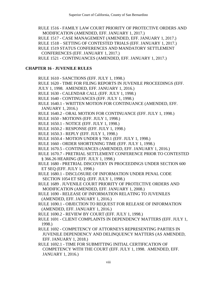RULE 1516 - FAMILY LAW COURT PRIORITY OF PROTECTIVE ORDERS AND MODIFICATION (AMENDED, EFF. JANUARY 1, 2017.)

RULE 1517 - CASE MANAGEMENT (AMENDED, EFF. JANUARY 1, 2017.)

RULE 1518 – SETTING OF CONTESTED TRIALS (EFF. JANUARY 1, 2017.)

RULE 1519 STATUS CONFERENCES AND MANDATORY SETTLEMENT CONFERENCES (EFF. JANUARY 1, 2017.)

RULE 1521 - CONTINUANCES (AMENDED, EFF. JANUARY 1, 2017.)

# **CHAPTER 16 - JUVENILE RULES**

RULE 1610 - SANCTIONS (EFF. JULY 1, 1998.)

RULE 1620 - TIME FOR FILING REPORTS IN JUVENILE PROCEEDINGS (EFF.

JULY 1, 1998. AMENDED, EFF. JANUARY 1, 2016.)

RULE 1630 - CALENDAR CALL (EFF. JULY 1, 1998.)

RULE 1640 - CONTINUANCES (EFF. JULY 1, 1998.)

RULE 1640.1 - WRITTEN MOTION FOR CONTINUANCE (AMENDED, EFF. JANUARY 1, 2016.)

RULE 1640.2 - ORAL MOTION FOR CONTINUANCE (EFF. JULY 1, 1998.)

RULE 1650 - MOTIONS (EFF. JULY 1, 1998.)

RULE 1650.1 - NOTICE (EFF. JULY 1, 1998.)

RULE 1650.2 - RESPONSE (EFF. JULY 1, 1998.)

RULE 1650.3 - REPLY (EFF. JULY 1, 1998.)

RULE 1650.4 - MOTION UNDER § 700.1 (EFF. JULY 1, 1998.)

RULE 1660 - ORDER SHORTENING TIME (EFF. JULY 1, 1998.)

RULE 1670.5 - CONTINUANCES (AMENDED, EFF. JANUARY 1, 2016.)

RULE 1670.7 - PRETRIAL SETTLEMENT CONFERENCE PRIOR TO CONTESTED § 366.26 HEARING (EFF. JULY 1, 1998.)

RULE 1680 - PRETRIAL DISCOVERY IN PROCEEDINGS UNDER SECTION 600 ET SEQ (EFF. JULY 1, 1998.)

RULE 1680.1 - DISCLOSURE OF INFORMATION UNDER PENAL CODE SECTION 1054 ET SEQ. (EFF. JULY 1, 1998.)

RULE 1689 . JUVENILE COURT PRIORITY OF PROTECTIVE ORDERS AND MODIFICATION (AMENDED, EFF. JANUARY 1, 2008.)

RULE 1690 - RELEASE OF INFORMATION RELATING TO JUVENILES (AMENDED, EFF. JANUARY 1, 2016.)

RULE 1690.1 - OBJECTION TO REQUEST FOR RELEASE OF INFORMATION (AMENDED, EFF. JANUARY 1, 2016.)

RULE 1690.2 - REVIEW BY COURT (EFF. JULY 1, 1998.)

RULE 1691 - CLIENT COMPLAINTS IN DEPENDENCY MATTERS (EFF. JULY 1, 1998.)

RULE 1692 - COMPETENCY OF ATTORNEYS REPRESENTING PARTIES IN JUVENILE DEPENDENCY AND DELINQUENCY MATTERS (AS AMENDED, EFF. JANUARY 1, 2018.)

RULE 1692.1 - TIME FOR SUBMITTING INITIAL CERTIFICATION OF COMPETENCY WITH THE COURT (EFF. JULY 1, 1998. AMENDED, EFF. JANUARY 1, 2016.)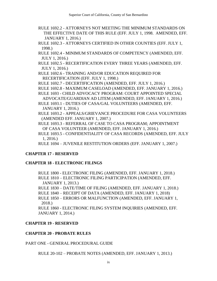- RULE 1692.2 ATTORNEYS NOT MEETING THE MINIMUM STANDARDS ON THE EFFECTIVE DATE OF THIS RULE (EFF. JULY 1, 1998. AMENDED, EFF. JANUARY 1, 2016.)
- RULE 1692.3 ATTORNEYS CERTIFIED IN OTHER COUNTIES (EFF. JULY 1, 1998.)
- RULE 1692.4 MINIMUM STANDARDS OF COMPETENCY (AMENDED, EFF. JULY 1, 2016.)
- RULE 1692.5 RECERTIFICATION EVERY THREE YEARS (AMENDED, EFF. JULY 1, 2016.)
- RULE 1692.6 TRAINING AND/OR EDUCATION REQUIRED FOR RECERTIFICATION (EFF. JULY 1, 1998.)
- RULE 1692.7 DECERTIFICATION (AMENDED, EFF. JULY 1, 2016.)
- RULE 1692.8 MAXIMUM CASELOAD (AMENDED, EFF. JANUARY 1, 2016.)
- RULE 1693 CHILD ADVOCACY PROGRAM: COURT APPOINTED SPECIAL ADVOCATE/GUARDIAN AD LITEM (AMENDED, EFF. JANUARY 1, 2016.)

RULE 1693.1 - DUTIES OF CASA/GAL VOLUNTEERS (AMENDED, EFF. JANUARY 1, 2016.)

RULE 1693.2 - APPEALS/GRIEVANCE PROCEDURE FOR CASA VOLUNTEERS (AMENDED EFF. JANUARY 1, 2007.)

RULE 1693.3 - REFERRAL OF CASE TO CASA PROGRAM; APPOINTMENT OF CASA VOLUNTEER (AMENDED, EFF. JANUARY 1, 2016.)

RULE 1693.5 - CONFIDENTIALITY OF CASA RECORDS (AMENDED, EFF. JULY 1, 2016.)

RULE 1694 – JUVENILE RESTITUTION ORDERS (EFF. JANUARY 1, 2007.)

# **CHAPTER 17 - RESERVED**

# **CHAPTER 18 - ELECTRONIC FILINGS**

RULE 1800 - ELECTRONIC FILING (AMENDED, EFF. JANUARY 1, 2018.) RULE 1810 – ELECTRONIC FILING PARTICIPATION (AMENDED, EFF. JANUARY 1, 2013.)

RULE 1830 – DATE/TIME OF FILING (AMENDED, EFF. JANUARY 1, 2018.)

RULE 1840 – RECEIPT OF DATA (AMENDED, EFF. JANUARY 1, 2018)

RULE 1850 – ERRORS OR MALFUNCTION (AMENDED, EFF. JANUARY 1, 2018.)

RULE 1860 - ELECTRONIC FILING SYSTEM INQUIRIES (AMENDED, EFF. JANUARY 1, 2014.)

# **CHAPTER 19 - RESERVED**

# **CHAPTER 20 - PROBATE RULES**

PART ONE - GENERAL PROCEDURAL GUIDE

RULE 20-102 – PROBATE NOTES (AMENDED, EFF. JANUARY 1, 2013.)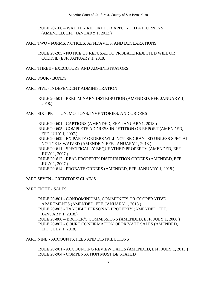RULE 20-106 – WRITTEN REPORT FOR APPOINTED ATTORNEYS (AMENDED, EFF. JANUARY 1, 2013.)

PART TWO - FORMS, NOTICES, AFFIDAVITS, AND DECLARATIONS

RULE 20-205 - NOTICE OF REFUSAL TO PROBATE REJECTED WILL OR CODICIL (EFF. JANUARY 1, 2018.)

PART THREE - EXECUTORS AND ADMINISTRATORS

PART FOUR - BONDS

#### PART FIVE - INDEPENDENT ADMINISTRATION

RULE 20-501 - PRELIMINARY DISTRIBUTION (AMENDED, EFF. JANUARY 1, 2018.)

PART SIX - PETITION, MOTIONS, INVENTORIES, AND ORDERS

RULE 20-601 - CAPTIONS (AMENDED, EFF. JANUARY1, 2018.)

RULE 20-605 - COMPLETE ADDRESS IN PETITION OR REPORT (AMENDED, EFF. JULY 1, 2007.)

RULE 20-609 - EX PARTE ORDERS WILL NOT BE GRANTED UNLESS SPECIAL NOTICE IS WAIVED (AMENDED, EFF. JANUARY 1, 2018.)

RULE 20-611 - SPECIFICALLY BEQUEATHED PROPERTY (AMENDED, EFF. JULY 1, 2007.)

RULE 20-612 - REAL PROPERTY DISTRIBUTION ORDERS (AMENDED, EFF. JULY 1, 2007.)

RULE 20-614 - PROBATE ORDERS (AMENDED, EFF. JANUARY 1, 2018.)

PART SEVEN - CREDITORS' CLAIMS

PART EIGHT - SALES

RULE 20-801 - CONDOMINIUMS, COMMUNITY OR COOPERATIVE APARTMENTS (AMENDED, EFF. JANUARY 1, 2018.) RULE 20-803 - TANGIBLE PERSONAL PROPERTY (AMENDED, EFF. JANUARY 1, 2018.) RULE 20-806 – BROKER'S COMMISSIONS (AMENDED, EFF. JULY 1, 2008.) RULE 20-807 - COURT CONFIRMATION OF PRIVATE SALES (AMENDED, EFF. JULY 1, 2018.)

PART NINE - ACCOUNTS, FEES AND DISTRIBUTIONS

RULE 20-901 - ACCOUNTING REVIEW DATES (AMENDED, EFF. JULY 1, 2013.) RULE 20-904 - COMPENSATION MUST BE STATED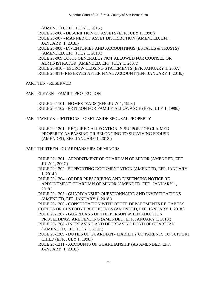(AMENDED, EFF. JULY 1, 2016.)

RULE 20-906 - DESCRIPTION OF ASSETS (EFF. JULY 1, 1998.)

RULE 20-907 - MANNER OF ASSET DISTRIBUTION (AMENDED, EFF. JANUARY 1, 2018.)

RULE 20-908 - INVENTORIES AND ACCOUNTINGS (ESTATES & TRUSTS) (AMENDED, EFF. JULY 1, 2018.)

RULE 20-909 COSTS GENERALLY NOT ALLOWED FOR COUNSEL OR ADMINISTRATOR (AMENDED, EFF. JULY 1, 2007.)

RULE 20-910 – ESCROW CLOSING STATEMENTS (EFF. JANUARY 1, 2007.) RULE 20-911- RESERVES AFTER FINAL ACCOUNT (EFF. JANUARY 1, 2018.)

PART TEN - RESERVED

PART ELEVEN - FAMILY PROTECTION

RULE 20-1101 - HOMESTEADS (EFF. JULY 1, 1998.) RULE 20-1102 - PETITION FOR FAMILY ALLOWANCE (EFF. JULY 1, 1998.)

PART TWELVE - PETITIONS TO SET ASIDE SPOUSAL PROPERTY

RULE 20-1201 - REQUIRED ALLEGATION IN SUPPORT OF CLAIMED PROPERTY AS PASSING OR BELONGING TO SURVIVING SPOUSE (AMENDED, EFF. JANUARY 1, 2018.)

PART THIRTEEN - GUARDIANSHIPS OF MINORS

- RULE 20-1301 APPOINTMENT OF GUARDIAN OF MINOR (AMENDED, EFF. JULY 1, 2007.)
- RULE 20-1302 SUPPORTING DOCUMENTATION (AMENDED, EFF. JANUARY 1, 2014.)

RULE 20-1304 - ORDER PRESCRIBING AND DISPENSING NOTICE RE APPOINTMENT GUARDIAN OF MINOR (AMENDED, EFF. JANUARY 1, 2018.)

RULE 20-1305 - GUARDIANSHIP QUESTIONNAIRE AND INVESTIGATIONS (AMENDED, EFF. JANUARY 1, 2018.)

RULE 20-1306 - CONSULTATION WITH OTHER DEPARTMENTS RE HABEAS CORPUS OR CUSTODY PROCEEDINGS (AMENDED, EFF. JANUARY 1, 2018.)

RULE 20-1307 - GUARDIANS OF THE PERSON WHEN ADOPTION PROCEEDINGS ARE PENDING (AMENDED, EFF. JANUARY 1, 2018.)

RULE 20-1308 - INCREASING AND DECREASING BOND OF GUARDIAN ( AMENDED, EFF. JULY 1, 2007.)

RULE 20-1309 - DUTIES OF GUARDIAN - LIABILITY OF PARENTS TO SUPPORT CHILD (EFF. JULY 1, 1998.)

RULE 20-1311 - ACCOUNTS OF GUARDIANSHIP (AS AMENDED, EFF. JANUARY 1, 2018.)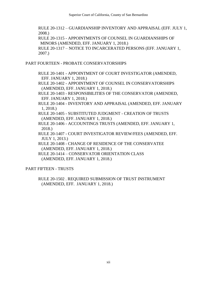RULE 20-1312 – GUARDIANSHIP INVENTORY AND APPRAISAL (EFF. JULY 1, 2008.) RULE 20-1315 - APPOINTMENTS OF COUNSEL IN GUARDIANSHIPS OF MINORS (AMENDED, EFF. JANUARY 1, 2018.) RULE 20-1317 – NOTICE TO INCARCERATED PERSONS (EFF. JANUARY 1, 2007.)

PART FOURTEEN - PROBATE CONSERVATORSHIPS

- RULE 20-1401 APPOINTMENT OF COURT INVESTIGATOR (AMENDED, EFF. JANUARY 1, 2018.)
- RULE 20-1402 APPOINTMENT OF COUNSEL IN CONSERVATORSHIPS (AMENDED, EFF. JANUARY 1, 2018.)
- RULE 20-1403 RESPONSIBILITIES OF THE CONSERVATOR (AMENDED, EFF. JANUARY 1, 2018.)
- RULE 20-1404 INVENTORY AND APPRAISAL (AMENDED, EFF. JANUARY 1, 2018.)
- RULE 20-1405 SUBSTITUTED JUDGMENT CREATION OF TRUSTS (AMENDED, EFF. JANUARY 1, 2018.)
- RULE 20-1406 ACCOUNTINGS TRUSTS (AMENDED, EFF. JANUARY 1, 2018.)
- RULE 20-1407 COURT INVESTIGATOR REVIEW/FEES (AMENDED, EFF. JULY 1, 2013.)
- RULE 20-1408 CHANGE OF RESIDENCE OF THE CONSERVATEE (AMENDED, EFF. JANUARY 1, 2018.)
- RULE 20-1414 CONSERVATOR ORIENTATION CLASS (AMENDED, EFF. JANUARY 1, 2018.)

PART FIFTEEN - TRUSTS

RULE 20-1502 . REQUIRED SUBMISSION OF TRUST INSTRUMENT (AMENDED, EFF. JANUARY 1, 2018.)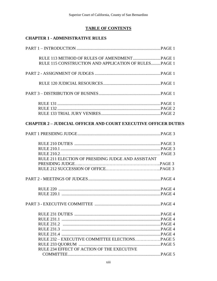# **TABLE OF CONTENTS**

# **CHAPTER 1 - ADMINISTRATIVE RULES**

| RULE 115 CONSTRUCTION AND APPLICATION OF RULES PAGE 1                  |  |
|------------------------------------------------------------------------|--|
|                                                                        |  |
|                                                                        |  |
|                                                                        |  |
|                                                                        |  |
|                                                                        |  |
|                                                                        |  |
| <b>CHAPTER 2 - JUDICIAL OFFICER AND COURT EXECUTIVE OFFICER DUTIES</b> |  |
|                                                                        |  |
|                                                                        |  |
|                                                                        |  |
|                                                                        |  |
| RULE 211 ELECTION OF PRESIDING JUDGE AND ASSISTANT                     |  |
|                                                                        |  |
|                                                                        |  |
|                                                                        |  |
|                                                                        |  |
|                                                                        |  |
|                                                                        |  |
|                                                                        |  |
|                                                                        |  |
|                                                                        |  |
|                                                                        |  |
|                                                                        |  |
|                                                                        |  |
|                                                                        |  |
| RULE 234 EFFECT OF ACTION OF THE EXECUTIVE                             |  |
|                                                                        |  |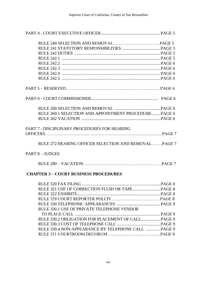| RULE 260.1 SELECTION AND APPOINTMENT PROCEDUREPAGE 6 |  |
|------------------------------------------------------|--|
|                                                      |  |
| PART 7 - DISCIPLINARY PROCEDURES FOR HEARING         |  |
|                                                      |  |
| RULE 272 HEARING OFFICER SELECTION AND REMOVALPAGE 7 |  |
| PART 8 - JUDGES                                      |  |
|                                                      |  |

# **CHAPTER 3 – COURT BUSINESS PROCEDURES**

| RULE 330.1 USE OF PRIVATE TELEPHONE VENDOR |  |
|--------------------------------------------|--|
|                                            |  |
|                                            |  |
|                                            |  |
|                                            |  |
|                                            |  |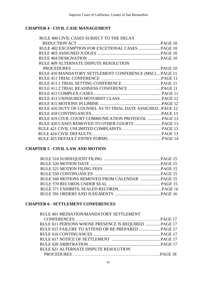# **CHAPTER 4 - CIVIL CASE MANAGEMENT**

| RULE 400 CIVIL CASES SUBJECT TO THE DELAY                 |  |
|-----------------------------------------------------------|--|
|                                                           |  |
|                                                           |  |
|                                                           |  |
|                                                           |  |
| RULE 409 ALTERNATE DISPUTE RESOLUTION                     |  |
|                                                           |  |
| RULE 410 MANDATORY SETTLEMENT CONFERENCE (MSC)PAGE 11     |  |
|                                                           |  |
|                                                           |  |
|                                                           |  |
|                                                           |  |
|                                                           |  |
|                                                           |  |
| RULE 416 DUTY OF COUNSEL AS TO TRIAL DATE ASSIGNEDPAGE 12 |  |
|                                                           |  |
| RULE 419 CIVIL COURT COMMUNICATION PROTOCOL PAGE 13       |  |
|                                                           |  |
|                                                           |  |
|                                                           |  |
|                                                           |  |
|                                                           |  |

# **CHAPTER 5 - CIVIL LAW AND MOTION**

# **CHAPTER 6 - SETTLEMENT CONFERENCES**

| RULE 601 MEDIATION/MANDATORY SETTLEMENT              |  |
|------------------------------------------------------|--|
|                                                      |  |
| RULE 611 PERSONS WHOSE PRESENCE IS REQUIRED  PAGE 17 |  |
|                                                      |  |
|                                                      |  |
|                                                      |  |
|                                                      |  |
| RULE 621 ALTERNATE DISPUTE RESOLUTION                |  |
|                                                      |  |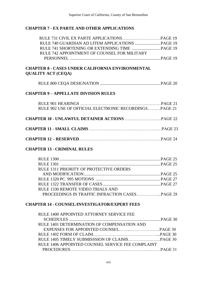# **CHAPTER 7 - EX PARTE AND OTHER APPLICATIONS**

| RULE 742 APPOINTMENT OF COUNSEL FOR MILITARY |  |
|----------------------------------------------|--|
|                                              |  |

# **CHAPTER 8 - CASES UNDER CALIFORNIA ENVIRONMENTAL QUALITY ACT (CEQA)**

# **CHAPTER 9 – APPELLATE DIVISION RULES**

| RULE 902 USE OF OFFICIAL ELECTRONIC RECORDINGS PAGE 21 |  |
|--------------------------------------------------------|--|
|                                                        |  |

- **CHAPTER 11 - SMALL CLAIMS** ……………………………………………PAGE 23
- **CHAPTER 12 – RESERVED**………………………………………………….PAGE 24

# **CHAPTER 13 - CRIMINAL RULES**

| <b>RULE 1311 PRIORITY OF PROTECTIVE ORDERS</b> |  |
|------------------------------------------------|--|
|                                                |  |
|                                                |  |
|                                                |  |
| <b>RULE 1330 REMOTE VIDEO TRIALS AND</b>       |  |
|                                                |  |

# **CHAPTER 14 - COUNSEL/INVESTIGATOR/EXPERT FEES**

| RULE 1400 APPOINTED ATTORNEY SERVICE FEE          |  |
|---------------------------------------------------|--|
|                                                   |  |
| RULE 1401 DETERMINATION OF COMPENSATION AND       |  |
|                                                   |  |
|                                                   |  |
|                                                   |  |
| RULE 1406 APPOINTED COUNSEL SERVICE FEE COMPLAINT |  |
|                                                   |  |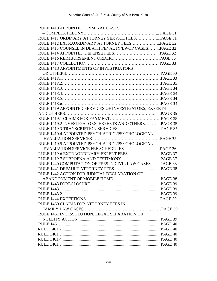# RULE 1410 APPOINTED CRIMINAL CASES

| RULE 1411 ORDINARY ATTORNEY SERVICE FEESPAGE 31         |  |
|---------------------------------------------------------|--|
|                                                         |  |
| RULE 1413 COUNSEL IN DEATH PENALTY/LWOP CASESPAGE 32    |  |
|                                                         |  |
|                                                         |  |
|                                                         |  |
| RULE 1418 APPOINTMENTS OF INVESTIGATORS                 |  |
|                                                         |  |
|                                                         |  |
|                                                         |  |
|                                                         |  |
|                                                         |  |
|                                                         |  |
|                                                         |  |
| RULE 1419 APPOINTED SERVICES OF INVESTIGATORS, EXPERTS  |  |
|                                                         |  |
|                                                         |  |
| RULE 1419.2 INVESTIGATORS, EXPERTS AND OTHERSPAGE 35    |  |
| RULE 1419.3 TRANSCRIPTION SERVICES PAGE 35              |  |
| RULE 1419.4 APPOINTED PSYCHIATRIC /PSYCHOLOGICAL        |  |
|                                                         |  |
| RULE 1419.5 APPOINTED PSYCHIATRIC /PSYCHOLOGICAL        |  |
|                                                         |  |
| RULE 1419.6 EXTRAORDINARY EXPERT FEES PAGE 37           |  |
|                                                         |  |
| RULE 1440 COMPUTATION OF FEES IN CIVIL LAW CASESPAGE 38 |  |
|                                                         |  |
| RULE 1442 ACTION FOR JUDICIAL DECLARATION OF            |  |
|                                                         |  |
|                                                         |  |
|                                                         |  |
|                                                         |  |
|                                                         |  |
| RULE 1460 CLAIMS FOR ATTORNEY FEES IN                   |  |
|                                                         |  |
| RULE 1461 IN DISSOLUTION, LEGAL SEPARATION OR           |  |
|                                                         |  |
|                                                         |  |
|                                                         |  |
|                                                         |  |
|                                                         |  |
|                                                         |  |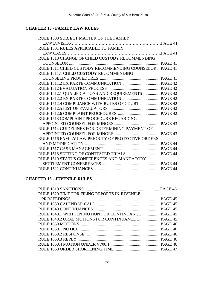# **CHAPTER 15 - FAMILY LAW RULES**

| RULE 1500 SUBJECT MATTER OF THE FAMILY                    |  |
|-----------------------------------------------------------|--|
|                                                           |  |
| RULE 1501 RULES APPLICABLE TO FAMILY                      |  |
|                                                           |  |
| RULE 1510 CHANGE OF CHILD CUSTODY RECOMMENDING            |  |
|                                                           |  |
| RULE 1511 CHILD CUSTODY RECOMMENDING COUNSELOR  PAGE 41   |  |
| RULE 1511.1 CHILD CUSTODY RECOMMENDING                    |  |
|                                                           |  |
|                                                           |  |
|                                                           |  |
| RULE 1512.1 QUALIFICATIONS AND REQUIREMENTS  PAGE 42      |  |
|                                                           |  |
|                                                           |  |
|                                                           |  |
|                                                           |  |
| RULE 1513 COMPLAINT PROCEDURE REGARDING                   |  |
|                                                           |  |
| RULE 1514 GUIDELINES FOR DETERMINING PAYMENT OF           |  |
|                                                           |  |
| <b>RULE 1516 FAMILY LAW PRIORITY OF PROTECTIVE ORDERS</b> |  |
|                                                           |  |
|                                                           |  |
|                                                           |  |
| RULE 1519 STATUS CONFERENCES AND MANDATORY                |  |
|                                                           |  |
|                                                           |  |

# **CHAPTER 16 - JUVENILE RULES**

| RULE 1620 TIME FOR FILING REPORTS IN JUVENILE       |  |
|-----------------------------------------------------|--|
|                                                     |  |
|                                                     |  |
|                                                     |  |
| RULE 1640.1 WRITTEN MOTION FOR CONTINUANCE  PAGE 45 |  |
|                                                     |  |
|                                                     |  |
|                                                     |  |
|                                                     |  |
|                                                     |  |
|                                                     |  |
|                                                     |  |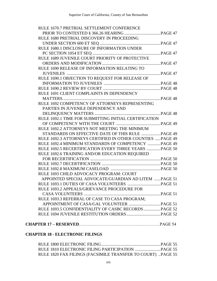| RULE 1670.7 PRETRIAL SETTLEMENT CONFERENCE                |  |
|-----------------------------------------------------------|--|
|                                                           |  |
| RULE 1680 PRETRIAL DISCOVERY IN PROCEEDING                |  |
|                                                           |  |
| RULE 1680.1 DISCLOSURE OF INFORMATION UNDER               |  |
|                                                           |  |
| RULE 1689 JUVENILE COURT PRIORITY OF PROTECTIVE           |  |
|                                                           |  |
| RULE 1690 RELEASE OF INFORMATION RELATING TO              |  |
|                                                           |  |
| RULE 1690.1 OBJECTION TO REQUEST FOR RELEASE OF           |  |
|                                                           |  |
|                                                           |  |
| RULE 1691 CLIENT COMPLAINTS IN DEPENDENCY                 |  |
|                                                           |  |
| RULE 1692 COMPETENCY OF ATTORNEYS REPRESENTING            |  |
| PARTIES IN JUVENILE DEPENDENCY AND                        |  |
|                                                           |  |
| RULE 1692.1 TIME FOR SUBMITTING INITIAL CERTIFICATION     |  |
|                                                           |  |
| RULE 1692.2 ATTORNEYS NOT MEETING THE MINIMUM             |  |
| STANDARDS ON EFFECTIVE DATE OF THIS RULE  PAGE 49         |  |
| RULE 1692.3 ATTORNEYS CERTIFIED IN OTHER COUNTIES PAGE 49 |  |
| RULE 1692.4 MINIMUM STANDARDS OF COMPETENCY PAGE 49       |  |
| RULE 1692.5 RECERTIFICATION EVERY THREE YEARS PAGE 50     |  |
| RULE 1692.6 TRAINING AND/OR EDUCATION REQUIRED            |  |
|                                                           |  |
|                                                           |  |
|                                                           |  |
| RULE 1693 CHILD ADVOCACY PROGRAM: COURT                   |  |
| APPOINTED SPECIAL ADVOCATE/GUARDIAN AD LITEM PAGE 51      |  |
|                                                           |  |
| RULE 1693.2 APPEALS/GRIEVANCE PROCEDURE FOR               |  |
|                                                           |  |
| RULE 1693.3 REFERRAL OF CASE TO CASA PROGRAM;             |  |
|                                                           |  |
| RULE 1693.5 CONFIDENTIALITY OF CASBC RECORDS  PAGE 52     |  |
|                                                           |  |
|                                                           |  |
| <b>DEED 15</b> DECEDVED                                   |  |

# **CHAPTER 18 - ELECTRONIC FILINGS**

| RULE 1820 FAX FILINGS (FACSIMILE TRANSFER TO COURT) PAGE 55 |  |
|-------------------------------------------------------------|--|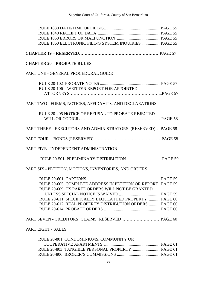| RULE 1860 ELECTRONIC FILING SYSTEM INQUIRIES  PAGE 55       |  |
|-------------------------------------------------------------|--|
|                                                             |  |
|                                                             |  |
| <b>CHAPTER 20 - PROBATE RULES</b>                           |  |
| PART ONE - GENERAL PROCEDURAL GUIDE                         |  |
|                                                             |  |
| RULE 20-106 - WRITTEN REPORT FOR APPOINTED                  |  |
|                                                             |  |
| PART TWO - FORMS, NOTICES, AFFIDAVITS, AND DECLARATIONS     |  |
| RULE 20-205 NOTICE OF REFUSAL TO PROBATE REJECTED           |  |
|                                                             |  |
|                                                             |  |
| PART THREE - EXECUTORS AND ADMINISTRATORS (RESERVED)PAGE 58 |  |
|                                                             |  |
|                                                             |  |
| PART FIVE - INDEPENDENT ADMINISTRATION                      |  |
|                                                             |  |
| PART SIX - PETITION, MOTIONS, INVENTORIES, AND ORDERS       |  |
|                                                             |  |
| RULE 20-605 COMPLETE ADDRESS IN PETITION OR REPORT PAGE 59  |  |
| RULE 20-609 EX PARTE ORDERS WILL NOT BE GRANTED             |  |
|                                                             |  |
| RULE 20-611 SPECIFICALLY BEQUEATHED PROPERTY  PAGE 60       |  |
| RULE 20-612 REAL PROPERTY DISTRIBUTION ORDERS  PAGE 60      |  |
|                                                             |  |
|                                                             |  |
|                                                             |  |
| <b>PART EIGHT - SALES</b>                                   |  |
| RULE 20-801 CONDOMINIUMS, COMMUNITY OR                      |  |
|                                                             |  |
|                                                             |  |
|                                                             |  |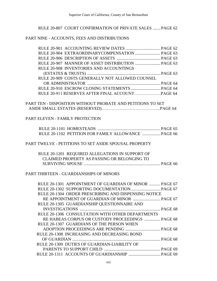## RULE 20-807 COURT CONFIRMATION OF PRIVATE SALES .......PAGE 62

#### PART NINE - ACCOUNTS, FEES AND DISTRIBUTIONS

| <b>RULE 20-908 INVENTORIES AND ACCOUNTINGS</b>  |  |
|-------------------------------------------------|--|
|                                                 |  |
| RULE 20-909 COSTS GENERALLY NOT ALLOWED COUNSEL |  |
|                                                 |  |
|                                                 |  |
|                                                 |  |
|                                                 |  |

PART TEN - DISPOSITION WITHOUT PROBATE AND PETITIONS TO SET ASIDE SMALL ESTATES (RESERVED)…………………………………...PAGE 64

#### PART ELEVEN - FAMILY PROTECTION

|  |  | RULE 20-1102 PETITION FOR FAMILY ALLOWANCE  PAGE 66 |
|--|--|-----------------------------------------------------|

#### PART TWELVE - PETITIONS TO SET ASIDE SPOUSAL PROPERTY

| RULE 20-1201 REQUIRED ALLEGATIONS IN SUPPORT OF |  |
|-------------------------------------------------|--|
| CLAIMED PROPERTY AS PASSING OR BELONGING TO     |  |
|                                                 |  |

## PART THIRTEEN - GUARDIANSHIPS OF MINORS

| RULE 20-1301 APPOINTMENT OF GUARDIAN OF MINOR  PAGE 67 |  |
|--------------------------------------------------------|--|
|                                                        |  |
| RULE 20-1304 ORDER PRESCRIBING AND DISPENSING NOTICE   |  |
|                                                        |  |
| RULE 20-1305 GUARDIANSHIP QUESTIONNAIRE AND            |  |
|                                                        |  |
| RULE 20-1306 CONSULTATION WITH OTHER DEPARTMENTS       |  |
| RE HABEAS CORPUS OR CUSTODY PROCEEDINGS  PAGE 68       |  |
| RULE 20-1307 GUARDIANS OF THE PERSON WHEN              |  |
|                                                        |  |
| RULE 20-1308 INCREASING AND DECREASING BOND            |  |
|                                                        |  |
| RULE 20-1309 DUTIES OF GUARDIAN-LIABILITY OF           |  |
|                                                        |  |
|                                                        |  |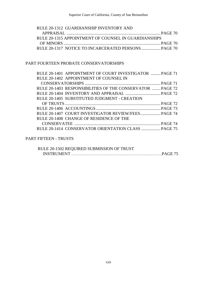| RULE 20-1312 GUARDIANSHIP INVENTORY AND              |  |
|------------------------------------------------------|--|
|                                                      |  |
| RULE 20-1315 APPOINTMENT OF COUNSEL IN GUARDIANSHIPS |  |
|                                                      |  |
|                                                      |  |

# PART FOURTEEN PROBATE CONSERVATORSHIPS

| RULE 20-1401 APPOINTMENT OF COURT INVESTIGATOR  PAGE 71   |
|-----------------------------------------------------------|
|                                                           |
|                                                           |
| RULE 20-1403 RESPONSIBILITIES OF THE CONSERVATOR  PAGE 72 |
|                                                           |
|                                                           |
|                                                           |
|                                                           |
| RULE 20-1407 COURT INVESTIGATOR REVIEW/FEES PAGE 74       |
|                                                           |
|                                                           |
| RULE 20-1414 CONSERVATOR ORIENTATION CLASS  PAGE 75       |
|                                                           |

# PART FIFTEEN - TRUSTS

| RULE 20-1502 REQUIRED SUBMISSION OF TRUST |  |
|-------------------------------------------|--|
|                                           |  |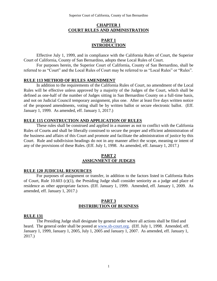## **CHAPTER 1 COURT RULES AND ADMINISTRATION**

#### **PART 1 INTRODUCTION**

Effective July 1, 1999, and in compliance with the California Rules of Court, the Superior Court of California, County of San Bernardino, adopts these Local Rules of Court.

For purposes herein, the Superior Court of California, County of San Bernardino, shall be referred to as "Court" and the Local Rules of Court may be referred to as "Local Rules" or "Rules".

#### **RULE 113 METHOD OF RULES AMENDMENT**

In addition to the requirements of the California Rules of Court, no amendment of the Local Rules will be effective unless approved by a majority of the Judges of the Court, which shall be defined as one-half of the number of Judges sitting in San Bernardino County on a full-time basis, and not on Judicial Council temporary assignment, plus one. After at least five days written notice of the proposed amendments, voting shall be by written ballot or secure electronic ballot. (Eff. January 1, 1999. As amended, eff. January 1, 2017.)

#### **RULE 115 CONSTRUCTION AND APPLICATION OF RULES**

These rules shall be construed and applied in a manner as not to conflict with the California Rules of Courts and shall be liberally construed to secure the proper and efficient administration of the business and affairs of this Court and promote and facilitate the administration of justice by this Court. Rule and subdivision headings do not in any manner affect the scope, meaning or intent of any of the provisions of these Rules. (Eff. July 1, 1998. As amended, eff. January 1, 2017.)

#### **PART 2 ASSIGNMENT OF JUDGES**

#### **RULE 120 JUDICIAL RESOURCES**

For purposes of assignment or transfer, in addition to the factors listed in California Rules of Court, Rule 10.603 (c)(1), the Presiding Judge shall consider seniority as a judge and place of residence as other appropriate factors. (Eff. January 1, 1999. Amended, eff. January 1, 2009. As amended, eff. January 1, 2017.)

#### **PART 3 DISTRIBUTION OF BUSINESS**

#### **RULE 131**

The Presiding Judge shall designate by general order where all actions shall be filed and heard. The general order shall be posted at [www.sb-court.org.](http://www.sb-court.org/) (Eff. July 1, 1998. Amended, eff. January 1, 1999, January 1, 2005, July 1, 2005 and January 1, 2007. As amended, eff. January 1, 2017.)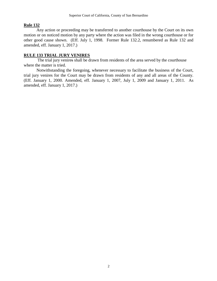# **Rule 132**

Any action or proceeding may be transferred to another courthouse by the Court on its own motion or on noticed motion by any party where the action was filed in the wrong courthouse or for other good cause shown. (Eff. July 1, 1998. Former Rule 132.2, renumbered as Rule 132 and amended, eff. January 1, 2017.)

# **RULE 133 TRIAL JURY VENIRES**

The trial jury venires shall be drawn from residents of the area served by the courthouse where the matter is tried.

Notwithstanding the foregoing, whenever necessary to facilitate the business of the Court, trial jury venires for the Court may be drawn from residents of any and all areas of the County. (Eff. January 1, 2000. Amended, eff. January 1, 2007, July 1, 2009 and January 1, 2011. As amended, eff. January 1, 2017.)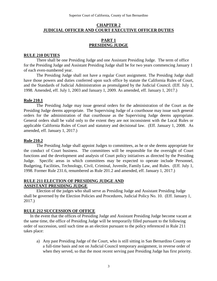## **CHAPTER 2 JUDICIAL OFFICER AND COURT EXECUTIVE OFFICER DUTIES**

# **PART 1 PRESIDING JUDGE**

#### **RULE 210 DUTIES**

There shall be one Presiding Judge and one Assistant Presiding Judge. The term of office for the Presiding Judge and Assistant Presiding Judge shall be for two years commencing January 1 of each even-numbered year.

The Presiding Judge shall not have a regular Court assignment. The Presiding Judge shall have those powers and duties conferred upon such office by statute the California Rules of Court, and the Standards of Judicial Administration as promulgated by the Judicial Council. (Eff. July 1, 1998. Amended, eff. July 1, 2003 and January 1, 2009. As amended, eff. January 1, 2017.)

#### **Rule 210.1**

The Presiding Judge may issue general orders for the administration of the Court as the Presiding Judge deems appropriate. The Supervising Judge of a courthouse may issue such general orders for the administration of that courthouse as the Supervising Judge deems appropriate. General orders shall be valid only to the extent they are not inconsistent with the Local Rules or applicable California Rules of Court and statutory and decisional law. (Eff. January 1, 2008. As amended, eff. January 1, 2017.)

#### **Rule 210.2**

The Presiding Judge shall appoint Judges to committees, as he or she deems appropriate for the conduct of Court business. The committees will be responsible for the oversight of Court functions and the development and analysis of Court policy initiatives as directed by the Presiding Judge. Specific areas in which committees may be expected to operate include Personnel, Budgeting, Facilities, Technology, Civil, Criminal, Juvenile, Family Law, and Rules. (Eff. July 1, 1998. Former Rule 231.6, renumbered as Rule 201.2 and amended, eff. January 1, 2017.)

#### **RULE 211 ELECTION OF PRESIDING JUDGE AND ASSISTANT PRESIDING JUDGE**

Election of the judges who shall serve as Presiding Judge and Assistant Presiding Judge shall be governed by the Election Policies and Procedures, Judicial Policy No. 10. (Eff. January 1, 2017.)

#### **RULE 212 SUCCESSION OF OFFICE**

In the event that the offices of Presiding Judge and Assistant Presiding Judge become vacant at the same time, the office of Presiding Judge will be temporarily filled pursuant to the following order of succession, until such time as an election pursuant to the policy referenced in Rule 211 takes place:

a) Any past Presiding Judge of the Court, who is still sitting in San Bernardino County on a full-time basis and not on Judicial Council temporary assignment, in reverse order of when they served, so that the most recent serving past Presiding Judge has first priority.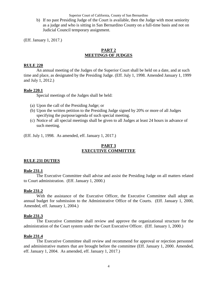Superior Court of California, County of San Bernardino

b) If no past Presiding Judge of the Court is available, then the Judge with most seniority as a judge and who is sitting in San Bernardino County on a full-time basis and not on Judicial Council temporary assignment.

(Eff. January 1, 2017.)

# **PART 2 MEETINGS OF JUDGES**

## **RULE 220**

An annual meeting of the Judges of the Superior Court shall be held on a date, and at such time and place, as designated by the Presiding Judge. (Eff. July 1, 1998. Amended January 1, 1999 and July 1, 2012.)

#### **Rule 220.1**

Special meetings of the Judges shall be held:

- (a) Upon the call of the Presiding Judge; or
- (b) Upon the written petition to the Presiding Judge signed by 20% or more of all Judges specifying the purpose/agenda of such special meeting.
- (c) Notice of all special meetings shall be given to all Judges at least 24 hours in advance of such meeting.

(Eff. July 1, 1998. As amended, eff. January 1, 2017.)

# **PART 3 EXECUTIVE COMMITTEE**

# **RULE 231 DUTIES**

#### **Rule 231.1**

The Executive Committee shall advise and assist the Presiding Judge on all matters related to Court administration. (Eff. January 1, 2000.)

#### **Rule 231.2**

With the assistance of the Executive Officer, the Executive Committee shall adopt an annual budget for submission to the Administrative Office of the Courts. (Eff. January 1, 2000, Amended, eff. January 1, 2004.)

# **Rule 231.3**

The Executive Committee shall review and approve the organizational structure for the administration of the Court system under the Court Executive Officer. (Eff. January 1, 2000.)

# **Rule 231.4**

The Executive Committee shall review and recommend for approval or rejection personnel and administrative matters that are brought before the committee (Eff. January 1, 2000. Amended, eff. January 1, 2004. As amended, eff. January 1, 2017.)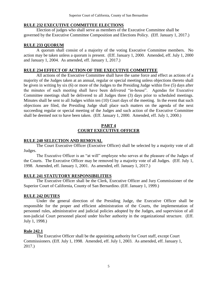# **RULE 232 EXECUTIVE COMMITTEE ELECTIONS**

Election of judges who shall serve as members of the Executive Committee shall be governed by the Executive Committee Composition and Elections Policy. (Eff. January 1, 2017.)

# **RULE 233 QUORUM**

A quorum shall consist of a majority of the voting Executive Committee members. No action may be taken unless a quorum is present. (Eff. January 1, 2000. Amended, eff. July 1, 2000 and January 1, 2004. As amended, eff. January 1, 2017.)

# **RULE 234 EFFECT OF ACTION OF THE EXECUTIVE COMMITTEE**

All actions of the Executive Committee shall have the same force and effect as actions of a majority of the Judges taken at an annual, regular or special meeting unless objections thereto shall be given in writing by six (6) or more of the Judges to the Presiding Judge within five (5) days after the minutes of such meeting shall have been delivered "in-house". Agendas for Executive Committee meetings shall be delivered to all Judges three (3) days prior to scheduled meetings. Minutes shall be sent to all Judges within ten (10) Court days of the meeting. In the event that such objections are filed, the Presiding Judge shall place such matters on the agenda of the next succeeding regular or special meeting of the Judges and such action of the Executive Committee shall be deemed not to have been taken. (Eff. January 1, 2000. Amended, eff. July 1, 2000.)

# **PART 4 COURT EXECUTIVE OFFICER**

# **RULE 240 SELECTION AND REMOVAL**

The Court Executive Officer (Executive Officer) shall be selected by a majority vote of all Judges.

The Executive Officer is an "at will" employee who serves at the pleasure of the Judges of the Courts. The Executive Officer may be removed by a majority vote of all Judges. (Eff. July 1, 1998. Amended, eff. January 1, 2001. As amended, eff. January 1, 2017.)

# **RULE 241 STATUTORY RESPONSIBILITIES**

The Executive Officer shall be the Clerk, Executive Officer and Jury Commissioner of the Superior Court of California, County of San Bernardino. (Eff. January 1, 1999.)

# **RULE 242 DUTIES**

Under the general direction of the Presiding Judge, the Executive Officer shall be responsible for the proper and efficient administration of the Courts, the implementation of personnel rules, administrative and judicial policies adopted by the Judges, and supervision of all non-judicial Court personnel placed under his/her authority in the organizational structure. (Eff. July 1, 1998.)

# **Rule 242.1**

The Executive Officer shall be the appointing authority for Court staff, except Court Commissioners. (Eff. July 1, 1998. Amended, eff. July 1, 2003. As amended, eff. January 1, 2017.)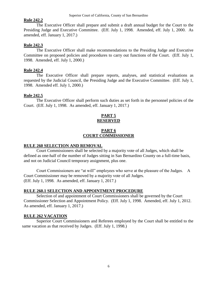## **Rule 242.2**

The Executive Officer shall prepare and submit a draft annual budget for the Court to the Presiding Judge and Executive Committee. (Eff. July 1, 1998. Amended, eff. July 1, 2000. As amended, eff. January 1, 2017.)

# **Rule 242.3**

The Executive Officer shall make recommendations to the Presiding Judge and Executive Committee on proposed policies and procedures to carry out functions of the Court. (Eff. July 1, 1998. Amended, eff. July 1, 2000.)

## **Rule 242.4**

The Executive Officer shall prepare reports, analyses, and statistical evaluations as requested by the Judicial Council, the Presiding Judge and the Executive Committee. (Eff. July 1, 1998. Amended eff. July 1, 2000.)

## **Rule 242.5**

The Executive Officer shall perform such duties as set forth in the personnel policies of the Court. (Eff. July 1, 1998. As amended, eff. January 1, 2017.)

# **PART 5 RESERVED**

## **PART 6 COURT COMMISSIONER**

# **RULE 260 SELECTION AND REMOVAL**

Court Commissioners shall be selected by a majority vote of all Judges, which shall be defined as one-half of the number of Judges sitting in San Bernardino County on a full-time basis, and not on Judicial Council temporary assignment, plus one.

Court Commissioners are "at will" employees who serve at the pleasure of the Judges. A Court Commissioner may be removed by a majority vote of all Judges. (Eff. July 1, 1998. As amended, eff. January 1, 2017.)

# **RULE 260.1 SELECTION AND APPOINTMENT PROCEDURE**

Selection of and appointment of Court Commissioners shall be governed by the Court Commissioner Selection and Appointment Policy. (Eff. July 1, 1998. Amended, eff. July 1, 2012. As amended, eff. January 1, 2017.)

# **RULE 262 VACATION**

Superior Court Commissioners and Referees employed by the Court shall be entitled to the same vacation as that received by Judges. (Eff. July 1, 1998.)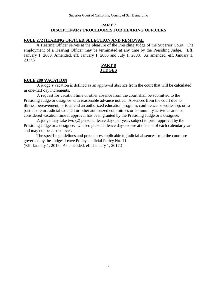# **PART 7 DISCIPLINARY PROCEDURES FOR HEARING OFFICERS**

## **RULE 272 HEARING OFFICER SELECTION AND REMOVAL**

A Hearing Officer serves at the pleasure of the Presiding Judge of the Superior Court. The employment of a Hearing Officer may be terminated at any time by the Presiding Judge. (Eff. January 1, 2000. Amended, eff. January 1, 2005 and July 1, 2008. As amended, eff. January 1, 2017.)



## **RULE 280 VACATION**

 A judge's vacation is defined as an approved absence from the court that will be calculated in one-half day increments.

 A request for vacation time or other absence from the court shall be submitted to the Presiding Judge or designee with reasonable advance notice. Absences from the court due to illness, bereavement, or to attend an authorized education program, conference or workshop, or to participate in Judicial Council or other authorized committees or community activities are not considered vacation time if approval has been granted by the Presiding Judge or a designee.

 A judge may take two (2) personal leave days per year, subject to prior approval by the Presiding Judge or a designee. Unused personal leave days expire at the end of each calendar year and may not be carried over.

 The specific guidelines and procedures applicable to judicial absences from the court are governed by the Judges Leave Policy, Judicial Policy No. 11. (Eff. January 1, 2015. As amended, eff. January 1, 2017.)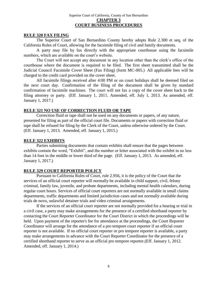#### Superior Court of California, County of San Bernardino **CHAPTER 3 COURT BUSINESS PROCEDURES**

#### **RULE 320 FAX FILING**

The Superior Court of San Bernardino County hereby adopts Rule 2.300 et seq, of the California Rules of Court, allowing for the facsimile filing of civil and family documents.

A party may file by fax directly with the appropriate courthouse using the facsimile numbers, which are available on the court's website.

The Court will not accept any document in any location other than the clerk's office of the courthouse where the document is required to be filed. The first sheet transmitted shall be the Judicial Council Facsimile Cover Sheet (Fax Filing) (form MC-005.) All applicable fees will be charged to the credit card provided on the cover sheet.

All facsimile filings received after 4:00 PM or on court holidays shall be deemed filed on the next court day. Confirmation of the filing of the document shall be given by standard confirmation of facsimile machines. The court will not fax a copy of the cover sheet back to the filing attorney or party. (Eff. January 1, 2011. Amended, eff. July 1, 2013. As amended, eff. January 1, 2017.)

## **RULE 321 NO USE OF CORRECTION FLUID OR TAPE**

Correction fluid or tape shall not be used on any documents or papers, of any nature, presented for filing as part of the official court file. Documents or papers with correction fluid or tape shall be refused for filing by the Clerk of the Court, unless otherwise ordered by the Court. (Eff. January 1, 2013. Amended, eff. January 1, 2015.)

#### **RULE 322 EXHIBITS**

Parties submitting documents that contain exhibits shall ensure that the pages between exhibits contain the word, "Exhibit", and the number or letter associated with the exhibit in no less than 14 font in the middle or lower third of the page. (Eff. January 1, 2013. As amended, eff. January 1, 2017.)

#### **RULE 329 COURT REPORTER POLICY**

Pursuant to California Rules of Court, rule 2.956, it is the policy of the Court that the services of an official court reporter will normally be available in child support, civil, felony criminal, family law, juvenile, and probate departments, including mental health calendars, during regular court hours. Services of official court reporters are not normally available in small claims departments, traffic departments and limited jurisdiction cases and not normally available during trials de novo, unlawful detainer trials and video criminal arraignments.

If the services of an official court reporter are not normally provided for a hearing or trial in a civil case, a party may make arrangements for the presence of a certified shorthand reporter by contacting the Court Reporter Coordinator for the Court District in which the proceedings will be held. Upon payment of the reporter's fee for attendance at the proceedings, the Court Reporter Coordinator will arrange for the attendance of a pro tempore court reporter if an official court reporter is not available. If no official court reporter or pro tempore reporter is available, a party may make arrangements in advance with the Court Reporter Coordinator for the presence of a certified shorthand reporter to serve as an official pro tempore reporter.(Eff. January 1, 2012. Amended, eff. January 1, 2014.)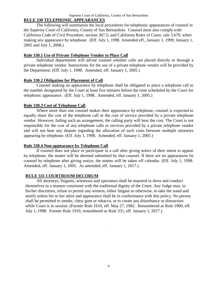# **RULE 330 TELEPHONIC APPEARANCES**

The following will summarize the local procedures for telephonic appearances of counsel in the Superior Court of California, County of San Bernardino. Counsel must also comply with California Code of Civil Procedure, section 367.5, and California Rules of Court, rule 3.670, when making any appearance by telephone. (Eff. July 1, 1998. Amended eff., January 1, 1999, January 1, 2005 and July 1, 2008.)

#### **Rule 330.1 Use of Private Telephone Vendor to Place Call**

Individual departments will advise counsel whether calls are placed directly or through a private telephone vendor. Instructions for the use of a private telephone vendor will be provided by the Department. (Eff. July 1, 1998. Amended, eff. January 1, 2005.)

#### **Rule 330.2 Obligation for Placement of Call**

Counsel making an appearance by telephone shall be obligated to place a telephone call to the number designated by the Court at least five minutes before the time scheduled by the Court for telephonic appearance. (Eff. July 1, 1998. Amended, eff. January 1, 2005.)

#### **Rule 330.3 Cost of Telephone Call**

Where more than one counsel makes their appearance by telephone, counsel is expected to equally share the cost of the telephone call or the cost of service provided by a private telephone vendor. However, failing such an arrangement, the calling party will bear the cost. The Court is not responsible for the cost of any telephone calls or services provided by a private telephone vendor and will not hear any dispute regarding the allocation of such costs between multiple attorneys appearing by telephone. (Eff. July 1, 1998. Amended, eff. January 1, 2005.)

#### **Rule 330.4 Non-appearance by Telephone Call**

If counsel does not place or participate in a call after giving notice of their intent to appear by telephone, the matter will be deemed submitted by that counsel. If there are no appearances by counsel by telephone after giving notice, the matter will be taken off calendar. (Eff. July 1, 1998. Amended, eff. January 1, 2005. As amended, eff. January 1, 2017.)

#### **RULE 331 COURTROOM DECORUM**

All attorneys, litigants, witnesses and spectators shall be required to dress and conduct themselves in a manner consistent with the traditional dignity of the Court. Any Judge may, in his/her discretion, refuse to permit any witness, either litigant or otherwise, to take the stand and testify unless his or her attire and appearance shall be in conformance with this policy. No person shall be permitted to smoke, chew gum or tobacco, or to create any disturbance or distraction while Court is in session. (Former Rule 1610, eff. May 27, 1982. Renumbered as Rule 1900, eff. July 1, 1998. Former Rule 1910, renumbered as Rule 331, eff. January 1, 2017.)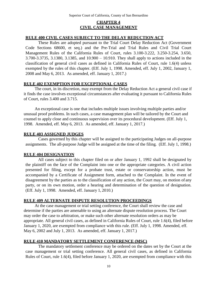# **<sup>5</sup>CHAPTER 4 CIVIL CASE MANAGEMENT**

#### **RULE 400 CIVIL CASES SUBJECT TO THE DELAY REDUCTION ACT**

These Rules are adopted pursuant to the Trial Court Delay Reduction Act (Government Code Sections 68600, et seq.) and the Pre-Trial and Trial Rules and Civil Trial Court Management Rules of the California Rules of Court, rules 3.100-3.222, 3.250-3.254, 3.650, 3.700-3.3735, 3.1380, 3.1385, and 10.900 – 10.910. They shall apply to actions included in the classification of general civil cases as defined in California Rules of Court, rule 1.6(4) unless exempted by the rules of this chapter. (Eff. July 1, 1998. Amended, eff. July 1, 2002, January 1, 2008 and May 6, 2013. As amended, eff. January 1, 2017.)

#### **RULE 402 EXEMPTION FOR EXCEPTIONAL CASES**

The court, in its discretion, may exempt from the Delay Reduction Act a general civil case if it finds the case involves exceptional circumstances after evaluating it pursuant to California Rules of Court, rules 3.400 and 3.715.

An exceptional case is one that includes multiple issues involving multiple parties and/or unusual proof problems. In such cases, a case management plan will be tailored by the Court and counsel to apply close and continuous supervision over its procedural development. (Eff. July 1, 1998. Amended, eff. May 6, 2013. As amended, eff. January 1, 2017.)

#### **RULE 403 ASSIGNED JUDGES**

Cases governed by this chapter will be assigned to the participating Judges on all-purpose assignments. The all-purpose Judge will be assigned at the time of the filing. (Eff. July 1, 1998.)

#### **RULE 404 DESIGNATION**

All cases subject to this chapter filed on or after January 1, 1992 shall be designated by the plaintiff on the face of the Complaint into one or the appropriate categories. A civil action presented for filing, except for a probate trust, estate or conservatorship action, must be accompanied by a Certificate of Assignment form, attached to the Complaint. In the event of disagreement by the parties as to the classification of any action, the Court may, on motion of any party, or on its own motion, order a hearing and determination of the question of designation. (Eff. July 1, 1998. Amended, eff. January 1, 2010.)

#### **RULE 409 ALTERNATE DISPUTE RESOLUTION PROCEEDINGS**

At the case management or trial setting conference, the Court shall review the case and determine if the parties are amenable to using an alternate dispute resolution process. The Court may order the case to arbitration, or make such other alternate resolution orders as may be appropriate. All general civil cases, as defined in California Rules of Court, rule 1.6(4), filed before January 1, 2020, are exempted from compliance with this rule. (Eff. July 1, 1998. Amended, eff. May 6, 2002 and July 1, 2013. As amended, eff. January 1, 2017.)

#### **RULE 410 MANDATORY SETTLEMENT CONFERENCE (MSC)**

The mandatory settlement conference may be ordered on the dates set by the Court at the case management or trial setting conference. All general civil cases, as defined in California Rules of Court, rule 1.6(4), filed before January 1, 2020, are exempted from compliance with this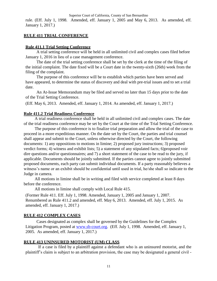Superior Court of California, County of San Bernardino

rule. (Eff. July 1, 1998. Amended, eff. January 1, 2005 and May 6, 2013. As amended, eff. January 1, 2017.)

## **RULE 411 TRIAL CONFERENCE**

## **Rule 411.1 Trial Setting Conference**

A trial setting conference will be held in all unlimited civil and complex cases filed before January 1, 2016 in lieu of a case management conference.

The date of the trial setting conference shall be set by the clerk at the time of the filing of the initial complaint. The date fixed will be a Court date in the twenty-sixth (26th) week from the filing of the complaint.

The purpose of this conference will be to establish which parties have been served and have appeared, to determine the status of discovery and deal with pre-trial issues and to set a trial date.

An At-Issue Memorandum may be filed and served no later than 15 days prior to the date of the Trial Setting Conference.

(Eff. May 6, 2013. Amended, eff. January 1, 2014. As amended, eff. January 1, 2017.)

## **Rule 411.2 Trial Readiness Conference**

A trial readiness conference shall be held in all unlimited civil and complex cases. The date of the trial readiness conference may be set by the Court at the time of the Trial Setting Conference.

The purpose of this conference is to finalize trial preparation and allow the trial of the case to proceed in a more expeditious manner. On the date set by the Court, the parties and trial counsel shall appear and submit to the Court, unless otherwise directed by the Court, the following documents: 1) any oppositions to motions in limine; 2) proposed jury instructions; 3) proposed verdict forms; 4) witness and exhibit lists; 5) a statement of any stipulated facts; 6)proposed voir dire questions and/or questionnaires; and 7) a short statement of the case to be read to the jury, if applicable. Documents should be jointly submitted. If the parties cannot agree to jointly submitted proposed documents, each party can submit individual documents. If a party reasonably believes a witness's name or an exhibit should be confidential until used in trial, he/she shall so indicate to the Judge in camera.

All motions in limine shall be in writing and filed with service completed at least 8 days before the conference.

All motions in limine shall comply with Local Rule 415.

(Former Rule 411. Eff. July 1, 1998. Amended, January 1, 2005 and January 1, 2007. Renumbered as Rule 411.2 and amended, eff. May 6, 2013. Amended, eff. July 1, 2015. As amended, eff. January 1, 2017.)

# **RULE 412 COMPLEX CASES**

Cases designated as complex shall be governed by the Guidelines for the Complex Litigation Program, posted at [www.sb-court.org.](http://www.sb-court.org/) (Eff. July 1, 1998. Amended, eff. January 1, 2005. As amended, eff. January 1, 2017.)

# **RULE 413 UNINSURED MOTORIST (UM) CLASS**

If a case is filed by a plaintiff against a defendant who is an uninsured motorist, and the plaintiff's claim is subject to an arbitration provision, the case may be designated a general civil -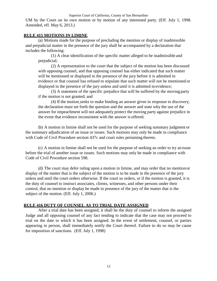Superior Court of California, County of San Bernardino

UM by the Court on its own motion or by motion of any interested party. (Eff. July 1, 1998. Amended, eff. May 6, 2013.)

# **RULE 415 MOTIONS IN LIMINE**

(a) Motions made for the purpose of precluding the mention or display of inadmissible and prejudicial matter in the presence of the jury shall be accompanied by a declaration that includes the following:

(1) A clear identification of the specific matter alleged to be inadmissible and prejudicial;

(2) A representation to the court that the subject of the motion has been discussed with opposing counsel, and that opposing counsel has either indicated that such matter will be mentioned or displayed in the presence of the jury before it is admitted in evidence or that counsel has refused to stipulate that such matter will not be mentioned or displayed in the presence of the jury unless and until it is admitted in evidence;

(3) A statement of the specific prejudice that will be suffered by the moving party if the motion is not granted; and

(4) If the motion seeks to make binding an answer given in response to discovery, the declaration must set forth the question and the answer and state why the use of the answer for impeachment will not adequately protect the moving party against prejudice in the event that evidence inconsistent with the answer is offered.

(b) A motion in limine shall not be used for the purpose of seeking summary judgment or the summary adjudication of an issue or issues. Such motions may only be made in compliance with Code of Civil Procedure section 437c and court rules pertaining thereto.

(c) A motion in limine shall not be used for the purpose of seeking an order to try an issue before the trial of another issue or issues. Such motions may only be made in compliance with Code of Civil Procedure section 598.

(d) The court may defer ruling upon a motion in limine, and may order that no mentionor display of the matter that is the subject of the motion is to be made in the presence of the jury unless and until the court orders otherwise. If the court so orders, or if the motion is granted, it is the duty of counsel to instruct associates, clients, witnesses, and other persons under their control, that no mention or display be made in presence of the jury of the matter that is the subject of the motion. (Eff. July 1, 2006.)

# **RULE 416 DUTY OF COUNSEL AS TO TRIAL DATE ASSIGNED**

After a trial date has been assigned, it shall be the duty of counsel to inform the assigned Judge and all opposing counsel of any fact tending to indicate that the case may not proceed to trial on the date to which it has been assigned. In the event of settlement, counsel, or parties appearing in person, shall immediately notify the Court thereof. Failure to do so may be cause for imposition of sanctions. (Eff. July 1, 1998)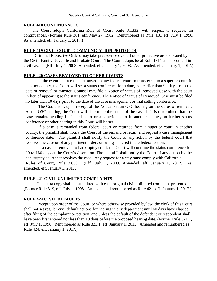#### **RULE 418 CONTINUANCES**

The Court adopts California Rule of Court, Rule 3.1332, with respect to requests for continuances. (Former Rule 361, eff. May 27, 1982. Renumbered as Rule 418, eff. July 1, 1998. As amended, eff. January 1, 2017.)

# **RULE 419 CIVIL COURT COMMUNICATION PROTOCOL**

Criminal Protective Orders may take precedence over all other protective orders issued by the Civil, Family, Juvenile and Probate Courts. The Court adopts local Rule 1311 as its protocol in civil cases. (Eff., July 1, 2003. Amended, eff. January 1, 2008. As amended, eff. January 1, 2017.)

# **RULE 420 CASES REMOVED TO OTHER COURTS**

In the event that a case is removed to any federal court or transferred to a superior court in another county, the Court will set a status conference for a date, not earlier than 90 days from the date of removal or transfer. Counsel may file a Notice of Status of Removed Case with the court in lieu of appearing at the status conference. The Notice of Status of Removed Case must be filed no later than 10 days prior to the date of the case management or trial setting conference.

The Court will, upon receipt of the Notice, set an OSC hearing on the status of removal. At the OSC hearing, the Court will determine the status of the case. If it is determined that the case remains pending in federal court or a superior court in another county, no further status conference or other hearing in this Court will be set.

If a case is remanded from federal court or returned from a superior court in another county, the plaintiff shall notify the Court of the remand or return and request a case management conference date. The plaintiff shall notify the Court of any action by the federal court that resolves the case or of any pertinent orders or rulings entered in the federal action.

If a case is removed to bankruptcy court, the Court will continue the status conference for 90 to 180 days at the Court's discretion. The plaintiff shall notify the Court of any action by the bankruptcy court that resolves the case. Any request for a stay must comply with California Rules of Court, Rule 3.650. (Eff., July 1, 2003. Amended, eff. January 1, 2012. As amended, eff. January 1, 2017.)

# **RULE 421 CIVIL UNLIMITED COMPLAINTS**

One extra copy shall be submitted with each original civil unlimited complaint presented. (Former Rule 319, eff. July 1, 1998. Amended and renumbered as Rule 421, eff. January 1, 2017.)

# **RULE 424 CIVIL DEFAULTS**

Except upon order of the Court, or where otherwise provided by law, the clerk of this Court shall not set regular civil default actions for hearing in any department until 60 days have elapsed after filing of the complaint or petition, and unless the default of the defendant or respondent shall have been first entered not less than 10 days before the proposed hearing date. (Former Rule 321.1, eff. July 1, 1998. Renumbered as Rule 323.1, eff. January 1, 2013. Amended and renumbered as Rule 424, eff. January 1, 2017.)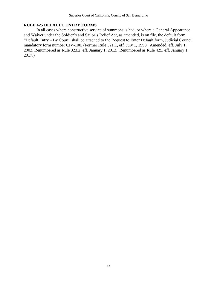### **RULE 425 DEFAULT ENTRY FORMS**

In all cases where constructive service of summons is had, or where a General Appearance and Waiver under the Soldier's and Sailor's Relief Act, as amended, is on file, the default form "Default Entry – By Court" shall be attached to the Request to Enter Default form, Judicial Council mandatory form number CIV-100. (Former Rule 321.1, eff. July 1, 1998. Amended, eff. July 1, 2003. Renumbered as Rule 323.2, eff. January 1, 2013. Renumbered as Rule 425, eff. January 1, 2017.)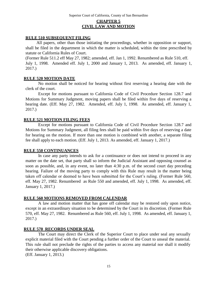# **CHAPTER 5 CIVIL LAW AND MOTION**

#### **RULE 510 SUBSEQUENT FILING**

All papers, other than those initiating the proceedings, whether in opposition or support, shall be filed in the department in which the matter is scheduled, within the time prescribed by statute or California Rules of Court.

(Former Rule 511.2 eff May 27, 1982; amended, eff. Jan 1, 1992. Renumbered as Rule 510, eff. July 1, 1998. Amended eff. July 1, 2000 and January 1, 2013. As amended, eff. January 1, 2017.)

#### **RULE 520 MOTION DATE**

No motion shall be noticed for hearing without first reserving a hearing date with the clerk of the court.

Except for motions pursuant to California Code of Civil Procedure Section 128.7 and Motions for Summary Judgment, moving papers shall be filed within five days of reserving a hearing date. (Eff. May 27, 1982. Amended, eff. July 1, 1998. As amended, eff. January 1, 2017.)

#### **RULE 521 MOTION FILING FEES**

Except for motions pursuant to California Code of Civil Procedure Section 128.7 and Motions for Summary Judgment, all filing fees shall be paid within five days of reserving a date for hearing on the motion. If more than one motion is combined with another, a separate filing fee shall apply to each motion. (Eff. July 1, 2013. As amended, eff. January 1, 2017.)

#### **RULE 550 CONTINUANCES**

In case any party intends to ask for a continuance or does not intend to proceed in any matter on the date set, that party shall so inform the Judicial Assistant and opposing counsel as soon as possible, and, in any event, no later than 4:30 p.m. of the second court day preceding hearing. Failure of the moving party to comply with this Rule may result in the matter being taken off calendar or deemed to have been submitted for the Court's ruling. (Former Rule 560, eff. May 27, 1982. Renumbered as Rule 550 and amended, eff. July 1, 1998. As amended, eff. January 1, 2017.)

#### **RULE 560 MOTIONS REMOVED FROM CALENDAR**

A law and motion matter that has gone off calendar may be restored only upon notice, except in an extraordinary situation to be determined by the Court in its discretion. (Former Rule 570, eff. May 27, 1982. Renumbered as Rule 560, eff. July 1, 1998. As amended, eff. January 1, 2017.)

#### **RULE 570 RECORDS UNDER SEAL**

The Court may direct the Clerk of the Superior Court to place under seal any sexually explicit material filed with the Court pending a further order of the Court to unseal the material. This rule shall not preclude the rights of the parties to access any material nor shall it modify their otherwise applicable discovery obligations.

(Eff. January 1, 2013.)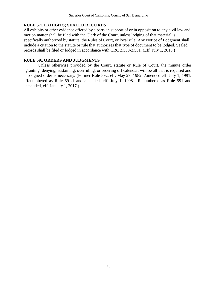# **RULE 571 EXHIBITS; SEALED RECORDS**

All exhibits or other evidence offered by a party in support of or in opposition to any civil law and motion matter shall be filed with the Clerk of the Court, unless lodging of that material is specifically authorized by statute, the Rules of Court, or local rule. Any Notice of Lodgment shall include a citation to the statute or rule that authorizes that type of document to be lodged. Sealed records shall be filed or lodged in accordance with CRC 2.550-2.551. (Eff. July 1, 2018.)

# **RULE 591 ORDERS AND JUDGMENTS**

Unless otherwise provided by the Court, statute or Rule of Court, the minute order granting, denying, sustaining, overruling, or ordering off calendar, will be all that is required and no signed order is necessary. (Former Rule 592, eff. May 27, 1982. Amended eff. July 1, 1991. Renumbered as Rule 591.1 and amended, eff. July 1, 1998. Renumbered as Rule 591 and amended, eff. January 1, 2017.)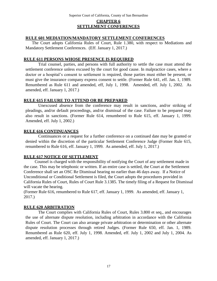# **CHAPTER 6 SETTLEMENT CONFERENCES**

### **RULE 601 MEDIATION/MANDATORY SETTLEMENT CONFERENCES**

The Court adopts California Rules of Court, Rule 1.380, with respect to Mediations and Mandatory Settlement Conferences. (Eff. January 1, 2017.)

### **RULE 611 PERSONS WHOSE PRESENCE IS REQUIRED**

Trial counsel, parties, and persons with full authority to settle the case must attend the settlement conference unless excused by the court for good cause. In malpractice cases, where a doctor or a hospital's consent to settlement is required, those parties must either be present, or must give the insurance company express consent to settle. (Former Rule 641, eff. Jan. 1, 1989. Renumbered as Rule 611 and amended, eff, July 1, 1998. Amended, eff. July 1, 2002. As amended, eff. January 1, 2017.)

## **RULE 615 FAILURE TO ATTEND OR BE PREPARED**

Unexcused absence from the conference may result in sanctions, and/or striking of pleadings, and/or default proceedings, and/or dismissal of the case. Failure to be prepared may also result in sanctions. (Former Rule 614, renumbered to Rule 615, eff. January 1, 1999. Amended, eff. July 1, 2002.)

### **RULE 616 CONTINUANCES**

Continuances or a request for a further conference on a continued date may be granted or denied within the discretion of the particular Settlement Conference Judge (Former Rule 615, renumbered to Rule 616, eff. January 1, 1999. As amended, eff. July 1, 2017.)

## **RULE 617 NOTICE OF SETTLEMENT**

Counsel is charged with the responsibility of notifying the Court of any settlement made in the case. This may be telephonic or written. If an entire case is settled, the Court at the Settlement Conference shall set an OSC Re Dismissal hearing no earlier than 46 days away. If a Notice of Unconditional or Conditional Settlement is filed, the Court adopts the procedures provided in California Rules of Court, Rules of Court Rule 3.1385. The timely filing of a Request for Dismissal will vacate the hearing.

(Former Rule 616, renumbered to Rule 617, eff. January 1, 1999. As amended, eff. January 1, 2017.)

## **RULE 620 ARBITRATION**

The Court complies with California Rules of Court, Rules 3.800 et seq., and encourages the use of alternate dispute resolution, including arbitration in accordance with the California Rules of Court. The Court can also arrange private arbitration or determination or other alternate dispute resolution processes through retired Judges. (Former Rule 650, eff. Jan. 1, 1989. Renumbered as Rule 620, eff. July 1, 1998. Amended, eff. July 1, 2002 and July 1, 2004. As amended, eff. January 1, 2017.)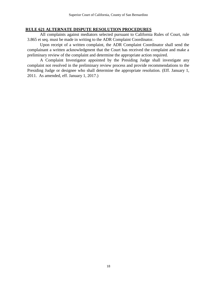### **RULE 621 ALTERNATE DISPUTE RESOLUTION PROCEDURES**

All complaints against mediators selected pursuant to California Rules of Court, rule 3.865 et seq. must be made in writing to the ADR Complaint Coordinator.

Upon receipt of a written complaint, the ADR Complaint Coordinator shall send the complainant a written acknowledgment that the Court has received the complaint and make a preliminary review of the complaint and determine the appropriate action required.

A Complaint Investigator appointed by the Presiding Judge shall investigate any complaint not resolved in the preliminary review process and provide recommendations to the Presiding Judge or designee who shall determine the appropriate resolution. (Eff. January 1, 2011. As amended, eff. January 1, 2017.)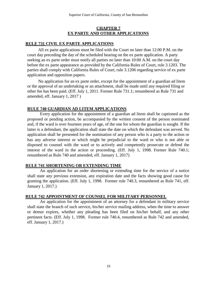## **CHAPTER 7 EX PARTE AND OTHER APPLICATIONS**

#### **RULE 731 CIVIL EX PARTE APPLICATIONS**

All ex parte applications must be filed with the Court no later than 12:00 P.M. on the court day preceding the day of the scheduled hearing on the ex parte application. A party seeking an ex parte order must notify all parties no later than 10:00 A.M. on the court day before the ex parte appearance as provided by the California Rules of Court, rule 3.1203. The parties shall comply with California Rules of Court, rule 3.1206 regarding service of ex parte application and opposition papers.

No application for an ex parte order, except for the appointment of a guardian ad litem or the approval of an undertaking or an attachment, shall be made until any required filing or other fee has been paid. (Eff. July 1, 2011. Former Rule 731.1; renumbered as Rule 731 and amended, eff. January 1, 2017 )

#### **RULE 740 GUARDIAN AD LITEM APPLICATIONS**

Every application for the appointment of a guardian ad litem shall be captioned as the proposed or pending action, be accompanied by the written consent of the person nominated and, if the ward is over fourteen years of age, of the one for whom the guardian is sought. If the latter is a defendant, the application shall state the date on which the defendant was served. No application shall be presented for the nomination of any person who is a party to the action or has any adverse interest or which might be prejudicial to the ward or who is not able or disposed to counsel with the ward or to actively and competently prosecute or defend the interest of the ward in the action or proceeding. (Eff. July 1, 1998. Former Rule 740.1; renumbered as Rule 740 and amended, eff. January 1, 2017)

## **RULE 741 SHORTENING OR EXTENDING TIME**

An application for an order shortening or extending time for the service of a notice shall state any previous extension, any expiration date and the facts showing good cause for granting the application. (Eff. July 1, 1998. Former rule 740.3, renumbered as Rule 741, eff. January 1, 2017.)

#### **RULE 742 APPOINTMENT OF COUNSEL FOR MILITARY PERSONNEL**

An application for the appointment of an attorney for a defendant in military service shall state the branch of such service, his/her service mailing address, when the time to answer or demur expires, whether any pleading has been filed on his/her behalf, and any other pertinent facts. (Eff. July 1, 1998. Former rule 740.4, renumbered as Rule 742 and amended, eff. January 1, 2017.)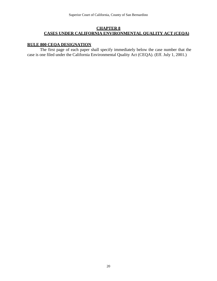## **CHAPTER 8 CASES UNDER CALIFORNIA ENVIRONMENTAL QUALITY ACT (CEQA)**

# **RULE 800 CEQA DESIGNATION**

The first page of each paper shall specify immediately below the case number that the case is one filed under the California Environmental Quality Act (CEQA). (Eff. July 1, 2001.)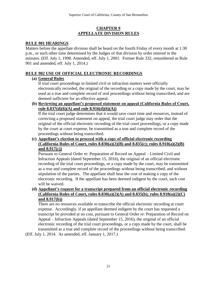# **CHAPTER 9 APPELLATE DIVISION RULES**

## **RULE 901 HEARINGS**

Matters before the appellate division shall be heard on the fourth Friday of every month at 1:30 p.m., or such other time determined by the Judges of that division by order entered in the minutes. (Eff. July 1, 1998. Amended, eff. July 1, 2001. Former Rule 332, renumbered as Rule 901 and amended, eff. July 1, 2014.)

# **RULE 902 USE OF OFFICIAL ELECTRONIC RECORDINGS**

## **(a) General Rules**

If trial court proceedings in limited civil or infraction matters were officially electronically recorded, the original of the recording or a copy made by the court, may be used as a true and complete record of oral proceedings without being transcribed, and are deemed sufficient for an effective appeal.

**(b) Reviewing an appellant's proposed statement on appeal (California Rules of Court, rule 8.837(d)(6)(A) and rule 8.916(d)(6)(A))**

If the trial court judge determines that it would save court time and resources, instead of correcting a proposed statement on appeal, the trial court judge may order that the original of the official electronic recording of the trial court proceedings, or a copy made by the court at court expense, be transmitted as a true and complete record of the proceedings without being transcribed.

**(c) Appellant's election to proceed with a copy of official electronic recording (California Rules of Court, rules 8.830(a)(2)(B) and 8.835(c); rules 8.910(a)(2)(B) and 8.917(c))**

Pursuant to General Order re: Preparation of Record on Appeal – Limited Civil and Infraction Appeals (dated September 15, 2016), the original of an official electronic recording of the trial court proceedings, or a copy made by the court, may be transmitted as a true and complete record of the proceedings without being transcribed, and without stipulation of the parties. The appellant shall bear the cost of making a copy of the electronic recording. If the appellant has been deemed indigent by the court, such cost will be waived.

**(d) Appellant's request for a transcript prepared from an official electronic recording (California Rules of Court, rules 8.830(a)(2)(A) and 8.835(b); rules 8.910(a)(2)(C) and 8.917(b))**

There are no resources available to transcribe the official electronic recording at court expense. Accordingly, if an appellant deemed indigent by the court has requested a transcript be provided at no cost, pursuant to General Order re: Preparation of Record on Appeal – Infraction Appeals (dated September 15, 2016), the original of an official electronic recording of the trial court proceedings, or a copy made by the court, shall be transmitted as a true and complete record of the proceedings without being transcribed.

(Eff. July 1, 2014. As amended, eff. January 1, 2017.)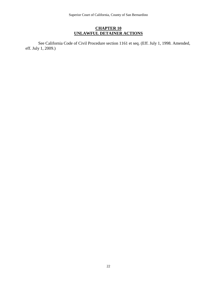# **CHAPTER 10 UNLAWFUL DETAINER ACTIONS**

See California Code of Civil Procedure section 1161 et seq. (Eff. July 1, 1998. Amended, eff. July 1, 2009.)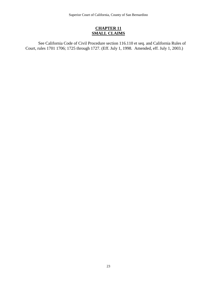Superior Court of California, County of San Bernardino

# **CHAPTER 11 SMALL CLAIMS**

See California Code of Civil Procedure section 116.110 et seq. and California Rules of Court, rules 1701 1706; 1725 through 1727. (Eff. July 1, 1998. Amended, eff. July 1, 2003.)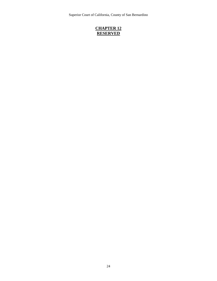Superior Court of California, County of San Bernardino

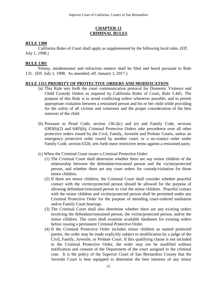## **CHAPTER 13 CRIMINAL RULES**

### **RULE 1300**

California Rules of Court shall apply as supplemented by the following local rules. (Eff. July 1, 1998.)

### **RULE 1301**

Felony, misdemeanor and infraction matters shall be filed and heard pursuant to Rule 131. (Eff. July 1, 1998. As amended, eff. January 1, 2017.)

### **RULE 1311 PRIORITY OF PROTECTIVE ORDERS AND MODIFICATION**

- (a) This Rule sets forth the court communication protocol for Domestic Violence and Child Custody Orders as required by California Rules of Court, Rule 5.445. The purpose of this Rule is to avoid conflicting orders whenever possible, and to permit appropriate visitation between a restrained person and his or her child while providing for the safety of all victims and witnesses and the proper consideration of the best interests of the child.
- (b) Pursuant to Penal Code, section 136.2(c) and (e) and Family Code, sections 6383(h)(2) and 6405(b), Criminal Protective Orders take precedence over all other protective orders issued by the Civil, Family, Juvenile and Probate Courts, unless an emergency protective order issued by another court, or a no-contact order under Family Code, section 6320, sets forth more restrictive terms against a restrained party.
- (c) When the Criminal Court issues a Criminal Protective Order:
	- (1) The Criminal Court shall determine whether there are any minor children of the relationship between the defendant/restrained person and the victim/protected person, and whether there are any court orders for custody/visitation for those minor children.
	- (2) If there are minor children, the Criminal Court shall consider whether peaceful contact with the victim/protected person should be allowed for the purpose of allowing defendant/restrained person to visit the minor children. Peaceful contact with the minor children and victim/protected person shall be permitted under any Criminal Protective Order for the purpose of attending court-ordered mediation and/or Family Court hearings.
	- (3) The Criminal Court shall also determine whether there are any existing orders involving the defendant/restrained person, the victim/protected person, and/or the minor children. The court shall examine available databases for existing orders before issuing a permanent Criminal Protective Order.
	- (4) If the Criminal Protective Order includes minor children as named protected parties, the order may be made explicitly subject to modification by a judge of the Civil, Family, Juvenile, or Probate Court. If this qualifying clause is not included in the Criminal Protective Order, the order may not be modified without notification and consent of the Department of the court assigned to the criminal case. It is the policy of the Superior Court of San Bernardino County that the Juvenile Court is best equipped to determine the best interests of any minor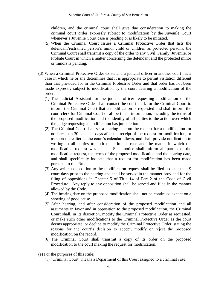children, and the criminal court shall give due consideration to making the criminal court order expressly subject to modification by the Juvenile Court whenever a Juvenile Court case is pending or is likely to be initiated.

- (5) When the Criminal Court issues a Criminal Protective Order that lists the defendant/restrained person's minor child or children as protected persons, the Criminal Court shall transmit a copy of the order to any Civil, Family, Juvenile, or Probate Court in which a matter concerning the defendant and the protected minor or minors is pending.
- (d) When a Criminal Protective Order exists and a judicial officer in another court has a case in which he or she determines that it is appropriate to permit visitation different than that provided for in the Criminal Protective Order and that order has not been made expressly subject to modification by the court desiring a modification of the order:
	- (1) The Judicial Assistant for the judicial officer requesting modification of the Criminal Protective Order shall contact the court clerk for the Criminal Court to inform the Criminal Court that a modification is requested and shall inform the court clerk for Criminal Court of all pertinent information, including the terms of the proposed modification and the identity of all parties to the action over which the judge requesting a modification has jurisdiction.
	- (2) The Criminal Court shall set a hearing date on the request for a modification for no later than 30 calendar days after the receipt of the request for modification, or as soon thereafter as the court's calendar allows, and shall provide notification in writing to all parties to both the criminal case and the matter in which the modification request was made. Such notice shall inform all parties of the modification request, the terms of the proposed modification and the hearing date, and shall specifically indicate that a request for modification has been made pursuant to this Rule.
	- (3) Any written opposition to the modification request shall be filed no later than 9 court days prior to the hearing and shall be served in the manner provided for the filing of oppositions in Chapter 5 of Title 14 of Part 2 of the Code of Civil Procedure. Any reply to any opposition shall be served and filed in the manner allowed by the Code.
	- (4) The hearing date on the proposed modification shall not be continued except on a showing of good cause.
	- (5) After hearing, and after consideration of the proposed modification and all arguments in favor and in opposition to the proposed modification, the Criminal Court shall, in its discretion, modify the Criminal Protective Order as requested, or make such other modifications to the Criminal Protective Order as the court deems appropriate, or decline to modify the Criminal Protective Order, stating the reasons for the court's decision to accept, modify or reject the proposed modification on the record.
	- (6) The Criminal Court shall transmit a copy of its order on the proposed modification to the court making the request for modification.
- (e) For the purposes of this Rule:
	- (1) "Criminal Court" means a Department of this Court assigned to a criminal case.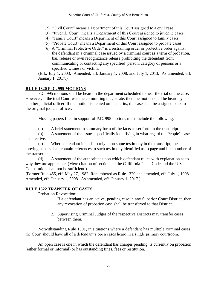- (2) "Civil Court" means a Department of this Court assigned to a civil case.
- (3) "Juvenile Court" means a Department of this Court assigned to juvenile cases.
- (4) "Family Court" means a Department of this Court assigned to family cases.
- (5) "Probate Court" means a Department of this Court assigned to probate cases.
- (6) A "Criminal Protective Order" is a restraining order or protective order against the defendant in a criminal case issued by a criminal court as a term of probation, bail release or own recognizance release prohibiting the defendant from communicating or contacting any specified person, category of persons or a specified witness or victim.

(Eff., July 1, 2003. Amended, eff. January 1, 2008. and July 1, 2013. As amended, eff. January 1, 2017.)

# **RULE 1320 P. C. 995 MOTIONS**

P.C. 995 motions shall be heard in the department scheduled to hear the trial on the case. However, if the trial Court was the committing magistrate, then the motion shall be heard by another judicial officer. If the motion is denied on its merits, the case shall be assigned back to the original judicial officer.

Moving papers filed in support of P.C. 995 motions must include the following:

(a) A brief statement in summary form of the facts as set forth in the transcript.

(b) A statement of the issues, specifically identifying in what regard the People's case is defective.

(c) Where defendant intends to rely upon some testimony in the transcript, the moving papers shall contain references to such testimony identified as to page and line number of the transcript.

(d) A statement of the authorities upon which defendant relies with explanation as to why they are applicable. (Mere citation of sections in the California Penal Code and the U.S. Constitution shall not be sufficient.)

(Former Rule 455, eff. May 27, 1982. Renumbered as Rule 1320 and amended, eff. July 1, 1998. Amended, eff. January 1, 2008. As amended, eff. January 1, 2017.)

# **RULE 1322 TRANSFER OF CASES**

Probation Revocation:

- 1. If a defendant has an active, pending case in any Superior Court District, then any revocation of probation case shall be transferred to that District.
- 2. Supervising Criminal Judges of the respective Districts may transfer cases between them.

Notwithstanding Rule 1301, in situations where a defendant has multiple criminal cases, the Court should have all of a defendant's open cases heard in a single primary courtroom.

An open case is one in which the defendant has charges pending, is currently on probation (either formal or informal) or has outstanding fines, fees or restitution.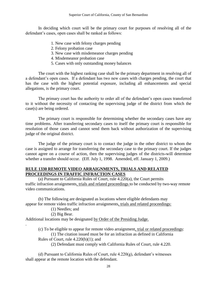In deciding which court will be the primary court for purposes of resolving all of the defendant's cases, open cases shall be ranked as follows:

- 1. New case with felony charges pending
- 2. Felony probation case
- 3. New case with misdemeanor charges pending
- 4. Misdemeanor probation case
- 5. Cases with only outstanding money balances

The court with the highest ranking case shall be the primary department in resolving all of a defendant's open cases. If a defendant has two new cases with charges pending, the court that has the case with the highest potential exposure, including all enhancements and special allegations, is the primary court.

The primary court has the authority to order all of the defendant's open cases transferred to it without the necessity of contacting the supervising judge of the district from which the case(s) are being ordered.

The primary court is responsible for determining whether the secondary cases have any time problems. After transferring secondary cases to itself the primary court is responsible for resolution of those cases and cannot send them back without authorization of the supervising judge of the original district.

The judge of the primary court is to contact the judge in the other district to whom the case is assigned to arrange for transferring the secondary case to the primary court. If the judges cannot agree on a course of action, then the supervising judges of the districts will determine whether a transfer should occur. (Eff. July 1, 1998. Amended, eff. January 1, 2009.)

# **RULE 1330 REMOTE VIDEO ARRAIGNMENTS, TRIALS AND RELATED PROCEEDINGS IN TRAFFIC INFRACTION CASES**

(a) Pursuant to California Rules of Court, rule 4.220(a), the Court permits traffic infraction arraignments, trials and related proceedings to be conducted by two-way remote video communications.

(b) The following are designated as locations where eligible defendants may appear for remote video traffic infraction arraignments, trials and related proceedings:

(1) Needles; and

(2) Big Bear.

.

Additional locations may be designated by Order of the Presiding Judge.

(c) To be eligible to appear for remote video arraignment, trial or related proceedings: (1) The citation issued must be for an infraction as defined in California

Rules of Court, rule  $4.220(b)(1)$ ; and

(2) Defendant must comply with California Rules of Court, rule 4.220.

 (d) Pursuant to California Rules of Court, rule 4.220(g), defendant's witnesses shall appear at the remote location with the defendant.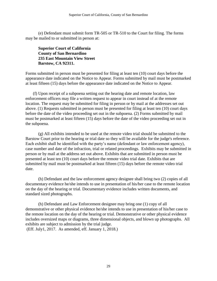(e) Defendant must submit form TR-505 or TR-510 to the Court for filing. The forms may be mailed to or submitted in person at:

**Superior Court of California County of San Bernardino 235 East Mountain View Street Barstow, CA 92311.**

Forms submitted in person must be presented for filing at least ten (10) court days before the appearance date indicated on the Notice to Appear. Forms submitted by mail must be postmarked at least fifteen (15) days before the appearance date indicated on the Notice to Appear.

 (f) Upon receipt of a subpoena setting out the hearing date and remote location, law enforcement officers may file a written request to appear in court instead of at the remote location. The request may be submitted for filing in person or by mail at the addresses set out above. (1) Requests submitted in person must be presented for filing at least ten (10) court days before the date of the video proceeding set out in the subpoena. (2) Forms submitted by mail must be postmarked at least fifteen (15) days before the date of the video proceeding set out in the subpoena.

(g) All exhibits intended to be used at the remote video trial should be submitted to the Barstow Court prior to the hearing or trial date so they will be available for the judge's reference. Each exhibit shall be identified with the party's name (defendant or law enforcement agency), case number and date of the infraction, trial or related proceedings. Exhibits may be submitted in person or by mail at the address set out above. Exhibits that are submitted in person must be presented at least ten (10) court days before the remote video trial date. Exhibits that are submitted by mail must be postmarked at least fifteen (15) days before the remote video trial date.

(h) Defendant and the law enforcement agency designee shall bring two (2) copies of all documentary evidence he/she intends to use in presentation of his/her case to the remote location on the day of the hearing or trial. Documentary evidence includes written documents, and standard sized photographs.

(h) Defendant and Law Enforcement designee may bring one (1) copy of all demonstrative or other physical evidence he/she intends to use in presentation of his/her case to the remote location on the day of the hearing or trial. Demonstrative or other physical evidence includes oversized maps or diagrams, three dimensional objects, and blown up photographs. All exhibits are subject to admission by the trial judge.

(Eff. July1, 2017. As amended, eff. January 1, 2018.)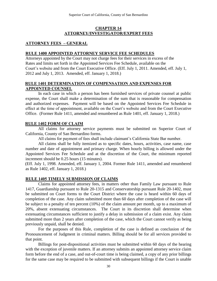## **CHAPTER 14** <sup>15</sup>**ATTORNEY/INVESTIGATOR/EXPERT FEES**

# **ATTORNEY FEES – GENERAL**

### **RULE 1400 APPOINTED ATTORNEY SERVICE FEE SCHEDULES**

Attorneys appointed by the Court may not charge fees for their services in excess of the Rates and limits set forth in the Appointed Services Fee Schedule, available on the Court's website and from the Court Executive Office. (Eff. July 1, 2011. Amended, eff. July 1, 2012 and July 1, 2013. Amended, eff. January 1, 2018.)

## **RULE 1401 DETERMINATION OF COMPENSATION AND EXPENSES FOR APPOINTED COUNSEL**

In each case in which a person has been furnished services of private counsel at public expense, the Court shall make a determination of the sum that is reasonable for compensation and authorized expenses. Payment will be based on the Appointed Services Fee Schedule in effect at the time of appointment, available on the Court's website and from the Court Executive Office. (Former Rule 1411, amended and renumbered as Rule 1401, eff. January 1, 2018.)

## **RULE 1402 FORM OF CLAIM**

All claims for attorney service payments must be submitted on Superior Court of California, County of San Bernardino forms.

All claims for payment of fees shall include claimant's California State Bar number.

<sup>6</sup> All claims shall be fully itemized as to specific dates, hours, activities, case name, case number and date of appointment and primary charge. When hourly billing is allowed under the Appointed Services Fee Schedule and at the discretion of the Court, the minimum reported increment should be 0.25 hours (15 minutes).

(Eff. July 1, 1998. Amended, eff. January 1, 2004. Former Rule 1411, amended and renumbered as Rule 1402, eff. January 1, 2018.)

## **RULE 1405 TIMELY SUBMISSION OF CLAIMS**

Claims for appointed attorney fees, in matters other than Family Law pursuant to Rule 1417, Guardianship pursuant to Rule 20-1315 and Conservatorship pursuant Rule 20-1402, must be submitted on Court forms to the Court District where the case is heard within 60 days of completion of the case. Any claim submitted more than 60 days after completion of the case will be subject to a penalty of ten percent (10%) of the claim amount per month, up to a maximum of 20%, absent extenuating circumstances. The Court in its discretion shall determine when extenuating circumstances sufficient to justify a delay in submission of a claim exist. Any claim submitted more than 2 years after completion of the case, which the Court cannot verify as being previously unpaid, shall be denied.

For the purposes of this Rule, completion of the case is defined as conclusion of the Pronouncement of Judgment in criminal matters. Billing should be for all services provided to that point.

Billings for post-dispositional activities must be submitted within 60 days of the hearing with the exception of juvenile matters. If an attorney submits an appointed attorney service claim form before the end of a case, and out-of-court time is being claimed, a copy of any prior billings for the same case may be required to be submitted with subsequent billings if the Court is unable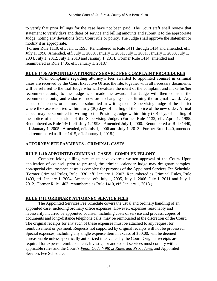to verify that prior billings for the case have not been paid. The Court staff shall review that statement to verify days and dates of service and billing amounts and submit it to the appropriate Judge, noting any deviations from Court rule or policy. The Judge shall approve the statement or modify it as appropriate.

(Former Rule 1110, eff. Jan. 1, 1993. Renumbered as Rule 1411 through 1414 and amended, eff. July 1, 1998. Amended, eff. July 1, 2000, January 1, 2001, July 1, 2001, January 1, 2003, July 1, 2004, July 1, 2012, July 1, 2013 and January 1, 2014. Former Rule 1414, amended and renumbered as Rule 1405, eff. January 1, 2018.)

# **RULE 1406 APPOINTED ATTORNEY SERVICE FEE COMPLAINT PROCEDURES**

When complaints regarding attorney's fees awarded to appointed counsel in criminal cases are received by the Court Executive Office, the file, together with all necessary documents, will be referred to the trial Judge who will evaluate the merit of the complaint and make his/her recommendation(s) to the Judge who made the award. That Judge will then consider the recommendation(s) and endorse a new order changing or confirming the original award. Any appeal of the new order must be submitted in writing to the Supervising Judge of the district where the case was tried within thirty (30) days of mailing of the notice of the new order. A final appeal may be submitted in writing to the Presiding Judge within thirty (30) days of mailing of the notice of the decision of the Supervising Judge. (Former Rule 1132, eff. April 1, 1985. Renumbered as Rule 1461, eff. July 1, 1998. Amended July 1, 2000. Renumbered as Rule 1440, eff. January 1, 2005. Amended, eff. July 1, 2006 and July 1, 2013. Former Rule 1440, amended and renumbered as Rule 1415, eff. January 1, 2018.)

# **ATTORNEY FEE PAYMENTS - CRIMINAL CASES**

# **RULE 1410 APPOINTED CRIMINAL CASES - COMPLEX FELONY**

Complex felony billing rates must have express written approval of the Court**.** Upon application of counsel, prior to pre-trial, the criminal calendar Judge may designate complex, non-special circumstance cases as complex for purposes of the Appointed Services Fee Schedule. (Former Criminal Rules, Rule 1330, eff. January 1, 2003. Renumbered as Criminal Rules, Rule 1403, eff. January 1, 2004. Amended, eff. July 1, 2005, July 1, 2006, July 1, 2011 and July 1, 2012. Former Rule 1403, renumbered as Rule 1410, eff. January 1, 2018.)

## **RULE 1411 ORDINARY ATTORNEY SERVICE FEES**

The Appointed Services Fee Schedule covers the usual and ordinary handling of an appointed case, including ordinary office expenses. However, expenses reasonably and necessarily incurred by appointed counsel, including costs of service and process, copies of documents and long-distance telephone calls, may be reimbursed at the discretion of the Court. The original receipts for any such of these expenses must be attached to any request for reimbursement or payment. Requests not supported by original receipts will not be processed. Special expenses, including any single expense item in excess of \$50.00, will be deemed unreasonable unless specifically authorized in advance by the Court. Original receipts are required for expense reimbursement. Investigator and expert services must comply with all applicable rules and the Court's *Penal Code § 987.2 Rules and Procedures* and Appointed Services Fee Schedule.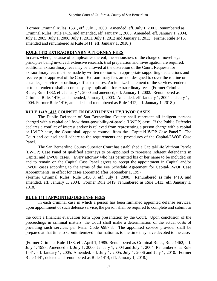(Former Criminal Rules, 1331, eff. July 1, 2000. Amended, eff. July 1, 2001. Renumbered as Criminal Rules, Rule 1415, and amended, eff. January 1, 2003. Amended, eff. January 1, 2004, July 1, 2005, July 1, 2006, July 1, 2011, July 1, 2012 and January 1, 2013. Former Rule 1415, amended and renumbered as Rule 1411, eff. January 1, 2018.)

# 7B**RULE 1412 EXTRAORDINARY ATTORNEY FEES**

In cases where, because of complexities thereof, the seriousness of the charge or novel legal principles being involved, extensive research, trial preparation and investigation are required, additional extraordinary fees may be allowed at the discretion of the Court. Requests for extraordinary fees must be made by written motion with appropriate supporting declarations and receive prior approval of the Court. Extraordinary fees are not designed to cover the routine or usual legal services or ordinary office expenses. An itemized statement of the services rendered or to be rendered shall accompany any application for extraordinary fees. (Former Criminal Rules, Rule 1332, eff. January 1, 2000 and amended, eff. January 1, 2002. Renumbered as Criminal Rule, 1416, and amended, January 1, 2003. Amended, eff. January 1, 2004 and July 1, 2004. Former Rule 1416, amended and renumbered as Rule 1412, eff. January 1, 2018.)

# **RULE 1419 1413 COUNSEL IN DEATH PENALTY/LWOP CASES**

The Public Defender of San Bernardino County shall represent all indigent persons charged with a capital or life-without-possibility-of-parole (LWOP) case. If the Public Defender declares a conflict of interest and/or is relieved from representing a person charge with a capital or LWOP case, the Court shall appoint counsel from the "Capital/LWOP Case Panel." The Court and counsel shall adhere to the requirements and procedures of the Capital/LWOP Case Panel.

The San Bernardino County Superior Court has established a Capital/Life Without Parole (LWOP) Case Panel of qualified attorneys to be appointed to represent indigent defendants in Capital and LWOP cases. Every attorney who has permitted his or her name to be included on and to remain on the Capital Case Panel agrees to accept the appointment in Capital and/or LWOP cases according to the terms of the Fee Schedule Agreement for Capital/LWOP Case Appointments, in effect for cases appointed after September 1, 1997.

(Former Criminal Rules, Rule 1450.3, eff. July 1, 2000. Renumbered as rule 1419, and amended, eff. January 1, 2004. Former Rule 1419, renumbered as Rule 1413, eff. January 1, 2018.)

# **RULE 1414 APPOINTED DEFENSE FEES**

In each criminal case in which a person has been furnished appointed defense services, upon appointment of such defense service, the person shall be required to complete and submit to

the court a financial evaluation form upon presentation by the Court. Upon conclusion of the proceedings in criminal matters, the Court shall make a determination of the actual costs of providing such services per Penal Code §987.8. The appointed service provider shall be prepared at that time to submit itemized information as to the time they have devoted to the case.

(Former Criminal Rule 1133, eff. April 1, 1985. Renumbered as Criminal Rules, Rule 1462, eff. July 1, 1998. Amended eff. July 1, 2000, January 1, 2004 and July 1, 2004. Renumbered as Rule 1441, eff. January 1, 2005. Amended, eff. July 1, 2005, July 1, 2006 and July 1, 2010. Former Rule 1441, deleted and renumbered as Rule 1414, eff. January 1, 2018.)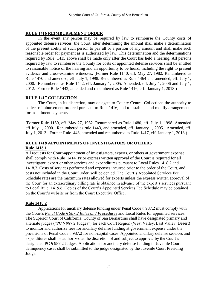# **RULE 1416 REIMBURSEMENT ORDER**

In the event any person may be required by law to reimburse the County costs of appointed defense services, the Court, after determining the amount shall make a determination of the present ability of such person to pay all or a portion of any amount and shall make such reasonable order for payment as is authorized by law. This determination and the determinations required by Rule 1415 above shall be made only after the Court has held a hearing. All persons required by law to reimburse the County for costs of appointed defense services shall be entitled to reasonable notice of the hearing and an opportunity to be heard, including the right to present evidence and cross**-**examine witnesses. (Former Rule 1140, eff. May 27, 1982. Renumbered as Rule 1470 and amended, eff. July 1, 1998. Renumbered as Rule 1464 and amended, eff. July 1, 2000. Renumbered as Rule 1442, eff. January 1, 2005. Amended, eff. July 1, 2006 and July 1, 2012. Former Rule 1442, amended and renumbered as Rule 1416, eff. January 1, 2018.)

# **RULE 1417 COLLECTION**

The Court, in its discretion, may delegate to County Central Collections the authority to collect reimbursement ordered pursuant to Rule 1416, and to establish and modify arrangements for installment payments.

(Former Rule 1150, eff. May 27, 1982. Renumbered as Rule 1480, eff. July 1, 1998. Amended eff July 1, 2000. Renumbered as rule 1443, and amended, eff. January 1, 2005. Amended, eff. July 1, 2013. Former Rule1443, amended and renumbered as Rule 1417, eff. January 1, 2018.)

# **RULE 1418 APPOINTMENTS OF INVESTIGATORS OR OTHERS Rule 1418.1**

All requests for Court-appointment of investigators, experts, or others at government expense shall comply with Rule 1414. Prior express written approval of the Court is required for all investigator, expert or other services and expenditures pursuant to Local Rules 1418.2 and 1418.3. Costs of services performed and expenses incurred prior to the order of the Court, and costs not included in the Court Order, will be denied. The Court's Appointed Services Fee Schedule rates are the maximum rates allowed for experts unless the express written approval of the Court for an extraordinary billing rate is obtained in advance of the expert's services pursuant to Local Rule 1419.6. Copies of the Court's Appointed Services Fee Schedule may be obtained on the Court's website or from the Court Executive Office.

## **Rule 1418.2**

Applications for ancillary defense funding under Penal Code § 987.2 must comply with the Court's *Penal Code § 987.2 Rules and Procedures* and Local Rules for appointed services. The Superior Court of California, County of San Bernardino shall have designated primary and alternate judges ("PC § 987.2 Judges") for each Court Region (West Valley, East Valley, Desert) to monitor and authorize fees for ancillary defense funding at government expense under the provisions of Penal Code § 987.2 for non-capital cases. Appointed ancillary defense services and expenditures shall be authorized at the discretion of and subject to approval by the Court's designated PC § 987.2 Judges. Applications for ancillary defense funding in Juvenile Court delinquency cases shall be submitted to the judge designated by the Juvenile Court Presiding Judge.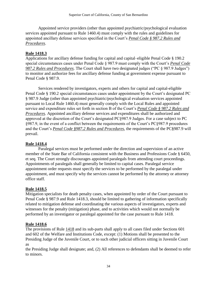Appointed service providers (other than appointed psychiatric/psychological evaluation services appointed pursuant to Rule 1460.4) must comply with the rules and guidelines for appointed ancillary defense services specified in the Court's *Penal Code § 987.2 Rules and Procedures*.

# **Rule 1418.3**

Applications for ancillary defense funding for capital and capital–eligible Penal Code § 190.2 special circumstances cases under Penal Code § 987.9 must comply with the Court's *Penal Code 987.2 Rules and Procedures*. The Court shall have two designated judges ("PC § 987.9 Judges") to monitor and authorize fees for ancillary defense funding at government expense pursuant to Penal Code § 987.9.

Services rendered by investigators, experts and others for capital and capital-eligible Penal Code § 190.2 special circumstances cases under appointment by the Court's designated PC § 987.9 Judge (other than appointed psychiatric/psychological evaluation services appointed pursuant to Local Rule 1460.4) must generally comply with the Local Rules and appointed service and expenditure rules set forth in section B of the Court's *Penal Code § 987.2 Rules and Procedures*. Appointed ancillary defense services and expenditures shall be authorized and approved at the discretion of the Court's designated PC§987.9 Judges. For a case subject to PC §987.9, in the event of a conflict between the requirements of the Court's PC§987.9 procedures and the Court's *Penal Code §987.2 Rules and Procedures*, the requirements of the PC§987.9 will prevail.

# **Rule 1418.4**

Paralegal services must be performed under the direction and supervision of an active member of the State Bar of California consistent with the Business and Professions Code § 6450, et seq. The Court strongly discourages appointed paralegals from attending court proceedings. Appointments of paralegals shall generally be limited to capital cases. Paralegal service appointment order requests must specify the services to be performed by the paralegal under appointment, and must specify why the services cannot be performed by the attorney or attorney office staff.

# **Rule 1418.5**

Mitigation specialists for death penalty cases, when appointed by order of the Court pursuant to Penal Code § 987.9 and Rule 1418.3, should be limited to gathering of information specifically related to mitigation defense and coordinating the various aspects of investigators, experts and witnesses for the penalty (mitigation) phase, and to activities which would not normally be performed by an investigator or paralegal appointed for the case pursuant to Rule 1418.

# **Rule 1418.6**

The provisions of Rule 1418 and its sub-parts shall apply to all cases filed under Sections 601 and 602 of the Welfare and Institutions Code, except: (1) Motions shall be presented to the Presiding Judge of the Juvenile Court, or to such other judicial officers sitting in Juvenile Court as

the Presiding Judge shall designate; and, (2) All references to defendants shall be deemed to refer to minors.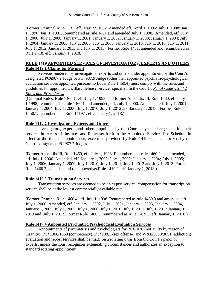(Former Criminal Rule 1131, eff. May 27, 1982. Amended eff. April 1, 1985; July 1, 1988; Jan. 1, 1990; Jan. 1, 1991. Renumbered as rule 1451 and amended July 1, 1998. Amended, eff. July 1, 2000; July 1, 2000; January 1, 2001; January 1, 2002; January 1, 2003; January 1, 2004; July 1, 2004; January 1, 2005; July 1, 2005; July 1, 2006, January 1, 2010, July 1, 2010, July 1, 2011, July 1, 2012, January 1, 2013 and July 1, 2013. Former Rule 1451, amended and renumbered as Rule 1418, eff. January 1, 2018.)

## **RULE 1419 APPOINTED SERVICES OF INVESTIGATORS, EXPERTS AND OTHERS Rule 1419.1 Claims for Payment**

Services rendered by investigators, experts and others under appointment by the Court's designated PC§987.2 Judge or PC§987.9 Judge (other than appointed psychiatric/psychological evaluation services appointed pursuant to Local Rule 1460.4) must comply with the rules and guidelines for appointed ancillary defense services specified in the Court's *Penal Code § 987.2 Rules and Procedures*.

(Criminal Rules, Rule 1460.1, eff. July 1, 1998, and former Appendix III, Rule 1460, eff. July 1,1998; renumbered as rule 1460.1 and amended, eff. July 1, 2000. Amended, eff. July 1, 2001, January 1, 2004, July 1, 2006, July 1, 2010, July 1, 2012 and January 1, 2013. Former Rule 1450.1, renumbered as Rule 1419.1, eff. January 1, 2018.)

# **Rule 1419.2 Investigators, Experts and Others**

Investigators, experts and others appointed by the Court may not charge fees for their services in excess of the rates and limits set forth in the Appointed Services Fee Schedule in effect at the time of appointment, except as provided by Rule 1419.6 and authorized by the Court's designated PC 987.2 Judges.

(Former Appendix III, Rule 1460, eff. July 1, 1998. Renumbered as rule 1460.2 and amended, eff. July 1, 2000. Amended, eff. January 1, 2002; July 1, 2002; January 1, 2004; July 1, 2005; July 1, 2006, January 1, 2009, July 1, 2010, July 1, 2011, July 1, 2012 and July 1, 2013. Former Rule 1460.2, amended and renumbered as Rule 1419.2, eff. January 1, 2018.)

## **Rule 1419.3 Transcription Services**

Transcription services are deemed to be an expert service; compensation for transcription service shall be at the lowest commercially-available rate.

(Former Criminal Rule 1460.4, eff. July 1, 1998. Renumbered as rule 1460.3 and amended, eff. July 1, 2000. Amended, eff. January 1, 2002, July 1, 2001, January 1, 2003, January 1, 2004, January 1, 2005, July 1, 2005, July 1, 2006, July 1, 2010, July 1, 2011, July 1, 2012,January 1, 2013 and July 1, 2013. Former Rule 1460.3, renumbered as Rule 1419.3, eff. January 1, 2018.)

## **Rule 1419.4 Appointed Psychiatric/Psychological Evaluation Services**

Appointments of psychiatrists and psychologists for PC§1026 (not guilty by reason of insanity), PC§1368/1369 (competency), PC§288.1 (sex offense) and W&I§3050/3051 (addiction) evaluation and report services shall be made on a rotating basis from the Court's panel of experts, unless the court recognizes extenuating circumstances and authorizes an exception to standard rotating appointment.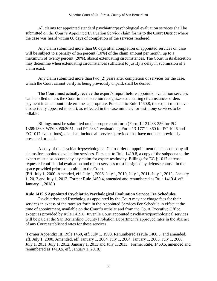All claims for appointed standard psychiatric/psychological evaluation services shall be submitted on the Court's Appointed Evaluation Service claim forms to the Court District where the case was heard within 60 days of completion of the services rendered.

Any claim submitted more than 60 days after completion of appointed services on case will be subject to a penalty of ten percent (10%) of the claim amount per month, up to a maximum of twenty percent (20%), absent extenuating circumstances. The Court in its discretion may determine when extenuating circumstances sufficient to justify a delay in submission of a claim exist.

Any claim submitted more than two (2) years after completion of services for the case, which the Court cannot verify as being previously unpaid, shall be denied.

The Court must actually receive the expert's report before appointed evaluation services can be billed unless the Court in its discretion recognizes extenuating circumstances orders payment in an amount it determines appropriate. Pursuant to Rule 1460.8, the expert must have also actually appeared in court, as reflected in the case minutes, for testimony services to be billable.

Billings must be submitted on the proper court form (Form 12-21283-356 for PC 1368/1369, W&I 3050/3051, and PC 288.1 evaluations; Form 13-17711-360 for PC 1026 and EC 1017 evaluations), and shall include all services provided that have not been previously presented or paid.

A copy of the psychiatric/psychological Court order of appointment must accompany all claims for appointed evaluation services. Pursuant to Rule 1419.8, a copy of the subpoena to the expert must also accompany any claim for expert testimony. Billings for EC § 1017 defense requested confidential evaluation and report services must be signed by defense counsel in the space provided prior to submittal to the Court.

(Eff. July 1, 2000. Amended, eff. July 1, 2006, July 1, 2010, July 1, 2011, July 1, 2012, January 1, 2013 and July 1, 2013. Former Rule 1460.4, amended and renumbered as Rule 1419.4, eff. January 1, 2018.)

## **Rule 1419.5 Appointed Psychiatric/Psychological Evaluation Service Fee Schedules**

Psychiatrists and Psychologists appointed by the Court may not charge fees for their services in excess of the rates set forth in the Appointed Services Fee Schedule in effect at the time of appointment, available on the Court's website and from the Court Executive Office, except as provided by Rule 1419.6, Juvenile Court appointed psychiatric/psychological services will be paid at the San Bernardino County Probation Department's approved rates in the absence of any Court established rates for these services.

(Former Appendix III, Rule 1460, eff. July 1, 1998. Renumbered as rule 1460.5, and amended, eff. July 1, 2000. Amended, eff. January 1, 2004, July 1, 2004, January 1, 2005, July 1, 2006, July 1, 2011, July 1, 2012, January 1, 2013 and July 1, 2013. Former Rule, 1460.5, amended and renumbered as 1419.5, eff. January 1, 2018.)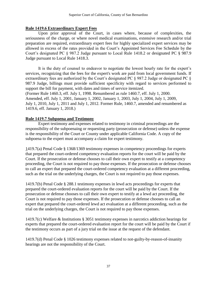# **Rule 1419.6 Extraordinary Expert Fees**

Upon prior approval of the Court, in cases where, because of complexities, the seriousness of the charge, or where novel medical examinations, extensive research and/or trial preparation are required, extraordinary expert fees for highly specialized expert services may be allowed in excess of the rates provided in the Court's Appointed Services Fee Schedule by the Court's designated PC § 987.2 Judge pursuant to Local Rule 1418.2 or designated PC § 987.9 Judge pursuant to Local Rule 1418.3.

It is the duty of counsel to endeavor to negotiate the lowest hourly rate for the expert's services, recognizing that the fees for the expert's work are paid from local government funds. If extraordinary fees are authorized by the Court's designated PC § 987.2 Judge or designated PC § 987.9 Judge, billings must provide sufficient specificity with regard to services performed to support the bill for payment, with dates and times of service itemized.

(Former Rule 1460.3, eff. July 1, 1998. Renumbered as rule 1460.7, eff. July 1, 2000. Amended, eff. July 1, 2001, January 1, 2002, January 1, 2003, July 1, 2004, July 1, 2009, July 1, 2010, July 1, 2011 and July 1, 2012. Former Rule, 1460.7, amended and renumbered as 1419.6, eff. January 1, 2018.)

# **Rule 1419.7 Subpoena and Testimony**

Expert testimony and expenses related to testimony in criminal proceedings are the responsibility of the subpoenaing or requesting party (prosecution or defense) unless the expense is the responsibility of the Court or County under applicable California Code. A copy of the subpoena to the expert must accompany a claim for expert testimony.

1419.7(a) Penal Code § 1368/1369 testimony expenses in competency proceedings for experts that prepared the court-ordered competency evaluation reports for the court will be paid by the Court. If the prosecution or defense chooses to call their own expert to testify at a competency proceeding, the Court is not required to pay those expenses. If the prosecution or defense chooses to call an expert that prepared the court-ordered competency evaluation at a different proceeding, such as the trial on the underlying charges, the Court is not required to pay those expenses.

1419.7(b) Penal Code § 288.1 testimony expenses in lewd acts proceedings for experts that prepared the court-ordered evaluation reports for the court will be paid by the Court. If the prosecution or defense chooses to call their own expert to testify at a lewd act proceeding, the Court is not required to pay those expenses. If the prosecution or defense chooses to call an expert that prepared the court-ordered lewd act evaluation at a different proceeding, such as the trial on the underlying charges, the Court is not required to pay those expenses.

1419.7(c) Welfare & Institutions § 3051 testimony expenses in narcotics addiction hearings for experts that prepared the court-ordered evaluation report for the court will be paid by the Court if the testimony occurs as part of a jury trial on the issue at the request of the defendant.

1419.7(d) Penal Code § 1026 testimony expenses related to not-guilty-by-reason-of-insanity hearings are not the responsibility of the Court.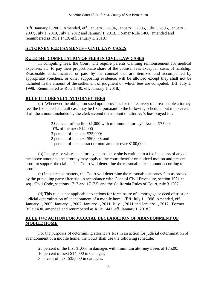(Eff. January 1, 2003. Amended, eff. January 1, 2004, January 1, 2005, July 1, 2006, January 1, 2007, July 1, 2010, July 1, 2012 and January 1, 2013. Former Rule 1460, amended and renumbered as Rule 1419, eff. January 1, 2018.)

# **ATTORNEY FEE PAYMENTS – CIVIL LAW CASES**

## **RULE 1440 COMPUTATION OF FEES IN CIVIL LAW CASES**

In computing fees, the Court will require parents claiming reimbursement for medical expenses, etc. to pay their proportionate share of the counsel fees except in cases of hardship. Reasonable costs incurred or paid by the counsel that are itemized and accompanied by appropriate vouchers, or other supporting evidence, will be allowed except they shall not be included in the amount of the settlement of judgment on which fees are computed. (Eff. July 1, 1998. Renumbered as Rule 1440, eff. January 1, 2018.)

## **RULE 1441 DEFAULT ATTORNEY FEES**

(a) Whenever the obligation sued upon provides for the recovery of a reasonable attorney fee, the fee in each default case may be fixed pursuant to the following schedule, but in no event shall the amount included by the clerk exceed the amount of attorney's fees prayed for:

> 25 percent of the first \$1,000 with minimum attorney's fees of \$75.00; 10% of the next \$14,000 3 percent of the next \$35,000; 2 percent of the next \$50,000; and 1 percent of the contract or note amount over \$100,000.

(b) In any case where an attorney claims he or she is entitled to a fee in excess of any of the above amounts, the attorney may apply to the court therefore on noticed motion and present proof to support the claim. The Court will determine the reasonable fee amount according to proof.

(c) In contested matters, the Court will determine the reasonable attorney fees as proved by the prevailing party after trial in accordance with Code of Civil Procedure, section 1021 et seq., Civil Code, sections 1717 and 1717.5, and the California Rules of Court, rule 3.1702.

(d) This rule is not applicable to actions for foreclosure of a mortgage or deed of trust or judicial determination of abandonment of a mobile home. (Eff. July 1, 1998. Amended, eff. January 1, 2005, January 1, 2007, January 1, 2011, July 1, 2011 and January 1, 2012. Former Rule 1430, amended and renumbered as Rule 1441, eff. January 1, 2018.)

## **RULE 1442 ACTION FOR JUDICIAL DECLARATION OF ABANDONMENT OF MOBILE HOME**

For the purposes of determining attorney's fees in an action for judicial determination of abandonment of a mobile home, the Court shall use the following schedule:

25 percent of the first \$1,000 in damages with minimum attorney's fees of **\$**75.00; 10 percent of next \$14,000 in damages; 3 percent of next \$35,000 in damages;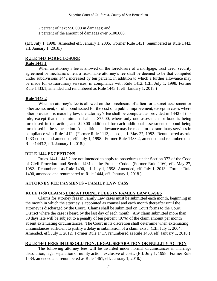2 percent of next \$50,000 in damages; and

1 percent of the amount of damages over \$100,000.

(Eff. July 1, 1998. Amended eff. January 1, 2005. Former Rule 1431, renumbered as Rule 1442, eff. January 1, 2018.)

# **RULE 1443 FORECLOSURE**

# **Rule 1443.1**

When an attorney's fee is allowed on the foreclosure of a mortgage, trust deed, security agreement or mechanic's lien, a reasonable attorney's fee shall be deemed to be that computed under subdivisions 1442 increased by ten percent, in addition to which a further allowance may be made for extraordinary services, in compliance with Rule 1412. (Eff. July 1, 1998. Former Rule 1433.1, amended and renumbered as Rule 1443.1, eff. January 1, 2018.)

# **Rule 1443.2**

When an attorney's fee is allowed on the foreclosure of a lien for a street assessment or other assessment, or of a bond issued for the cost of a public improvement, except in cases where other provision is made by law, the attorney's fee shall be computed as provided in 1442 of this rule; except that the minimum shall be \$75.00, where only one assessment or bond is being foreclosed in the action, and \$20.00 additional for each additional assessment or bond being foreclosed in the same action. An additional allowance may be made for extraordinary services in compliance with Rule 1412. (Former Rule 1113, et seq., eff. May 27, 1982. Renumbered as rule 1433 et seq. and amended, eff. July 1, 1998. Former Rule 1433.2, amended and renumbered as Rule 1443.2, eff. January 1, 2018.)

# **RULE 1444 EXCEPTIONS**

Rules 1441-1443.2 are not intended to apply to procedures under Section 372 of the Code of Civil Procedure and Section 1431 of the Probate Code. (Former Rule 1160, eff. May 27, 1982. Renumbered as Rule 1490, eff. July 1, 1998. Amended, eff. July 1, 2013. Former Rule 1490, amended and renumbered as Rule 1444, eff. January 1, 2018.)

# **ATTORNEY FEE PAYMENTS – FAMILY LAW CASS**

# **RULE 1460 CLAIMS FOR ATTORNEY FEES IN FAMILY LAW CASES**

Claims for attorney fees in Family Law cases must be submitted each month, beginning in the month in which the attorney is appointed as counsel and each month thereafter until the attorney is discharged by the Court. Claims shall be submitted on Court forms to the Court District where the case is heard by the last day of each month. Any claim submitted more than 30 days late will be subject to a penalty of ten percent (10%) of the claim amount per month absent extenuating circumstances. The Court in its discretion shall determine when extenuating circumstances sufficient to justify a delay in submission of a claim exist. (Eff. July 1, 2004. Amended, eff. July 1, 2012. Former Rule 1417, renumbered as Rule 1460, eff. January 1, 2018.)

# **RULE 1461 FEES IN DISSOLUTION, LEGAL SEPARATION OR NULLITY ACTION**

The following attorney fees will be awarded under normal circumstances in marriage dissolution, legal separation or nullity action, exclusive of costs: (Eff. July 1, 1998. Former Rule 1434, amended and renumbered as Rule 1461, eff. January 1, 2018.)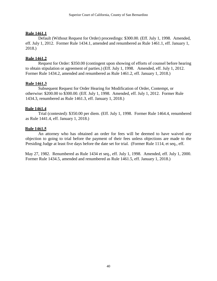# **Rule 1461.1**

Default (Without Request for Order) proceedings: \$300.00. (Eff. July 1, 1998. Amended, eff. July 1, 2012. Former Rule 1434.1, amended and renumbered as Rule 1461.1, eff. January 1, 2018.)

# **Rule 1461.2**

Request for Order: \$350.00 (contingent upon showing of efforts of counsel before hearing to obtain stipulation or agreement of parties.) (Eff. July 1, 1998. Amended, eff. July 1, 2012. Former Rule 1434.2, amended and renumbered as Rule 1461.2, eff. January 1, 2018.)

## **Rule 1461.3**

Subsequent Request for Order Hearing for Modification of Order, Contempt, or otherwise: \$200.00 to \$300.00. (Eff. July 1, 1998. Amended, eff. July 1, 2012. Former Rule 1434.3, renumbered as Rule 1461.3, eff. January 1, 2018.)

# **Rule 1461.4**

Trial (contested): \$350.00 per diem. (Eff. July 1, 1998. Former Rule 1464.4, renumbered as Rule 1441.4, eff. January 1, 2018.)

# **Rule 1461.5**

An attorney who has obtained an order for fees will be deemed to have waived any objection to going to trial before the payment of their fees unless objections are made to the Presiding Judge at least five days before the date set for trial. (Former Rule 1114, et seq., eff.

May 27, 1982. Renumbered as Rule 1434 et seq., eff. July 1, 1998. Amended, eff. July 1, 2000. Former Rule 1434.5, amended and renumbered as Rule 1461.5, eff. January 1, 2018.)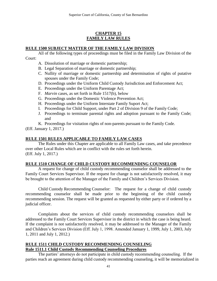# **CHAPTER 15 FAMILY LAW RULES**

# **RULE 1500 SUBJECT MATTER OF THE FAMILY LAW DIVISION**

All of the following types of proceedings must be filed in the Family Law Division of the Court:

- A. Dissolution of marriage or domestic partnership;
- B. Legal Separation of marriage or domestic partnership;
- C. Nullity of marriage or domestic partnership and determination of rights of putative spouses under the Family Code;
- D. Proceedings under the Uniform Child Custody Jurisdiction and Enforcement Act;
- E. Proceedings under the Uniform Parentage Act;
- F. *Marvin* cases, as set forth in Rule 1517(b), below
- G. Proceedings under the Domestic Violence Prevention Act;
- H. Proceedings under the Uniform Interstate Family Suport Act;
- I. Proceedings for Child Support, under Part 2 of Division 9 of the Family Code;
- J. Proceedings to terminate parental rights and adoption pursuant to the Family Code; and

K. Proceedings for visitation rights of non-parents pursuant to the Family Code.

(Eff. January 1, 2017.)

## **RULE 1501 RULES APPLICABLE TO FAMILY LAW CASES**

The Rules under this Chapter are applicable to all Family Law cases, and take precedence over other Local Rules which are in conflict with the rules set forth herein. (Eff. July 1, 2017.)

## **RULE 1510 CHANGE OF CHILD CUSTODY RECOMMENDING COUNSELOR**

A request for change of child custody recommending counselor shall be addressed to the Family Court Services Supervisor. If the request for change is not satisfactorily resolved, it may be brought to the attention of the Manager of the Family and Children's Services Division.

Child Custody Recommending Counselor: The request for a change of child custody recommending counselor shall be made prior to the beginning of the child custody recommending session. The request will be granted as requested by either party or if ordered by a judicial officer.

Complaints about the services of child custody recommending counselors shall be addressed to the Family Court Services Supervisor in the district in which the case is being heard. If the complaint is not satisfactorily resolved, it may be addressed to the Manager of the Family and Children's Services Division (Eff. July 1, 1998. Amended January 1, 1999, July 1, 2003, July 1, 2011 and July 1, 2012.)

## **RULE 1511 CHILD CUSTODY RECOMMENDING COUNSELING Rule 1511.1 Child Custody Recommending Counseling Procedures**

The parties' attorneys do not participate in child custody recommending counseling. If the parties reach an agreement during child custody recommending counseling, it will be memorialized in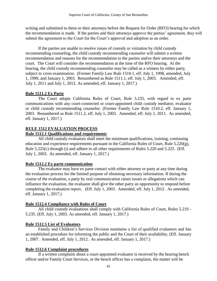writing and submitted to them or their attorneys before the Request for Order (RFO) hearing for which the recommendation is made. If the parties and their attorneys approve the parties' agreement, they will submit the agreement to the Court for the Court's approval and adoption as an order.

If the parties are unable to resolve issues of custody or visitation by child custody recommending counseling, the child custody recommending counselor will submit a written recommendation and reasons for the recommendation to the parties and/or their attorneys and the court. The Court will consider the recommendation at the time of the RFO hearing. At the hearing, the child custody recommending counselor may be called as a witness by either party, subject to cross examination. (Former Family Law Rule 1510.1, eff. July 1, 1998, amended, July 1, 1999, and January 1, 2003. Renumbered as Rule 1511.1, eff. July 1, 2003. Amended, eff. July 1, 2011 and July 1, 2012. As amended, eff. January 1, 2017.)

## **Rule 1511.2 Ex Parte**

The Court adopts California Rules of Court, Rule 5.235, with regard to ex parte communications with any court-connected or court-appointed child custody mediator, evaluator or child custody recommending counselor. (Former Family Law Rule 1510.2, eff. January 1, 2003. Renumbered as Rule 1511.2, eff. July 1, 2003. Amended, eff. July 1, 2011. As amended, eff. January 1, 2017.)

# **RULE 1512 EVALUATION PROCESS**

## **Rule 1512.1 Qualifications and requirements**

All child custody evaluators shall meet the minimum qualifications, training, continuing education and experience requirements pursuant to the California Rules of Court, Rule 5.220(g), Rule 5.225(c) through (i) and adhere to all other requirements of Rules 5.220 and 5.225. (Eff. July 1, 2003. As amended, eff. January 1, 2017.)

## **Rule 1512.2 Ex parte communication**

The evaluator may have ex parte contact with either attorney or party at any time during the evaluation process for the limited purpose of obtaining necessary information. If during the course of the evaluation, a party by oral communication raises issues or allegations which can influence the evaluation, the evaluator shall give the other party an opportunity to respond before completing the evaluation report. (Eff. July 1, 2003. Amended, eff. July 1, 2012. As amended, eff. January 1, 2017.)

## **Rule 1512.4 Compliance with Rules of Court**

All child custody evaluations shall comply with California Rules of Court, Rules 5.210 - 5.235. (Eff. July 1, 2003. As amended, eff. January 1, 2017.)

# **Rule 1512.5 List of Evaluators**

Family and Children's Services Division maintains a list of qualified evaluators and has an established procedure for informing the public and the Court of their availability. (Eff. January 1, 2007. Amended, eff. July 1, 2012. As amended, eff. January 1, 2017.)

## **Rule 1512.6 Complaint procedures**

If a written complaint about a court-appointed evaluator is received by the hearing bench officer and/or Family Court Services, or the bench officer has a complaint, the matter will be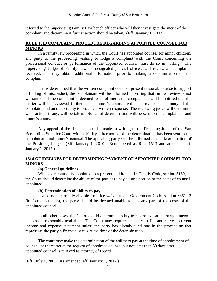referred to the Supervising Family Law bench officer who will then investigate the merit of the complaint and determine if further action should be taken. (Eff. January 1, 2007.)

### **RULE 1513 COMPLAINT PROCEDURE REGARDING APPOINTED COUNSEL FOR MINORS**

In a family law proceeding in which the Court has appointed counsel for minor children, any party to the proceeding wishing to lodge a complaint with the Court concerning the professional conduct or performance of the appointed counsel must do so in writing. The Supervising Judge of Family Law, or designated judicial officer, will review all complaints received, and may obtain additional information prior to making a determination on the complaint.

If it is determined that the written complaint does not present reasonable cause to support a finding of misconduct, the complainant will be informed in writing that further review is not warranted. If the complaint is deemed to be of merit, the complainant will be notified that the matter will be reviewed further. The minor's counsel will be provided a summary of the complaint and an opportunity to provide a written response. The reviewing judge will determine what action, if any, will be taken. Notice of determination will be sent to the complainant and minor's counsel.

Any appeal of the decision must be made in writing to the Presiding Judge of the San Bernardino Superior Court within 10 days after notice of the determination has been sent to the complainant and minor's counsel. The appealing party will be informed of the determination of the Presiding Judge. (Eff. January 1, 2010. Renumbered as Rule 1513 and amended, eff. January 1, 2017.)

# **1514 GUIDELINES FOR DETERMINING PAYMENT OF APPOINTED COUNSEL FOR MINORS**

#### **(a) General guidelines**

Whenever counsel is appointed to represent children under Family Code, section 3150, the Court should determine the ability of the parties to pay all or a portion of the costs of counsel appointed.

## **(b) Determination of ability to pay**

If a party is currently eligible for a fee waiver under Government Code, section 68511.3 (in forma pauperis), the party should be deemed unable to pay any part of the costs of the appointed counsel.

In all other cases, the Court should determine ability to pay based on the party's income and assets reasonably available. The Court may require the party to file and serve a current income and expense statement unless the party has already filed one in the proceeding that represents the party's financial status at the time of the determination.

The court may make the determination of the ability to pay at the time of appointment of counsel, or thereafter at the request of appointed counsel but not later than 30 days after appointed counsel is relieved as attorney of record.

(Eff., July 1, 2003. As amended, eff. January 1, 2017.)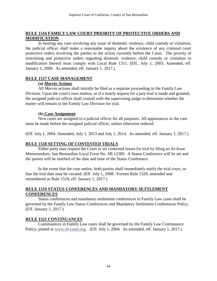## **RULE 1516 FAMILY LAW COURT PRIORITY OF PROTECTIVE ORDERS AND MODIFICATION**

In hearing any case involving any issue of domestic violence, child custody or visitation, the judicial officer shall make a reasonable inquiry about the existence of any criminal court protective orders involving the parties to the action currently before the Court. The priority of restraining and protective orders regarding domestic violence, child custody or visitation or modification thereof must comply with Local Rule 1311. (Eff., July 1, 2003. Amended, eff. January 1, 2008. As amended, eff. January 1, 2017.)

### **RULE 1517 CASE MANAGEMENT**

### **(a)** *Marvin* **Actions**

All *Marvin* actions shall initially be filed as a separate proceeding in the Family Law Division. Upon the court's own motion, or if a timely request for a jury trial is made and granted, the assigned judicial officer shall consult with the supervising judge to determine whether the matter will remain in the Family Law Division for trial.

### **(b) Case Assignment**

New cases are assigned to a judicial officer for all purposes. All appearances in the case must be made before the assigned judicial officer, unless otherwise ordered.

(Eff. July 1, 2004. Amended, July 1, 2013 and July 1, 2014. As amended, eff. January 1, 2017.)

## **RULE 1518 SETTING OF CONTESTED TRIALS**

Either party may request the Court to set contested issues for trial by filing an At-Issue Memorandum, San Bernardino Local Form No. SB 12389. A Status Conference will be set and the parties will be notified of the date and time of the Status Conference.

In the event that the case settles, both parties shall immediately notify the trial court, so that the trial date may be vacated. (Eff. July 1, 2008. Former Rule 1520, amended and renumbered as Rule 1518, eff. January 1, 2017.)

## **RULE 1519 STATUS CONFERENCES AND MANDATORY SETTLEMENT CONFERENCES**

Status conferences and mandatory settlement conferences in Family Law cases shall be governed by the Family Law Status Conferences and Mandatory Settlement Conferences Policy. (Eff. January 1, 2017.)

## **RULE 1521 CONTINUANCES**

Continuances in Family Law cases shall be governed by the Family Law Continuance Policy, posted at [www.sb-court.org.](http://www.sb-court.org/) (Eff. July 1, 2004. As amended, eff. January 1, 2017.)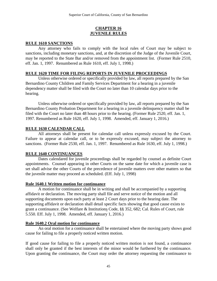## **CHAPTER 16 JUVENILE RULES**

# **RULE 1610 SANCTIONS**

Any attorney who fails to comply with the local rules of Court may be subject to sanctions, including monetary sanctions, and, at the discretion of the Judge of the Juvenile Court, may be reported to the State Bar and/or removed from the appointment list. (Former Rule 2510, eff. Jan. 1, 1997. Renumbered as Rule 1610, eff. July 1, 1998.)

## **RULE 1620 TIME FOR FILING REPORTS IN JUVENILE PROCEEDINGS**

Unless otherwise ordered or specifically provided by law, all reports prepared by the San Bernardino County Children and Family Services Department for a hearing in a juvenile dependency matter shall be filed with the Court no later than 10 calendar days prior to the hearing.

Unless otherwise ordered or specifically provided by law, all reports prepared by the San Bernardino County Probation Department for a hearing in a juvenile delinquency matter shall be filed with the Court no later than 48 hours prior to the hearing. (Former Rule 2520, eff. Jan. 1, 1997. Renumbered as Rule 1620, eff. July 1, 1998. Amended, eff. January 1, 2016.)

## **RULE 1630 CALENDAR CALL**

All attorneys shall be present for calendar call unless expressly excused by the Court. Failure to appear at calendar call, or to be expressly excused, may subject the attorney to sanctions. (Former Rule 2530, eff. Jan. 1, 1997. Renumbered as Rule 1630, eff. July 1, 1998.)

## **RULE 1640 CONTINUANCES**

Dates calendared for juvenile proceedings shall be regarded by counsel as definite Court appointments. Counsel appearing in other Courts on the same date for which a juvenile case is set shall advise the other Courts of the precedence of juvenile matters over other matters so that the juvenile matter may proceed as scheduled. (Eff. July 1, 1998)

## **Rule 1640.1 Written motion for continuance**

A motion for continuance shall be in writing and shall be accompanied by a supporting affidavit or declaration. The moving party shall file and serve notice of the motion and all supporting documents upon each party at least 2 Court days prior to the hearing date. The supporting affidavit or declaration shall detail specific facts showing that good cause exists to grant a continuance. (See Welfare & Institutions Code, §§ 352, 682; Cal. Rules of Court, rule 5.550. Eff. July 1, 1998. Amended, eff. January 1, 2016.)

## **Rule 1640.2 Oral motion for continuance**

An oral motion for a continuance shall be entertained where the moving party shows good cause for failing to file a properly noticed written motion.

If good cause for failing to file a properly noticed written motion is not found, a continuance shall only be granted if the best interests of the minor would be furthered by the continuance. Upon granting the continuance, the Court may order the attorney requesting the continuance to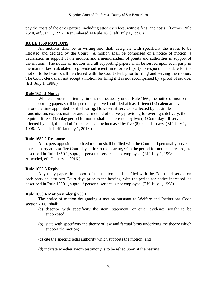pay the costs of the other parties, including attorney's fees, witness fees, and costs. (Former Rule 2540, eff. Jan. 1, 1997. Renumbered as Rule 1640, eff. July 1, 1998.)

#### **RULE 1650 MOTIONS**

All motions shall be in writing and shall designate with specificity the issues to be litigated and decided by the Court. A motion shall be comprised of a notice of motion, a declaration in support of the motion, and a memorandum of points and authorities in support of the motion. The notice of motion and all supporting papers shall be served upon each party in the manner best calculated to provide sufficient time for each party to respond. The date for the motion to be heard shall be cleared with the Court clerk prior to filing and serving the motion. The Court clerk shall not accept a motion for filing if it is not accompanied by a proof of service. (Eff. July 1, 1998.)

### **Rule 1650.1 Notice**

Where an order shortening time is not necessary under Rule 1660, the notice of motion and supporting papers shall be personally served and filed at least fifteen (15) calendar days before the time appointed for the hearing. However, if service is affected by facsimile transmission, express mail, or another method of delivery providing for overnight delivery, the required fifteen (15) day period for notice shall be increased by two (2) Court days. If service is affected by mail, the period for notice shall be increased by five (5) calendar days. (Eff. July 1, 1998. Amended, eff. January 1, 2016.)

### **Rule 1650.2 Response**

All papers opposing a noticed motion shall be filed with the Court and personally served on each party at least five Court days prior to the hearing, with the period for notice increased, as described in Rule 1650.1, supra, if personal service is not employed. (Eff. July 1, 1998. Amended, eff. January 1, 2016.)

#### **Rule 1650.3 Reply**

Any reply papers in support of the motion shall be filed with the Court and served on each party at least two Court days prior to the hearing, with the period for notice increased, as described in Rule 1650.1, supra, if personal service is not employed. (Eff. July 1, 1998)

## **Rule 1650.4 Motion under § 700.1**

The notice of motion designating a motion pursuant to Welfare and Institutions Code section 700.1 shall:

- (a) describe with specificity the item, statement, or other evidence sought to be suppressed;
- (b) state with specificity the theory of law and factual basis underlying the theory which support the motion;
- (c) cite the specific legal authority which supports the motion; and
- (d) indicate whether sworn testimony is to be relied upon at the hearing.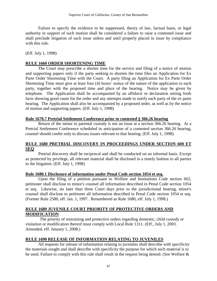Failure to specify the evidence to be suppressed, theory of law, factual basis, or legal authority in support of such motion shall be considered a failure to raise a contested issue and shall preclude litigation of such issue unless and until properly placed in issue by compliance with this rule.

(Eff. July 1, 1998)

#### **RULE 1660 ORDER SHORTENING TIME**

The Court may prescribe a shorter time for the service and filing of a notice of motion and supporting papers only if the party seeking to shorten the time files an Application for Ex Parte Order Shortening Time with the Court. A party filing an Application for Ex Parte Order Shortening Time must give at least four (4) hours' notice of the nature of the application to each party, together with the proposed time and place of the hearing. Notice may be given by telephone. The Application shall be accompanied by an affidavit or declaration setting forth facts showing good cause for the order and any attempts made to notify each party of the ex parte hearing. The Application shall also be accompanied by a proposed order, as well as by the notice of motion and supporting papers. (Eff. July 1, 1998)

### **Rule 1670.7 Pretrial Settlement Conference prior to contested § 366.26 hearing**

Return of the minor to parental custody is not an issue at a section 366.26 hearing. At a Pretrial Settlement Conference scheduled in anticipation of a contested section 366.26 hearing, counsel should confer only to discuss issues relevant to that hearing. (Eff. July 1, 1998)

### **RULE 1680 PRETRIAL DISCOVERY IN PROCEEDINGS UNDER SECTION 600 ET SEQ**

Pretrial discovery shall be reciprocal and shall be conducted on an informal basis. Except as protected by privilege, all relevant material shall be disclosed in a timely fashion to all parties to the litigation. (Eff. July 1, 1998)

#### **Rule 1680.1 Disclosure of information under Penal Code section 1054 et seq.**

Upon the filing of a petition pursuant to Welfare and Institutions Code section 602, petitioner shall disclose to minor's counsel all information described in Penal Code section 1054 et seq. Likewise, no later than three Court days prior to the jurisdictional hearing, minor's counsel shall disclose to petitioner all information described in Penal Code section 1054 et seq. (Former Rule 2580, eff. Jan. 1, 1997. Renumbered as Rule 1680, eff. July 1, 1998.)

## **RULE 1689 JUVENILE COURT PRIORITY OF PROTECTIVE ORDERS AND MODIFICATION**

The priority of restraining and protective orders regarding domestic, child custody or visitation or modification thereof must comply with Local Rule 1311. (Eff., July 1, 2003. Amended, eff. January 1, 2008.)

#### **RULE 1690 RELEASE OF INFORMATION RELATING TO JUVENILES**

All requests for release of information relating to juveniles shall describe with specificity the materials sought and shall describe with specificity the purpose for which such material is to be used. Failure to comply with this rule shall result in the request being denied. (See Welfare &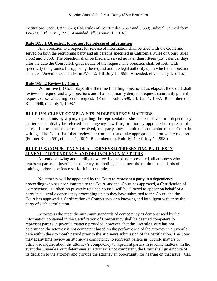Institutions Code, § 827, 828; Cal. Rules of Court, rules 5.552 and 5.553; Judicial Council form JV-570. Eff. July 1, 1998. Amended, eff. January 1, 2016.)

#### **Rule 1690.1 Objection to request for release of information**

Any objection to a request for release of information shall be filed with the Court and served on both the petitioning party and all persons specified in California Rules of Court, rules 5.552 and 5.553. The objection shall be filed and served no later than fifteen (15) calendar days after the date the Court clerk gives notice of the request. The objection shall set forth with specificity the grounds for opposing the request and the legal authority upon which the objection is made. (Juvenile Council Form JV-572. Eff. July 1, 1998. Amended, eff. January 1, 2016.)

### **Rule 1690.2 Review by Court**

Within five (5) Court days after the time for filing objections has elapsed, the Court shall review the request and any objections and shall summarily deny the request, summarily grant the request, or set a hearing on the request. (Former Rule 2590, eff. Jan. 1, 1997. Renumbered as Rule 1690, eff. July 1, 1998.)

### **RULE 1691 CLIENT COMPLAINTS IN DEPENDENCY MATTERS**

Complaints by a party regarding the representation she or he receives in a dependency matter shall initially be referred to the agency, law firm, or attorney appointed to represent the party. If the issue remains unresolved, the party may submit the complaint to the Court in writing. The Court shall then review the complaint and take appropriate action where required. (Former Rule 2591, eff. Jan. 1, 1997. Renumbered as Rule 1691, eff. July 1, 1998.)

### **RULE 1692 COMPETENCY OF ATTORNEYS REPRESENTING PARTIES IN JUVENILE DEPENDENCY AND DELINQUENCY MATTERS**

Absent a knowing and intelligent waiver by the party represented, all attorneys who represent parties in juvenile dependency proceedings must meet the minimum standards of training and/or experience set forth in these rules.

No attorney will be appointed by the Court to represent a party in a dependency proceeding who has not submitted to the Court, and the Court has approved, a Certification of Competency. Further, no privately retained counsel will be allowed to appear on behalf of a party in a juvenile dependency proceeding unless they have submitted to the Court, and the Court has approved, a Certification of Competency or a knowing and intelligent waiver by the party of such certification.

Attorneys who meet the minimum standards of competency as demonstrated by the information contained in the Certification of Competency shall be deemed competent to represent parties in juvenile matters; provided, however, that the Juvenile Court has not determined the attorney is not competent based on the performance of the attorney in a juvenile case within the six-month period prior to the attorney's submission of the certification. The Court may at any time review an attorney's competency to represent parties in juvenile matters or otherwise inquire about the attorney's competency to represent parties in juvenile matters. In the event the Juvenile Court determines an attorney is not competent, the Court shall give notice of its decision to the attorney and provide the attorney an opportunity for hearing on that issue. (Cal.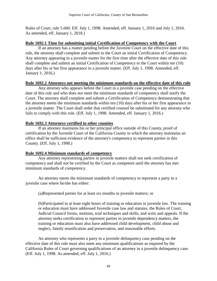Rules of Court, rule 5.660. Eff. July 1, 1998. Amended, eff. January 1, 2016 and July 1, 2016. As amended, eff. January 1, 2018.)

## **Rule 1692.1 Time for submitting initial Certification of Competency with the Court**

If an attorney has a matter pending before the Juvenile Court on the effective date of this rule, the attorney shall complete and submit to the Court an initial Certification of Competency. Any attorney appearing in a juvenile matter for the first time after the effective date of this rule shall complete and submit an initial Certification of Competency to the Court within ten (10) days after his or her first appearance in a juvenile matter. (Eff. July 1, 1998. Amended, eff. January 1, 2016.)

# **Rule 1692.2 Attorneys not meeting the minimum standards on the effective date of this rule**

Any attorney who appears before the Court in a juvenile case pending on the effective date of this rule and who does not meet the minimum standards of competency shall notify the Court. The attorney shall complete and submit a Certification of Competency demonstrating that the attorney meets the minimum standards within ten (10) days after his or her first appearance in a juvenile matter. The Court shall order that certified counsel be substituted for any attorney who fails to comply with this rule. (Eff. July 1, 1998. Amended, eff. January 1, 2016.)

# **Rule 1692.3 Attorneys certified in other counties**

If an attorney maintains his or her principal office outside of this County, proof of certification by the Juvenile Court of the California County in which the attorney maintains an office shall be sufficient evidence of the attorney's competency to represent parties in this County. (Eff. July 1, 1998.)

# **Rule 1692.4 Minimum standards of competency**

Any attorney representing parties in juvenile matters shall not seek certification of competency and shall not be certified by the Court as competent until the attorney has met minimum standards of competency.

An attorney meets the minimum standards of competency to represent a party in a juvenile case where he/she has either:

(a)Represented parties for at least six months in juvenile matters; or

(b)Participated in at least eight hours of training or education in juvenile law. The training or education must have addressed Juvenile case law and statutes, the Rules of Court, Judicial Council forms, motions, trial techniques and skills, and writs and appeals. If the attorney seeks certification to represent parties in juvenile dependency matters, the training or education must also have addressed child development, child abuse and neglect, family reunification and preservation, and reasonable efforts.

An attorney who represents a party in a juvenile delinquency case pending on the effective date of this rule must also meet any minimum qualifications as required by the California Rules of Court governing qualifications of an attorney in a juvenile delinquency case. (Eff. July 1, 1998. As amended, eff. July 1, 2016.)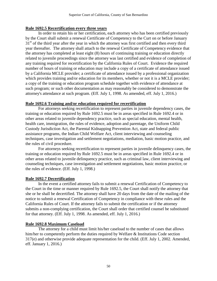## **Rule 1692.5 Recertification every three years**

In order to retain his or her certification, each attorney who has been certified previously by the Court shall submit a renewal Certificate of Competency to the Curt on or before January 31<sup>st</sup> of the third year after the year in which the attorney was first certified and then every third year thereafter. The attorney shall attach to the renewal Certificate of Competency evidence that the attorney has completed at least eight (8) hours of continuing training or education directly related to juvenile proceedings since the attorney was last certified and evidence of completion of any training required for recertification by the California Rules of Court. Evidence the required number of hours of training or education may include a copy of a certificate of attendance issued by a California MCLE provider; a certificate of attendance issued by a professional organization which provides training and/or education for its members, whether or not it is a MCLE provider; a copy of the training or education program schedule together with evidence of attendance at such program; or such other documentation as may reasonably be considered to demonstrate the attorney's attendance at such program. (Eff. July 1, 1998. As amended, eff. July 1, 2016.)

## **Rule 1692.6 Training and/or education required for recertification**

For attorneys seeking recertification to represent parties in juvenile dependency cases, the training or education required by Rule 1692.5 must be in areas specified in Rule 1692.4 or in other areas related to juvenile dependency practice, such as special education, mental health, health care, immigration, the rules of evidence, adoption and parentage, the Uniform Child Custody Jurisdiction Act, the Parental Kidnapping Prevention Act, state and federal public assistance programs, the Indian Child Welfare Act, client interviewing and counseling techniques, case investigation and settlement negotiations, mediation, basic motion practice, and the rules of civil procedure.

For attorneys seeking recertification to represent parties in juvenile delinquency cases, the training or education required by Rule 1692.5 must be in areas specified in Rule 1692.4 or in other areas related to juvenile delinquency practice, such as criminal law, client interviewing and counseling techniques, case investigation and settlement negotiations, basic motion practice, or the rules of evidence. (Eff. July 1, 1998.)

## **Rule 1692.7 Decertification**

In the event a certified attorney fails to submit a renewal Certification of Competency to the Court in the time or manner required by Rule 1692.5, the Court shall notify the attorney that she or he shall be decertified. The attorney shall have 20 days from the date of the mailing of the notice to submit a renewal Certification of Competency in compliance with these rules and the California Rules of Court. If the attorney fails to submit the certification or if the attorney submits a non-complying certification, the Court shall order that certified counsel be substituted for that attorney. (Eff. July 1, 1998. As amended, eff. July 1, 2016.)

## **Rule 1692.8 Maximum Caseload**

The attorney for a child must limit his/her caseload to the number of cases that allows him/her to competently perform the duties required by Welfare & Institutions Code section 317(e) and otherwise provide adequate representation for the child. (Eff. July 1, 2002. Amended, eff. January 1, 2016.)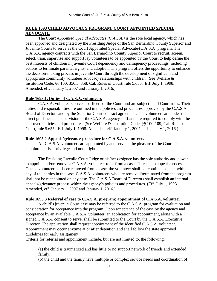## **RULE 1693 CHILD ADVOCACY PROGRAM: COURT APPOINTED SPECIAL ADVOCATE**

The *Court Appointed Special Advocates (C.A.S.A.)* is the sole local agency, which has been approved and designated by the Presiding Judge of the San Bernardino County Superior and Juvenile Courts to serve as the Court Appointed Special Advocate (C.A.S.A) program. The C.A.S.A. agency contracts with the San Bernardino County Superior Court to recruit, screen, select, train, supervise and support lay volunteers to be appointed by the Court to help define the best interests of children in juvenile Court dependency and delinquency proceedings, including actions to terminate parental rights, and adoption. The program offers the opportunity to enhance the decision-making process in juvenile Court through the development of significant and appropriate community volunteer advocacy relationships with children. (See Welfare & Institution Code, §§ 100, 356.5, 358; Cal. Rules of Court, rule 5.655. Eff. July 1, 1998. Amended, eff. January 1, 2007 and January 1, 2016.)

### **Rule 1693.1. Duties of C.A.S.A. volunteers**

C.A.S.A. volunteers serve as officers of the Court and are subject to all Court rules. Their duties and responsibilities are outlined in the policies and procedures approved by the C.A.S.A. Board of Directors and by the Superior Court contract agreement. The volunteers are under the direct guidance and supervision of the C.A.S.A. agency staff and are required to comply with the approved policies and procedures. (See Welfare & Institution Code, §§ 100-109; Cal. Rules of Court, rule 5.655. Eff. July 1, 1998. Amended, eff. January 1, 2007 and January 1, 2016.)

## **Rule 1693.2 Appeals/grievance procedure for C.A.S.A. volunteers**

All C.A.S.A. volunteers are appointed by and serve at the pleasure of the Court. The appointment is a privilege and not a right.

The Presiding Juvenile Court Judge or his/her designee has the sole authority and power to appoint and/or remove a C.A.S.A. volunteer to or from a case. There is no appeals process. Once a volunteer has been removed from a case, the volunteer shall not continue contact with any of the parties in the case. C.A.S.A. volunteers who are removed/terminated from the program shall not be reappointed on any case. The C.A.S.A Board of Directors shall establish an internal appeals/grievance process within the agency's policies and procedures. (Eff. July 1, 1998. Amended, eff. January 1, 2007 and January 1, 2016.)

### **Rule 1693.3 Referral of case to C.A.S.A. program; appointment of C.A.S.A. volunteer**

A child's juvenile Court case may be referred to the C.A.S.A. program for evaluation and consideration for acceptance into the program. Upon acceptance of the case by the agency and acceptance by an available C.A.S.A. volunteer, an application for appointment, along with a signed C.A.S.A. consent to serve, shall be submitted to the Court by the C.A.S.A. Executive Director. The application shall request appointment of the identified C.A.S.A. volunteer. Appointment may occur anytime at or after detention and shall follow the state approved guidelines for early assignment.

Criteria for referral and appointment include, but are not limited to, the following:

(a) the child is traumatized and has little or no support network of friends and extended family;

(b) the child and the family have multiple or complex service needs and coordination of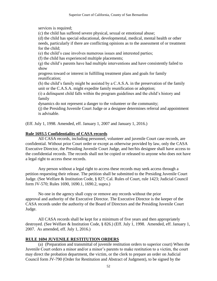services is required;

(c) the child has suffered severe physical, sexual or emotional abuse;

(d) the child has special educational, developmental, medical, mental health or other needs, particularly if there are conflicting opinions as to the assessment of or treatment for the child;

(e) the child's case involves numerous issues and interested parties;

(f) the child has experienced multiple placements;

(g) the child's parents have had multiple interventions and have consistently failed to show

progress toward or interest in fulfilling treatment plans and goals for family reunification;

(h) the child's family might be assisted by a C.A.S.A. in the preservation of the family unit or the C.A.S.A. might expedite family reunification or adoption;

(i) a delinquent child falls within the program guidelines and the child's history and family

dynamics do not represent a danger to the volunteer or the community;

(j) the Presiding Juvenile Court Judge or a designee determines referral and appointment is advisable.

(Eff. July 1, 1998. Amended, eff. January 1, 2007 and January 1, 2016.)

# **Rule 1693.5 Confidentiality of CASA records**

All CASA records, including personnel, volunteer and juvenile Court case records, are confidential. Without prior Court order or except as otherwise provided by law, only the CASA Executive Director, the Presiding Juvenile Court Judge, and her/his designee shall have access to the confidential records. The records shall not be copied or released to anyone who does not have a legal right to access these records.

Any person without a legal right to access these records may seek access through a petition requesting their release. The petition shall be submitted to the Presiding Juvenile Court Judge. (See Welfare & Institution Code, § 827; Cal. Rules of Court, rule 1423; Judicial Council form JV-570; Rules 1690, 1690.1, 1690.2, supra.)

No one in the agency shall copy or remove any records without the prior approval and authority of the Executive Director. The Executive Director is the keeper of the CASA records under the authority of the Board of Directors and the Presiding Juvenile Court Judge.

All CASA records shall be kept for a minimum of five years and then appropriately destroyed. (See Welfare & Institution Code, § 826.) (Eff. July 1, 1998. Amended, eff. January 1, 2007. As amended, eff. July 1, 2016.)

# **RULE 1694 JUVENILE RESTITUTION ORDERS**

(a) (Preparation and transmittal of juvenile restitution orders to superior court) When the Juvenile Court orders a minor and/or a minor's parents to make restitution to a victim, the court may direct the probation department, the victim, or the clerk to prepare an order on Judicial Council form JV-790 (Order for Restitution and Abstract of Judgment), to be signed by the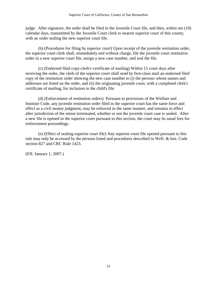judge. After signature, the order shall be filed in the Juvenile Court file, and then, within ten (10) calendar days, transmitted by the Juvenile Court clerk to nearest superior court of this county, with an order sealing the new superior court file.

(b) (Procedures for filing by superior court) Upon receipt of the juvenile restitution order, the superior court clerk shall, immediately and without charge, file the juvenile court restitution order in a new superior court file, assign a new case number, and seal the file.

(c) (Endorsed filed copy-clerk's certificate of mailing) Within 15 court days after receiving the order, the clerk of the superior court shall send by first-class mail an endorsed filed copy of the restitution order showing the new case number to (i) the persons whose names and addresses are listed on the order, and (ii) the originating juvenile court, with a completed clerk's certificate of mailing, for inclusion in the child's file.

(d) (Enforcement of restitution orders) Pursuant to provisions of the Welfare and Institute Code, any juvenile restitution order filed in the superior court has the same force and effect as a civil money judgment, may be enforced in the same manner, and remains in effect after jurisdiction of the minor terminated, whether or not the juvenile court case is sealed. After a new file is opened in the superior court pursuant to this section, the court may its usual fees for enforcement proceedings.

(e) (Effect of sealing superior court file) Any superior court file opened pursuant to this rule may only be accessed by the persons listed and procedures described in Welf. & Inst. Code section 827 and CRC Rule 1423.

(Eff. January 1, 2007.)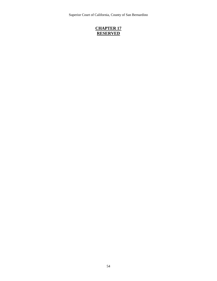Superior Court of California, County of San Bernardino

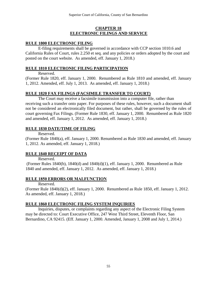### **CHAPTER 18 ELECTRONIC FILINGS AND SERVICE**

## **RULE 1800 ELECTRONIC FILING**

E-filing requirements shall be governed in accordance with CCP section 1010.6 and California Rules of Court, rules 2.250 et seq. and any policies or orders adopted by the court and posted on the court website. As amended, eff. January 1, 2018.)

## **RULE 1810 ELECTRONIC FILING PARTICIPATION**

Reserved.

(Former Rule 1820, eff. January 1, 2000. Renumbered as Rule 1810 and amended, eff. January 1, 2012. Amended, eff. July 1, 2013. As amended, eff. January 1, 2018.)

## **RULE 1820 FAX FILINGS (FACSIMILE TRANSFER TO COURT)**

The Court may receive a facsimile transmission into a computer file, rather than receiving such a transfer onto paper. For purposes of these rules, however, such a document shall not be considered an electronically filed document, but rather, shall be governed by the rules of court governing Fax Filings. (Former Rule 1830, eff. January 1, 2000. Renumbered as Rule 1820 and amended, eff. January 1, 2012. As amended, eff. January 1, 2018.)

## **RULE 1830 DATE/TIME OF FILING**

Reserved.

(Former Rule 1840(a), eff. January 1, 2000. Renumbered as Rule 1830 and amended, eff. January 1, 2012. As amended, eff. January 1, 2018.)

## **RULE 1840 RECEIPT OF DATA**

Reserved.

(Former Rules 1840(b), 1840(d) and 1840(d)(1), eff. January 1, 2000. Renumbered as Rule 1840 and amended, eff. January 1, 2012. As amended, eff. January 1, 2018.)

## **RULE 1850 ERRORS OR MALFUNCTION**

Reserved.

(Former Rule 1840(d)(2), eff. January 1, 2000. Renumbered as Rule 1850, eff. January 1, 2012. As amended, eff. January 1, 2018.)

## **RULE 1860 ELECTRONIC FILING SYSTEM INQUIRIES**

Inquiries, disputes, or complaints regarding any aspect of the Electronic Filing System may be directed to: Court Executive Office, 247 West Third Street, Eleventh Floor, San Bernardino, CA 92415. (Eff. January 1, 2000. Amended, January 1, 2008 and July 1, 2014.)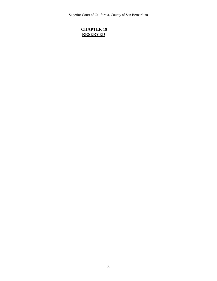Superior Court of California, County of San Bernardino

## **CHAPTER 19 RESERVED**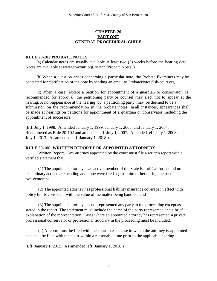### **CHAPTER 20 PART ONE GENERAL PROCEDURAL GUIDE**

#### **RULE 20-102 PROBATE NOTES**

(a) Calendar notes are usually available at least two (2) weeks before the hearing date. Notes are available at [www.sb-court.org,](http://www.sb-court.org/) select "Probate Notes").

(b) When a question arises concerning a particular note, the Probate Examiners may be contacted for clarification of the note by sending an email to [ProbateNotes@sb-court.org.](mailto:ProbateNotes@sb-court.org)

(c) When a case (except a petition for appointment of a guardian or conservator) is recommended for approval, the petitioning party or counsel may elect not to appear at the hearing. A non-appearance at the hearing by a petitioning party may be deemed to be a submission on the recommendation in the probate notes. In all instances, appearances shall be made at hearings on petitions for appointment of a guardian or conservator, including the appointment of successors.

(Eff. July 1, 1998. Amended January 1, 1999, January 1, 2003, and January 1, 2004. Renumbered as Rule 20-102 and amended, eff. July 1, 2007. Amended, eff. July 1, 2008 and July 1, 2013. As amended, eff. January 1, 2018.)

### **RULE 20-106 WRITTEN REPORT FOR APPOINTED ATTORNEYS**

Written Report. Any attorney appointed by the court must file a written report with a verified statement that:

(1) The appointed attorney is an active member of the State Bar of California and no disciplinary actions are pending and none were filed against him or her during the past twelvemonths;

(2) The appointed attorney has professional liability insurance coverage in effect with policy limits consistent with the value of the matter being handled; and

(3) The appointed attorney has not represented any party to the proceeding except as stated in the report. The statement must include the name of the party represented and a brief explanation of the representation. Cases where an appointed attorney has represented a private professional conservator or professional fiduciary in the proceeding must be included.

(4) A report must be filed with the court in each case in which the attorney is appointed and shall be filed with the court within a reasonable time prior to the applicable hearing.

(Eff. January 1, 2015. As amended, eff. January 1, 2018.)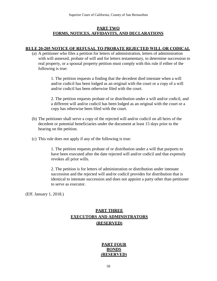### **PART TWO FORMS, NOTICES, AFFIDAVITS, AND DECLARATIONS**

#### **RULE 20-205 NOTICE OF REFUSAL TO PROBATE REJECTED WILL OR CODICAL**

(a) A petitioner who files a petition for letters of administration, letters of administration with will annexed, probate of will and for letters testamentary, to determine succession to real property, or a spousal property petition must comply with this rule if either of the following is true:

> 1. The petition requests a finding that the decedent died intestate when a will and/or codicil has been lodged as an original with the court or a copy of a will and/or codicil has been otherwise filed with the court.

2. The petition requests probate of or distribution under a will and/or codicil, and a different will and/or codicil has been lodged as an original with the court or a copy has otherwise been filed with the court.

- (b) The petitioner shall serve a copy of the rejected will and/or codicil on all heirs of the decedent or potential beneficiaries under the document at least 15 days prior to the hearing on the petition.
- (c) This rule does not apply if any of the following is true:

1. The petition requests probate of or distribution under a will that purports to have been executed after the date rejected will and/or codicil and that expressly revokes all prior wills.

2. The petition is for letters of administration or distribution under intestate succession and the rejected will and/or codicil provides for distribution that is identical to intestate succession and does not appoint a party other than petitioner to serve as executor.

(Eff. January 1, 2018.)

# **PART THREE EXECUTORS AND ADMINISTRATORS (RESERVED)**

#### **PART FOUR BONDS (RESERVED)**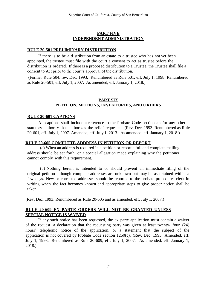### **PART FIVE INDEPENDENT ADMINISTRATION**

#### **RULE 20-501 PRELIMINARY DISTRIBUTION**

If there is to be a distribution from an estate to a trustee who has not yet been appointed, the trustee must file with the court a consent to act as trustee before the distribution is ordered. If there is a proposed distribution to a Trustee, the Trustee shall file a consent to Act prior to the court's approval of the distribution.

(Former Rule 504, rev. Dec. 1993. Renumbered as Rule 501, eff. July 1, 1998. Renumbered as Rule 20-501, eff. July 1, 2007. As amended, eff. January 1, 2018.)

## **PART SIX PETITION, MOTIONS, INVENTORIES, AND ORDERS**

#### **RULE 20-601 CAPTIONS**

All captions shall include a reference to the Probate Code section and/or any other statutory authority that authorizes the relief requested. (Rev. Dec. 1993. Renumbered as Rule 20-601, eff. July 1, 2007. Amended, eff. July 1, 2013. As amended, eff. January 1, 2018.)

#### **RULE 20-605 COMPLETE ADDRESS IN PETITION OR REPORT**

(a) When an address is required in a petition or report a full and complete mailing address should be set forth, or a special allegation made explaining why the petitioner cannot comply with this requirement.

(b) Nothing herein is intended to or should prevent an immediate filing of the original petition although complete addresses are unknown but may be ascertained within a few days. New or corrected addresses should be reported to the probate procedures clerk in writing when the fact becomes known and appropriate steps to give proper notice shall be taken.

(Rev. Dec. 1993. Renumbered as Rule 20-605 and as amended, eff. July 1, 2007.)

#### **RULE 20-609 EX PARTE ORDERS WILL NOT BE GRANTED UNLESS SPECIAL NOTICE IS WAIVED**

If any such notice has been requested, the ex parte application must contain a waiver of the request, a declaration that the requesting party was given at least twenty- four (24) hours' telephonic notice of the application, or a statement that the subject of the application is not covered by Probate Code section 1250(c). (Rev. Dec. 1993. Amended, eff. July 1, 1998. Renumbered as Rule 20-609, eff. July 1, 2007. As amended, eff. January 1, 2018.)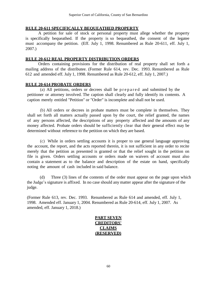#### **RULE 20-611 SPECIFICALLY BEQUEATHED PROPERTY**

A petition for sale of stock or personal property must allege whether the property is specifically bequeathed. If the property is so bequeathed, the consent of the legatee must accompany the petition. (Eff. July 1, 1998. Renumbered as Rule 20-611, eff. July 1, 2007.)

#### **RULE 20-612 REAL PROPERTY DISTRIBUTION ORDERS**

Orders containing provisions for the distribution of real property shall set forth a mailing address of the distributee. (Former Rule 614, rev. Dec. 1993. Renumbered as Rule 612 and amended eff. July 1, 1998. Renumbered as Rule 20-612, eff. July 1, 2007.)

#### **RULE 20-614 PROBATE ORDERS**

(a) All petitions, orders or decrees shall be p r e p a r e d and submitted by the petitioner or attorney involved. The caption shall clearly and fully identify its contents. A caption merely entitled "Petition" or "Order" is incomplete and shall not be used.

(b) All orders or decrees in probate matters must be complete in themselves. They shall set forth all matters actually passed upon by the court, the relief granted, the names of any persons affected, the descriptions of any property affected and the amounts of any money affected. Probate orders should be sufficiently clear that their general effect may be determined without reference to the petition on which they are based.

(c) While in orders settling accounts it is proper to use general language approving the account, the report, and the acts reported therein, it is not sufficient in any order to recite merely that the petition as presented is granted or that the relief sought in the petition on file is given. Orders settling accounts or orders made on waivers of account must also contain a statement as to the balance and description of the estate on hand, specifically noting the amount of cash included in said balance.

 (d) Three (3) lines of the contents of the order must appear on the page upon which the Judge's signature is affixed. In no case should any matter appear after the signature of the judge.

(Former Rule 613, rev. Dec. 1993. Renumbered as Rule 614 and amended, eff. July 1, 1998. Amended eff. January 1, 2004. Renumbered as Rule 20-614, eff. July 1, 2007. As amended, eff. January 1, 2018.)

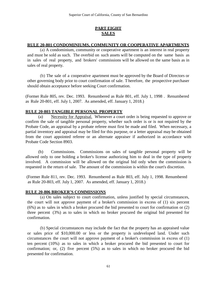# **PART EIGHT SALES**

## **RULE 20-801 CONDOMINIUMS, COMMUNITY OR COOPERATIVE APARTMENTS**

(a) A condominium, community or cooperative apartment is an interest in real property and must be sold as such. The overbid on such assets will be computed on the same basis as in sales of real property, and brokers' commissions will be allowed on the same basis as in sales of real property.

(b) The sale of a cooperative apartment must be approved by the Board of Directors or other governing body prior to court confirmation of sale. T herefore, the prospective purchaser should obtain acceptance before seeking Court confirmation.

(Former Rule 805, rev. Dec. 1993. Renumbered as Rule 801, eff. July 1, 1998 . Renumbered as Rule 20-801, eff. July 1, 2007. As amended, eff. January 1, 2018.)

## **RULE 20-803 TANGIBLE PERSONAL PROPERTY**

(a) Necessity for Appraisal. Whenever a court order is being requested to approve or confirm the sale of tangible personal property, whether such order is or is not required by the Probate Code, an appraisal by a probate referee must first be made and filed. When necessary, a partial inventory and appraisal may be filed for this purpose, or a letter appraisal may be obtained from the court appointed referee or an alternate appraiser if authorized in accordance with Probate Code Section 8903.

(b) Commissions. Commissions on sales of tangible personal property will be allowed only to one holding a broker's license authorizing him to deal in the type of property involved. A commission will be allowed on the original bid only when the commission is requested in the return of sale. The amount of the commission is within the court's discretion.

(Former Rule 811, rev. Dec. 1993. Renumbered as Rule 803, eff. July 1, 1998. Renumbered as Rule 20-803, eff. July 1, 2007. As amended, eff. January 1, 2018.)

### **RULE 20-806 BROKER'S COMMISSIONS**

(a) On sales subject to court confirmation, unless justified by special circumstances, the court will not approve payment of a broker's commission in excess of (1) six percent (6%) as to sales in which a broker procured the bid presented to court for confirmation or (2) three percent (3%) as to sales in which no broker procured the original bid presented for confirmation.

(b) Special circumstances may include the fact that the property has an appraised value or sales price of \$10,000.00 or less or the property is undeveloped land. Under such circumstances the court will not approve payment of a broker's commission in excess of (1) ten percent (10%) as to sales in which a broker procured the bid presented to court for confirmation; or, (2) five percent (5%) as to sales in which no broker procured the bid presented for confirmation.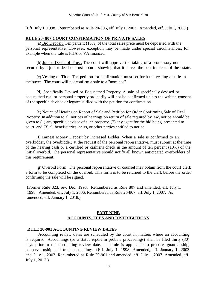(Eff. July 1, 1998. Renumbered as Rule 20-806, eff. July 1, 2007. Amended, eff. July 1, 2008.)

#### **RULE 20- 807 COURT CONFIRMATION OF PRIVATE SALES**

(a) Bid Deposit. Ten percent (10%) of the total sales price must be deposited with the personal representative. However, exception may be made under special circumstances, for example when the sale is FHA or VA financed.

(b) Junior Deeds of Trust. The court will approve the taking of a promissory note secured by a junior deed of trust upon a showing that it serves the best interests of the estate.

(c) Vesting of Title. The petition for confirmation must set forth the vesting of title in the buyer. The court will not confirm a sale to a "nominee".

(d) Specifically Devised or Bequeathed Property. A sale of specifically devised or bequeathed real or personal property ordinarily will not be confirmed unless the written consent of the specific devisee or legatee is filed with the petition for confirmation.

(e) Notice of Hearing on Report of Sale and Petition for Order Confirming Sale of Real Property. In addition to all notices of hearings on return of sale required by law, notice should be given to (1) any specific devisee of such property, (2) any agent for the bid being presented to court, and (3) all beneficiaries, heirs, or other parties entitled to notice.

(f) Earnest Money Deposit by Increased Bidder. When a sale is confirmed to an overbidder, the overbidder, at the request of the personal representative, must submit at the time of the hearing cash or a certified or cashier's check in the amount of ten percent (10%) of the initial overbid. The personal representative should notify all known anticipated overbidders of this requirement.

(g) Overbid Form. The personal representative or counsel may obtain from the court clerk a form to be completed on the overbid. This form is to be returned to the clerk before the order confirming the sale will be signed.

(Former Rule 823, rev. Dec. 1993. Renumbered as Rule 807 and amended, eff. July 1, 1998. Amended, eff. July 1, 2006. Renumbered as Rule 20-807, eff. July 1, 2007. As amended, eff. January 1, 2018.)

### **PART NINE ACCOUNTS, FEES AND DISTRIBUTIONS**

### **RULE 20-901 ACCOUNTING REVIEW DATES**

Accounting review dates are scheduled by the court in matters where an accounting is required. Accountings (or a status report in probate proceedings) shall be filed thirty (30) days prior to the accounting review date. This rule is applicable to probate, guardianship, conservatorship and trust accountings. (Eff. July 1, 1998. Amended, eff. January 1, 2003 and July 1, 2003. Renumbered as Rule 20-901 and amended, eff. July 1, 2007. Amended, eff. July 1, 2013.)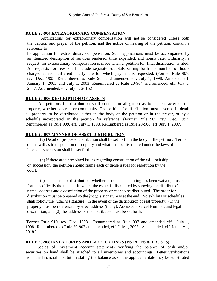## **RULE 20-904 EXTRAORDINARY COMPENSATION**

Applications for extraordinary compensation will not be considered unless both the caption and prayer of the petition, and the notice of hearing of the petition, contain a reference to

he application for extraordinary compensation. Such applications must be accompanied by an itemized description of services rendered, time expended, and hourly rate. Ordinarily, a request for extraordinary compensation is made when a petition for final distribution is filed. All requests for fees shall include separate subtotals setting forth the number of hours charged at each different hourly rate for which payment is requested. (Former Rule 907, rev. Dec. 1993. Renumbered as Rule 904 and amended eff. July 1, 1998. Amended eff. January 1, 2003 and July 1, 2003. Renumbered as Rule 20-904 and amended, eff. July 1, 2007. As amended, eff. July 1, 2016.)

### **RULE 20-906 DESCRIPTION OF ASSETS**

All petitions for distribution shall contain an allegation as to the character of the property, whether separate or community. The petition for distribution must describe in detail all property to be distributed, either in the body of the petition or in the prayer, or by a schedule incorporated in the petition for reference. (Former Rule 909, rev. Dec. 1993. Renumbered as Rule 909, eff. July 1, 1998. Renumbered as Rule 20-906, eff. July 1, 2007.)

## **RULE 20-907 MANNER OF ASSET DISTRIBUTION**

(a) Detail of proposed distribution shall be set forth in the body of the petition. Terms of the will as to disposition of property and what is to be distributed under the laws of intestate succession shall be set forth.

(b) If there are unresolved issues regarding construction of the will, heirship or succession, the petition should frame each of those issues for resolution by the court.

(c) The decree of distribution, whether or not an accounting has been waived, must set forth specifically the manner in which the estate is distributed by showing the distributee's name, address and a description of the property or cash to be distributed. The order for distribution must be prepared so the judge's signature is at the end. No exhibits or schedules shall follow the judge's signature. In the event of the distribution of real property: (1) the property must be referenced by street address (if any), Assessor's Parcel Number, and legal description; and (2) the address of the distributee must be set forth.

(Former Rule 910, rev. Dec. 1993. Renumbered as Rule 907 and amended eff. July 1, 1998. Renumbered as Rule 20-907 and amended, eff. July 1, 2007. As amended, eff. January 1, 2018.)

### **RULE 20-908 INVENTORIES AND ACCOUNTINGS (ESTATES & TRUSTS)**

Copies of investment account statements verifying the balance of cash and/or securities on hand shall be attached to all inventories and accountings. Letter verifications from the financial institution stating the balance as of the applicable date may be substituted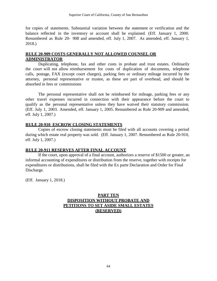for copies of statements. Substantial variation between the statement or verification and the balance reflected in the inventory or account shall be explained. (Eff. January 1, 2000. Renumbered as Rule 20- 908 and amended, eff. July 1, 2007. As amended, eff. January 1, 2018.)

## **RULE 20-909 COSTS GENERALLY NOT ALLOWED COUNSEL OR ADMINISTRATOR**

Duplicating, telephone, fax and other costs in probate and trust estates. Ordinarily the court will not allow reimbursement for costs of duplication of documents, telephone calls, postage, FAX (except court charges), parking fees or ordinary mileage incurred by the attorney, personal representative or trustee, as these are part of overhead, and should be absorbed in fees or commissions

The personal representative shall not be reimbursed for mileage, parking fees or any other travel expenses incurred in connection with their appearance before the court to qualify as the personal representative unless they have waived their statutory commission. (Eff. July 1, 2003. Amended, eff. January 1, 2005. Renumbered as Rule 20-909 and amended, eff. July 1, 2007.)

#### **RULE 20-910 ESCROW CLOSING STATEMENTS**

Copies of escrow closing statements must be filed with all accounts covering a period during which estate real property was sold. (Eff. January 1, 2007. Renumbered as Rule 20-910, eff. July 1, 2007.)

### **RULE 20-911 RESERVES AFTER FINAL ACCOUNT**

If the court, upon approval of a final account, authorizes a reserve of \$1500 or greater, an informal accounting of expenditures or distribution from the reserve, together with receipts for expenditures or distributions, shall be filed with the Ex parte Declaration and Order for Final Discharge.

(Eff. January 1, 2018.)

## **PART TEN DISPOSITION WITHOUT PROBATE AND PETITIONS TO SET ASIDE SMALL ESTATES (RESERVED)**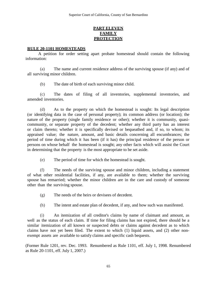## **PART ELEVEN FAMILY PROTECTION**

#### **RULE 20-1101 HOMESTEADS**

A petition for order setting apart probate homestead should contain the following information:

(a) The name and current residence address of the surviving spouse (if any) and of all surviving minor children.

(b) The date of birth of each surviving minor child.

(c) The dates of filing of all inventories, supplemental inventories, and amended inventories.

(d) As to the property on which the homestead is sought: Its legal description (or identifying data in the case of personal property); its common address (or location); the nature of the property (single family residence or other); whether it is community, quasicommunity, or separate property of the decedent; whether any third party has an interest or claim thereto; whether it is specifically devised or bequeathed and, if so, to whom; its appraised value; the nature, amount, and basic details concerning all encumbrances; the period of time during which it has been (if it has) the principal residence of the person or persons on whose behalf the homestead is sought; any other facts which will assist the Court in determining that the property is the most appropriate to be set aside.

(e) The period of time for which the homestead is sought.

(f) The needs of the surviving spouse and minor children, including a statement of what other residential facilities, if any, are available to them; whether the surviving spouse has remarried; whether the minor children are in the care and custody of someone other than the surviving spouse.

(g) The needs of the heirs or devisees of decedent.

(h) The intent and estate plan of decedent, if any, and how such was manifested.

(i) An itemization of all creditor's claims by name of claimant and amount, as well as the status of each claim. If time for filing claims has not expired, there should be a similar itemization of all known or suspected debts or claims against decedent as to which claims have not yet been filed. The extent to which (1) liquid assets, and (2) other nonexempt assets are available to satisfy claims and specific cash bequests.

(Former Rule 1201, rev. Dec. 1993. Renumbered as Rule 1101, eff. July 1, 1998. Renumbered as Rule 20-1101, eff. July 1, 2007.)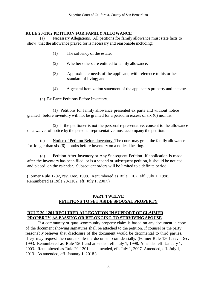## **RULE 20-1102 PETITION FOR FAMILY ALLOWANCE**

(a) Necessary Allegations. All petitions for family allowance must state facts to show that the allowance prayed for is necessary and reasonable including:

- (1) The solvency of the estate;
- (2) Whether others are entitled to family allowance;
- (3) Approximate needs of the applicant, with reference to his or her standard of living; and
- (4) A general itemization statement of the applicant's property and income.
- (b) Ex Parte Petitions Before Inventory.

(1) Petitions for family allowance presented ex parte and without notice granted before inventory will not be granted for a period in excess of six (6) months.

(2) If the petitioner is not the personal representative, consent to the allowance or a waiver of notice by the personal representative must accompany the petition.

(c) Notice of Petition Before Inventory. The court may grant the family allowance for longer than six (6) months before inventory on a noticed hearing.

(d) Petition After Inventory or Any Subsequent Petition. If application is made after the inventory has been filed, or is a second or subsequent petition, it should be noticed and placed on the calendar. Subsequent orders will be limited to a definite period.

(Former Rule 1202, rev. Dec. 1998. Renumbered as Rule 1102, eff. July 1, 1998. Renumbered as Rule 20-1102, eff. July 1, 2007.)

### **PART TWELVE PETITIONS TO SET ASIDE SPOUSAL PROPERTY**

#### **RULE 20-1201 REQUIRED ALLEGATION IN SUPPORT OF CLAIMED PROPERTY AS PASSING OR BELONGING TO SURVIVING SPOUSE**

If a community or quasi-community property claim is based on any document, a copy of the document showing signatures shall be attached to the petition. If counsel or the party reasonably believes that disclosure of the document would be detrimental to third parties, they may request the court to file the document confidentially. (Former Rule 1301, rev. Dec. 1993. Renumbered as Rule 1201 and amended, eff, July 1, 1998. Amended eff. January 1, 2003. Renumbered as Rule 20-1201 and amended, eff. July 1, 2007. Amended, eff. July 1, 2013. As amended, eff. January 1, 2018.)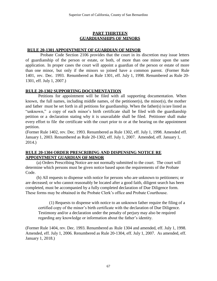## **PART THIRTEEN GUARDIANSHIPS OF MINORS**

## **RULE 20-1301 APPOINTMENT OF GUARDIAN OF MINOR**

Probate Code Section 2106 provides that the court in its discretion may issue letters of guardianship of the person or estate, or both, of more than one minor upon the same application. In proper cases the court will appoint a guardian of the person or estate of more than one minor, but only if the minors so joined have a common parent. (Former Rule 1401, rev. Dec. 1993. Renumbered as Rule 1301, eff. July 1, 1998. Renumbered as Rule 20- 1301, eff. July 1, 2007.)

## **RULE 20-1302 SUPPORTING DOCUMENTATION**

Petitions for appointment will be filed with all supporting documentation. When known, the full names, including middle names, of the petitioner(s), the minor(s), the mother and father must be set forth in all petitions for guardianship. When the father(s) is/are listed as "unknown," a copy of each minor's birth certificate shall be filed with the guardianship petition or a declaration stating why it is unavailable shall be filed. Petitioner shall make every effort to file the certificate with the court prior to or at the hearing on the appointment petition.

(Former Rule 1402, rev. Dec. 1993. Renumbered as Rule 1302, eff. July 1, 1998. Amended eff. January 1, 2003. Renumbered as Rule 20-1302, eff. July 1, 2007. Amended, eff. January 1, 2014.)

## **RULE 20-1304 ORDER PRESCRIBING AND DISPENSING NOTICE RE APPOINTMENT GUARDIAN OF MINOR**

(a) Orders Prescribing Notice are not normally submitted to the court. The court will determine which persons must be given notice based upon the requirements of the Probate Code.

(b) All requests to dispense with notice for persons who are unknown to petitioners; or are deceased; or who cannot reasonably be located after a good faith, diligent search has been completed, must be accompanied by a fully completed declaration of Due Diligence form. These forms may be obtained in the Probate Clerk's office and Probate Courthouse.

(1) Requests to dispense with notice to an unknown father require the filing of a certified copy of the minor's birth certificate with the declaration of Due Diligence. Testimony and/or a declaration under the penalty of perjury may also be required regarding any knowledge or information about the father's identity.

(Former Rule 1404, rev. Dec. 1993. Renumbered as Rule 1304 and amended, eff. July 1, 1998. Amended, eff. July 1, 2006. Renumbered as Rule 20-1304, eff. July 1, 2007. As amended, eff. January 1, 2018.)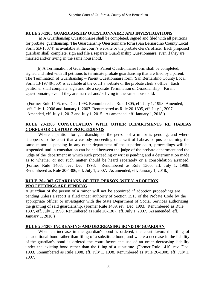## **RULE 20-1305 GUARDIANSHIP QUESTIONNAIRE AND INVESTIGATIONS**

(a) A Guardianship Questionnaire shall be completed, signed and filed with all petitions for probate guardianship. The Guardianship Questionnaire form (San Bernardino County Local Form SB-18074) is available at the court's website or the probate clerk's office. Each proposed guardian shall complete, sign and file a separate Guardianship Questionnaire, even if they are married and/or living in the same household.

(b) A Termination of Guardianship – Parent Questionnaire form shall be completed, signed and filed with all petitions to terminate probate guardianship that are filed by a parent. The Termination of Guardianship – Parent Questionnaire form (San Bernardino County Local Form 13-19740-360) is available at the court's website or the probate clerk's office. Each petitioner shall complete, sign and file a separate Termination of Guardianship – Parent Questionnaire, even if they are married and/or living in the same household.

(Former Rule 1405, rev. Dec. 1993. Renumbered as Rule 1305, eff. July 1, 1998. Amended, eff. July 1, 2006 and January 1, 2007. Renumbered as Rule 20-1305, eff. July 1, 2007. Amended, eff. July 1, 2013 and July 1, 2015. As amended, eff. January 1, 2018.)

## **RULE 20-1306 CONSULTATION WITH OTHER DEPARTMENTS RE HABEAS CORPUS OR CUSTODY PROCEEDINGS**

Where a petition for guardianship of the person of a minor is pending, and where it appears to the court that a custody proceeding or a writ of habeas corpus concerning the same minor is pending in any other department of the superior court, proceedings will be suspended until a consultation can be had between the judge of the probate department and the judge of the department in which such proceeding or writ is pending and a determination made as to whether or not such matter should be heard separately or a consolidation arranged. (Former Rule 1408, rev. Dec. 1993. Renumbered as Rule 1306, eff. July 1, 1998. Renumbered as Rule 20-1306, eff. July 1, 2007. As amended, eff. January 1, 2018.)

### **RULE 20-1307 GUARDIANS OF THE PERSON WHEN ADOPTION PROCEEDINGS ARE PENDING**

A guardian of the person of a minor will not be appointed if adoption proceedings are pending unless a report is filed under authority of Section 1513 of the Probate Code by the appropriate officer or investigator with the State Department of Social Services authorizing the granting of said guardianship. (Former Rule 1409, rev. Dec. 1993. Renumbered as Rule 1307, eff. July 1, 1998. Renumbered as Rule 20-1307, eff. July 1, 2007. As amended, eff. January 1, 2018.)

### **RULE 20-1308 INCREASING AND DECREASING BOND OF GUARDIAN**

When an increase in the guardian's bond is ordered, the court favors the filing of an additional bond rather than filing of a substitute bond; and where a decrease in the liability of the guardian's bond is ordered the court favors the use of an order decreasing liability under the existing bond rather than the filing of a substitute. (Former Rule 1410, rev. Dec. 1993. Renumbered as Rule 1308, eff. July 1, 1998. Renumbered as Rule 20-1308, eff. July 1, 2007.)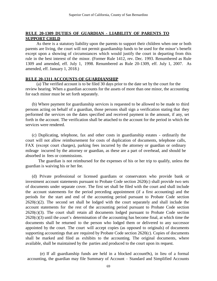## **RULE 20-1309 DUTIES OF GUARDIAN - LIABILITY OF PARENTS TO SUPPORT CHILD**

As there is a statutory liability upon the parents to support their children when one or both parents are living, the court will not permit guardianship funds to be used for the minor's benefit except upon a showing of circumstances which would justify the court in departing from this rule in the best interest of the minor. (Former Rule 1412, rev. Dec. 1993. Renumbered as Rule 1309 and amended, eff. July 1, 1998. Renumbered as Rule 20-1309, eff. July 1, 2007. As amended, eff. January 1, 2018.)

#### **RULE 20-1311 ACCOUNTS OF GUARDIANSHIP**

(a) The verified account is to be filed 30 days prior to the date set by the court for the review hearing. When a guardian accounts for the assets of more than one minor, the accounting for each minor must be set forth separately.

(b) Where payment for guardianship services is requested to be allowed to be made to third persons acting on behalf of a guardian, those persons shall sign a verification stating that they performed the services on the dates specified and received payment in the amount, if any, set forth in the account. The verification shall be attached to the account for the period in which the services were rendered.

(c) Duplicating, telephone, fax and other costs in guardianship estates - ordinarily the court will not allow reimbursement for costs of duplication of documents, telephone calls, FAX (except court charges), parking fees incurred by the attorney or guardian or ordinary mileage incurred by the attorney or guardian, as these are a part of overhead, and should be absorbed in fees or commissions.

The guardian is not reimbursed for the expenses of his or her trip to qualify, unless the guardian is waiving his or her fee.

 (d) Private professional or licensed guardians or conservators who provide bank or investment account statements pursuant to Probate Code section 2620(c) shall provide two sets of documents under separate cover. The first set shall be filed with the court and shall include the account statements for the period preceding appointment (if a first accounting) and the periods for the start and end of the accounting period pursuant to Probate Code section  $2620(c)(2)$ . The second set shall be lodged with the court separately and shall include the account statements for the rest of the accounting period pursuant to Probate Code section  $2620(c)(3)$ . The court shall retain all documents lodged pursuant to Probate Code section  $2620(c)(3)$  until the court's determination of the accounting has become final, at which time the documents shall be returned to the person who lodged them or delivered to any successor appointed by the court. The court will accept copies (as opposed to originals) of documents supporting accountings that are required by Probate Code section 2620(c). Copies of documents shall be marked and filed as exhibits to the accounting. The original documents, where available, shall be maintained by the parties and produced to the court upon its request.

(e) If all guardianship funds are held in a blocked account9s), in lieu of a formal accounting, the guardian may file Summary of Account – Standard and Simplified Accounts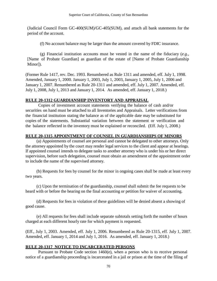(Judicial Council Form GC-400(SUM)/GC-405(SUM), and attach all bank statements for the period of the account.

(f) No account balance may be larger than the amount covered by FDIC insurance.

(g) Financial institution accounts must be vested in the name of the fiduciary (*e.g.*, [Name of Probate Guardian] as guardian of the estate of [Name of Probate Guardianship Minor]).

(Former Rule 1417, rev. Dec. 1993. Renumbered as Rule 1311 and amended, eff. July 1, 1998. Amended, January 1, 2000. January 1, 2003, July 1, 2003, January 1, 2005, July 1, 2006 and January 1, 2007. Renumbered as Rule 20-1311 and amended, eff. July 1, 2007. Amended, eff. July 1, 2008, July 1, 2013 and January 1, 2014. As amended, eff. January 1, 2018.)

## **RULE 20-1312 GUARDIANSHIP INVENTORY AND APPRAISAL**

Copies of investment account statements verifying the balance of cash and/or securities on hand must be attached to all Inventories and Appraisals. Letter verifications from the financial institution stating the balance as of the applicable date may be substituted for copies of the statements. Substantial variation between the statement or verification and the balance reflected in the inventory must be explained or reconciled. (Eff. July 1, 2008.)

### **RULE 20-1315 APPOINTMENT OF COUNSEL IN GUARDIANSHIPS OF MINORS**

(a) Appointments of counsel are personal and cannot be delegated to other attorneys. Only the attorney appointed by the court may render legal services to the client and appear at hearings. If appointed counsel intends to delegate tasks to another attorney who is under his or her direct supervision, before such delegation, counsel must obtain an amendment of the appointment order to include the name of the supervised attorney.

(b) Requests for fees by counsel for the minor in ongoing cases shall be made at least every two years.

(c) Upon the termination of the guardianship, counsel shall submit the fee requests to be heard with or before the hearing on the final accounting or petition for waiver of accounting.

(d) Requests for fees in violation of these guidelines will be denied absent a showing of good cause.

(e) All requests for fees shall include separate subtotals setting forth the number of hours charged at each different hourly rate for which payment is requested.

(Eff., July 1, 2003. Amended, eff. July 1, 2006. Renumbered as Rule 20-1315, eff. July 1, 2007. Amended, eff. January 1, 2014 and July 1, 2016. As amended, eff. January 1, 2018.)

## **RULE 20-1317 NOTICE TO INCARCERATED PERSONS**

Pursuant to Probate Code section 1460(e), when a person who is to receive personal notice of a guardianship proceeding is incarcerated in a jail or prison at the time of the filing of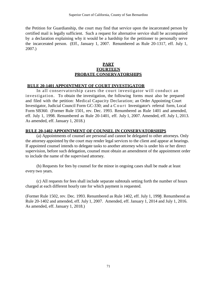the Petition for Guardianship, the court may find that service upon the incarcerated person by certified mail is legally sufficient. Such a request for alternative service shall be accompanied by a declaration explaining why it would be a hardship for the petitioner to personally serve the incarcerated person. (Eff., January 1, 2007. Renumbered as Rule 20-1317, eff. July 1, 2007.)

#### **PART FOURTEEN PROBATE CONSERVATORSHIPS**

#### **RULE 20-1401 APPOINTMENT OF COURT INVESTIGATOR**

In all conservatorship cases the court investigator will conduct an investigation. To obtain the investigation, the following forms must also be prepared and filed with the petition: Medical Capacity Declaration; an Order Appointing Court Investigator, Judicial Council Form GC-330; and a Court Investigator's referral form, Local Form SB360. (Former Rule 1501, rev. Dec. 1993. Renumbered as Rule 1401 and amended, eff. July 1, 1998. Renumbered as Rule 20-1401, eff. July 1, 2007. Amended, eff. July 1, 2013. As amended, eff. January 1, 2018.)

#### **RULE 20-1402 APPOINTMENT OF COUNSEL IN CONSERVATORSHIPS**

(a) Appointments of counsel are personal and cannot be delegated to other attorneys. Only the attorney appointed by the court may render legal services to the client and appear at hearings. If appointed counsel intends to delegate tasks to another attorney who is under his or her direct supervision, before such delegation, counsel must obtain an amendment of the appointment order to include the name of the supervised attorney.

(b) Requests for fees by counsel for the minor in ongoing cases shall be made at least every two years.

(c) All requests for fees shall include separate subtotals setting forth the number of hours charged at each different hourly rate for which payment is requested.

(Former Rule 1502, rev. Dec. 1993. Renumbered as Rule 1402, eff. July 1, 1998. Renumbered as Rule 20-1402 and amended, eff. July 1, 2007. Amended, eff. January 1, 2014 and July 1, 2016. As amended, eff. January 1, 2018.)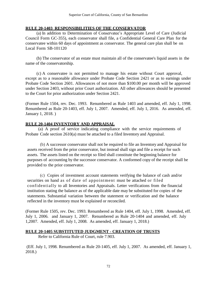### **RULE 20-1403 RESPONSIBILITIES OF THE CONSERVATOR**

(a) In addition to Determination of Conservatee's Appropriate Level of Care (Judicial Council Form GC-355), each conservator shall file, a Confidential General Care Plan for the conservatee within 60 days of appointment as conservator. The general care plan shall be on Local Form SB-101120

(b) The conservator of an estate must maintain all of the conservatee's liquid assets in the name of the conservatorship.

(c) A conservatee is not permitted to manage his estate without Court approval, except as to a reasonable allowance under Probate Code Section 2421 or as to earnings under Probate Code Section 2601. Allowances of not more than \$100.00 per month will be approved under Section 2403, without prior Court authorization. All other allowances should be presented to the Court for prior authorization under Section 2421.

(Former Rule 1504, rev. Dec. 1993. Renumbered as Rule 1403 and amended, eff. July 1, 1998. Renumbered as Rule 20-1403, eff. July 1, 2007. Amended, eff. July 1, 2016. As amended, eff. January 1, 2018. )

## **RULE 20-1404 INVENTORY AND APPRAISAL**

(a) A proof of service indicating compliance with the service requirements of Probate Code section 2610(a) must be attached to a filed Inventory and Appraisal.

(b) A successor conservator shall not be required to file an Inventory and Appraisal for assets received from the prior conservator, but instead shall sign and file a receipt for such assets. The assets listed on the receipt so filed shall constitute the beginning balance for purposes of accounting by the successor conservator. A conformed copy of the receipt shall be provided to the prior conservator.

(c) Copies of investment account statements verifying the balance of cash and/or securities on hand as of date of appointment must be attached or filed confidentially to all Inventories and Appraisals. Letter verifications from the financial institution stating the balance as of the applicable date may be substituted for copies of the statements. Substantial variation between the statement or verification and the balance reflected in the inventory must be explained or reconciled.

(Former Rule 1505, rev. Dec. 1993. Renumbered as Rule 1404, eff. July 1, 1998. Amended, eff. July 1, 2006. and January 1, 2007. Renumbered as Rule 20-1404 and amended, eff. July 1,2007. Amended, eff. July 1, 2008. As amended, eff. January 1, 2018.)

# **RULE 20-1405 SUBSTITUTED JUDGMENT - CREATION OF TRUSTS**

Refer to California Rule of Court, rule 7.903.

(Eff. July 1, 1998. Renumbered as Rule 20-1405, eff. July 1, 2007. As amended, eff. January 1, 2018.)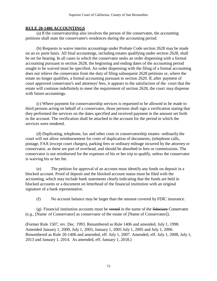#### **RULE 20-1406 ACCOUNTINGS**

(a) If the conservatorship also involves the person of the conservatee, the accounting petitions shall state the conservatee's residences during the accounting period.

(b) Requests to waive interim accountings under Probate Code section 2628 may be made on an ex parte basis. All final accountings, including estates qualifying under section 2628, shall be set for hearing. In all cases in which the conservator seeks an order dispensing with a formal accounting pursuant to section 2628, the beginning and ending dates of the accounting period sought to be waived must be specified. An order dispensing with the filing of a formal accounting does not relieve the conservator from the duty of filing subsequent 2628 petitions or, where the estate no longer qualifies, a formal accounting pursuant to section 2620. If, after payment of court approved conservator's and attorneys' fees, it appears to the satisfaction of the court that the estate will continue indefinitely to meet the requirement of section 2628, the court may dispense with future accountings.

(c) Where payment for conservatorship services is requested to be allowed to be made to third persons acting on behalf of a conservator, those persons shall sign a verification stating that they performed the services on the dates specified and received payment in the amount set forth in the account. The verification shall be attached to the account for the period in which the services were rendered.

(d) Duplicating, telephone, fax and other costs in conservatorship estates- ordinarily the court will not allow reimbursement for costs of duplication of documents, (telephone calls, postage, FAX (except court charges), parking fees or ordinary mileage incurred by the attorney or conservator, as these are part of overhead, and should be absorbed in fees or commissions. The conservator is not reimbursed for the expenses of his or her trip to qualify, unless the conservator is waiving his or her fee.

(e) The petition for approval of an account must identify any funds on deposit in a blocked account. Proof of deposit and the blocked account status must be filed with the accounting, which may include bank statements clearly indicating that the funds are held in blocked accounts or a document on letterhead of the financial institution with an original signature of a bank representative.

(f) No account balance may be larger than the amount covered by FDIC insurance.

 $(g)$  Financial institution accounts must be vested in the name of the fiduciary Conservator (*e.g.*, [Name of Conservator] as conservator of the estate of [Name of Conservatee]).

(Former Rule 1507, rev. Dec. 1993. Renumbered as Rule 1406 and amended, July 1, 1998. Amended January 1, 2000, July 1, 2003, January 1, 2005 July 1, 2005 and July 1, 2006. Renumbered as Rule 20-1406 and amended, eff. July 1, 2007. Amended, eff. July 1, 2008, July 1, 2013 and January 1, 2014. As amended, eff. January 1, 2018.)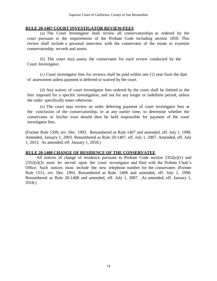#### **RULE 20-1407 COURT INVESTIGATOR REVIEW/FEES**

(a) The Court Investigator shall review all conservatorships as ordered by the court pursuant to the requirements of the Probate Code including section 1850. This review shall include a personal interview with the conservator of the estate to examine conservatorship records and assets.

(b) The court may assess the conservatee for each review conducted by the Court Investigator.

(c) Court investigator fees for reviews shall be paid within one (1) year from the date of assessment unless payment is deferred or waived by the court.

(d) Any waiver of court investigator fees ordered by the court shall be limited to the fees imposed for a specific investigation, and not for any longer or indefinite period, unless the order specifically states otherwise.

(e) The court may review an order deferring payment of court investigator fees at the conclusion of the conservatorship, or at any earlier time, to determine whether the conservatee or his/her trust should then be held responsible for payment of the court investigator fees.

(Former Rule 1509, rev. Dec. 1993. Renumbered as Rule 1407 and amended, eff. July 1, 1998. Amended, January 1, 2003. Renumbered as Rule 20-1407, eff. July 1, 2007. Amended, eff. July 1, 2013. As amended, eff. January 1, 2018.)

#### **RULE 20-1408 CHANGE OF RESIDENCE OF THE CONSERVATEE**

All notices of change of residence pursuant to Probate Code section 2352(e)(1) and 2352(e)(3) must be served upon the court investigator and filed with the Probate Clerk's Office. Such notices must include the new telephone number for the conservatee. (Former Rule 1511, rev. Dec. 1993. Renumbered as Rule 1408 and amended, eff. July 1, 1998. Renumbered as Rule 20-1408 and amended, eff. July 1, 2007. As amended, eff. January 1, 2018.)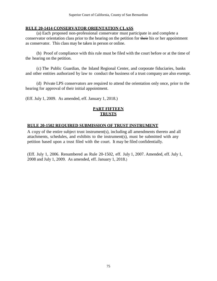#### **RULE 20-1414 CONSERVATOR ORIENTATION CLASS**

(a) Each proposed non-professional conservator must participate in and complete a conservator orientation class prior to the hearing on the petition for their his or her appointment as conservator. This class may be taken in person or online.

(b) Proof of compliance with this rule must be filed with the court before or at the time of the hearing on the petition.

(c) The Public Guardian, the Inland Regional Center, and corporate fiduciaries, banks and other entities authorized by law to conduct the business of a trust company are also exempt.

(d) Private LPS conservators are required to attend the orientation only once, prior to the hearing for approval of their initial appointment.

(Eff. July 1, 2009. As amended, eff. January 1, 2018.)

## **PART FIFTEEN TRUSTS**

#### **RULE 20-1502 REQUIRED SUBMISSION OF TRUST INSTRUMENT**

A copy of the entire subject trust instrument(s), including all amendments thereto and all attachments, schedules, and exhibits to the instrument(s), must be submitted with any petition based upon a trust filed with the court. It may be filed confidentially.

(Eff. July 1, 2006. Renumbered as Rule 20-1502, eff. July 1, 2007. Amended, eff. July 1, 2008 and July 1, 2009. As amended, eff. January 1, 2018.)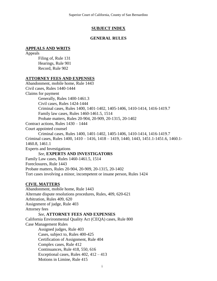#### **SUBJECT INDEX**

#### **GENERAL RULES**

#### **APPEALS AND WRITS**

Appeals Filing of, Rule 131 Hearings, Rule 901 Record, Rule 902

#### **ATTORNEY FEES AND EXPENSES**

Abandonment, mobile home, Rule 1443 Civil cases, Rules 1440-1444 Claims for payment Generally, Rules 1400-1461.3 Civil cases, Rules 1424-1444 Criminal cases, Rules 1400, 1401-1402, 1405-1406, 1410-1414, 1416-1419.7 Family law cases, Rules 1460-1461.5, 1514 Probate matters, Rules 20-904, 20-909, 20-1315, 20-1402 Contract actions, Rules 1430 – 1444 Court appointed counsel Criminal cases, Rules 1400, 1401-1402, 1405-1406, 1410-1414, 1416-1419.7 Criminal cases, Rules 1400, 1410 – 1416, 1418 – 1419, 1440, 1443, 1451.1-1451.6, 1460.1- 1460.8, 1461.1 Experts and Investigations *See,* **EXPERTS AND INVESTIGATORS** Family Law cases, Rules 1460-1461.5, 1514 Foreclosures, Rule 1443 Probate matters, Rules 20-904, 20-909, 20-1315, 20-1402 Tort cases involving a minor, incompetent or insane person, Rules 1424 **CIVIL MATTERS** Abandonment, mobile home, Rule 1443

Alternate dispute resolutions procedures, Rules, 409, 620-621 Arbitration, Rules 409, 620 Assignment of judge, Rule 403 Attorney fees *See,* **ATTORNEY FEES AND EXPENSES** California Environmental Quality Act (CEQA) cases, Rule 800

Case Management Rules Assigned judges, Rule 403 Cases, subject to, Rules 400-425 Certification of Assignment, Rule 404 Complex cases, Rule 412 Continuances, Rule 418, 550, 616 Exceptional cases, Rules 402, 412 – 413 Motions in Limine, Rule 415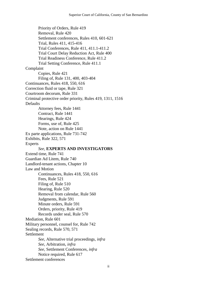Priority of Orders, Rule 419 Removal, Rule 420 Settlement conferences, Rules 410, 601-621 Trial, Rules 411, 415-416 Trial Conferences, Rule 411, 411.1-411.2 Trial Court Delay Reduction Act, Rule 400 Trial Readiness Conference, Rule 411.2 Trial Setting Conference, Rule 411.1 Complaint Copies, Rule 421 Filing of, Rule 131, 400, 403-404 Continuances, Rules 418, 550, 616 Correction fluid or tape, Rule 321 Courtroom decorum, Rule 331 Criminal protective order priority, Rules 419, 1311, 1516 **Defaults** Attorney fees, Rule 1441 Contract, Rule 1441 Hearings, Rule 424 Forms, use of, Rule 425 Note, action on Rule 1441 Ex parte applications, Rule 731-742 Exhibits, Rule 322, 571 Experts *See*, **EXPERTS AND INVESTIGATORS** Extend time, Rule 741 Guardian Ad Litem, Rule 740 Landlord-tenant actions, Chapter 10 Law and Motion Continuances, Rules 418, 550, 616 Fees, Rule 521 Filing of, Rule 510 Hearing, Rule 520 Removal from calendar, Rule 560 Judgments, Rule 591 Minute orders, Rule 591 Orders, priority, Rule 419 Records under seal, Rule 570 Mediation, Rule 601 Military personnel, counsel for, Rule 742 Sealing records, Rule 570, 571 Settlement *See,* Alternative trial proceedings*, infra See,* Arbitration*, infra See,* Settlement Conferences*, infra* Notice required, Rule 617 Settlement conferences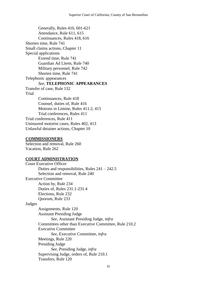Generally, Rules 410, 601-621 Attendance, Rule 611, 615 Continuances, Rules 418, 616 Shorten time, Rule 741 Small claims actions, Chapter 11 Special applications Extend time, Rule 741 Guardian Ad Litem, Rule 740 Military personnel, Rule 742 Shorten time, Rule 741 Telephonic appearances *See,* **TELEPHONIC APPEARANCES** Transfer of case, Rule 132 Trial Continuances, Rule 418 Counsel, duties of, Rule 416 Motions in Limine, Rules 411.2, 415 Trial conferences, Rules 411 Trial conferences, Rule 411 Uninsured motorist cases, Rules 402, 413 Unlawful detainer actions, Chapter 10

#### **COMMISSIONERS**

Selection and removal, Rule 260 Vacation, Rule 262

#### **COURT ADMINISTRATION**

Court Executive Officer Duties and responsibilities, Rules 241 – 242.5 Selection and removal, Rule 240 Executive Committee Action by, Rule 234 Duties of, Rules 231.1-231.4 Elections, Rule 232 Quorum, Rule 233 Judges Assignments, Rule 120 Assistant Presiding Judge *See*, Assistant Presiding Judge, *infra*  Committees other than Executive Committee, Rule 210.2 Executive Committee *See*, Executive Committee*, infra*  Meetings, Rule 220 Presiding Judge *See*, Presiding Judge, *infra*  Supervising Judge, orders of, Rule 210.1 Transfers, Rule 120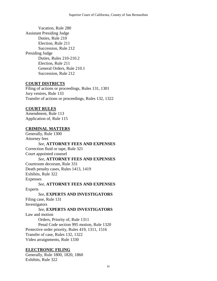Vacation, Rule 280 Assistant Presiding Judge Duties, Rule 210 Election, Rule 211 Succession, Rule 212 Presiding Judge Duties, Rules 210-210.2 Election, Rule 211 General Orders, Rule 210.1 Succession, Rule 212

#### **COURT DISTRICTS**

Filing of actions or proceedings, Rules 131, 1301 Jury venires, Rule 133 Transfer of actions or proceedings, Rules 132, 1322

#### **COURT RULES**

Amendment, Rule 113 Application of, Rule 115

### **CRIMINAL MATTERS**

Generally, Rule 1300 Attorney fees *See,* **ATTORNEY FEES AND EXPENSES** Correction fluid or tape, Rule 321 Court appointed counsel *See,* **ATTORNEY FEES AND EXPENSES** Courtroom decorum, Rule 331 Death penalty cases, Rules 1413, 1419 Exhibits, Rule 322 Expenses *See,* **ATTORNEY FEES AND EXPENSES** Experts *See*, **EXPERTS AND INVESTIGATORS** Filing case, Rule 131 Investigators *See*, **EXPERTS AND INVESTIGATORS** Law and motion Orders, Priority of, Rule 1311 Penal Code section 995 motion, Rule 1320 Protective order priority, Rules 419, 1311, 1516 Transfer of case, Rules 132, 1322 Video arraignments, Rule 1330

### **ELECTRONIC FILING**

Generally, Rule 1800, 1820, 1860 Exhibits, Rule 322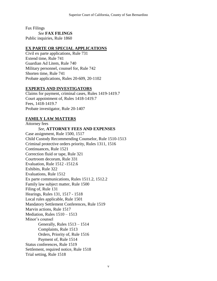Fax Filings *See* **FAX FILINGS** Public inquiries, Rule 1860

### **EX PARTE OR SPECIAL APPLICATIONS**

Civil ex parte applications, Rule 731 Extend time, Rule 741 Guardian Ad Litem, Rule 740 Military personnel, counsel for, Rule 742 Shorten time, Rule 741 Probate applications, Rules 20-609, 20-1102

#### **EXPERTS AND INVESTIGATORS**

Claims for payment, criminal cases, Rules 1419-1419.7 Court appointment of, Rules 1418-1419.7 Fees, 1418-1419.7 Probate investigator, Rule 20-1407

## **FAMILY LAW MATTERS**

Attorney fees *See*, **ATTORNEY FEES AND EXPENSES** Case assignment, Rule 1500, 1517 Child Custody Recommending Counselor, Rule 1510-1513 Criminal protective orders priority, Rules 1311, 1516 Continuances, Rule 1521 Correction fluid or tape, Rule 321 Courtroom decorum, Rule 331 Evaluation, Rule 1512 -1512.6 Exhibits, Rule 322 Evaluations, Rule 1512 Ex parte communications, Rules 1511.2, 1512.2 Family law subject matter, Rule 1500 Filing of, Rule 131 Hearings, Rules 131, 1517 - 1518 Local rules applicable, Rule 1501 Mandatory Settlement Conferences, Rule 1519 Marvin actions, Rule 1517 Mediation, Rules 1510 – 1513 Minor's counsel Generally, Rules 1513 – 1514 Complaints, Rule 1513 Orders, Priority of, Rule 1516 Payment of, Rule 1514 Status conferences, Rule 1519 Settlement, required notice, Rule 1518 Trial setting, Rule 1518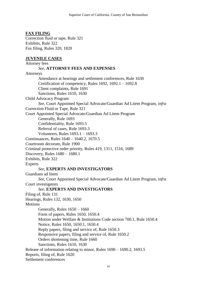## **FAX FILING**

Correction fluid or tape, Rule 321 Exhibits, Rule 322 Fax filing, Rules 320, 1820

#### **JUVENILE CASES**

Attorney fees *See*, **ATTORNEY FEES AND EXPENSES** Attorneys Attendance at hearings and settlement conferences, Rule 1630 Certification of competency, Rules 1692, 1692.1 – 1692.8 Client complaints, Rule 1691 Sanctions, Rules 1610, 1630 Child Advocacy Program *See,* Court Appointed Special Advocate/Guardian Ad Litem Program, *infra* Correction Fluid or Tape, Rule 321 Court Appointed Special Advocate/Guardian Ad Litem Program Generally, Rule 1693 Confidentiality, Rule 1693.5 Referral of cases, Rule 1693.3 Volunteers, Rules 1693.1 – 1693.3 Continuances, Rules 1640 – 1640.2, 1670.5 Courtroom decorum, Rule 1900 Criminal protective order priority, Rules 419, 1311, 1516, 1689 Discovery, Rules 1680 – 1680.1 Exhibits, Rule 322 Experts *See*, **EXPERTS AND INVESTIGATORS** Guardians ad litem *See,* Court Appointed Special Advocate/Guardian Ad Litem Program, *infra* Court investigators *See*, **EXPERTS AND INVESTIGATORS** Filing of, Rule 131 Hearings, Rules 132, 1630, 1650 **Motions** Generally, Rules 1650 – 1660 Form of papers, Rules 1650, 1650.4 Motion under Welfare & Institutions Code section 700.1, Rule 1650.4 Notice, Rules 1650, 1650.1, 1650.4 Reply papers, filing and service of, Rule 1650.3 Responsive papers, filing and service of, Rule 1650.2 Orders shortening time, Rule 1660 Sanctions, Rules 1610, 1630 Release of information relating to minor, Rules 1690 – 1690.2, 1693.5 Reports, filing of, Rule 1620 Settlement conferences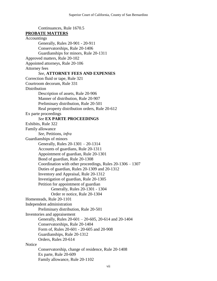Continuances, Rule 1670.5 **PROBATE MATTERS Accountings** Generally, Rules 20-901 - 20-911 Conservatorships, Rule 20-1406 Guardianships for minors, Rule 20-1311 Approved matters, Rule 20-102 Appointed attorneys, Rule 20-106 Attorney fees *See*, **ATTORNEY FEES AND EXPENSES** Correction fluid or tape, Rule 321 Courtroom decorum, Rule 331 **Distribution** Description of assets, Rule 20-906 Manner of distribution, Rule 20-907 Preliminary distribution, Rule 20-501 Real property distribution orders, Rule 20-612 Ex parte proceedings *See* **EX PARTE PROCEEDINGS** Exhibits, Rule 322 Family allowance *See*, Petitions, *infra* Guardianships of minors Generally, Rules 20-1301 – 20-1314 Accounts of guardians, Rule 20-1311 Appointment of guardian, Rule 20-1301 Bond of guardian, Rule 20-1308 Coordination with other proceedings, Rules 20-1306 – 1307 Duties of guardian, Rules 20-1309 and 20-1312 Inventory and Appraisal, Rule 20-1312 Investigation of guardian, Rule 20-1305 Petition for appointment of guardian Generally, Rules 20-1301 - 1304 Order re notice, Rule 20-1304 Homesteads, Rule 20-1101 Independent administration Preliminary distribution, Rule 20-501 Inventories and appraisement Generally, Rules 20-601 – 20-605, 20-614 and 20-1404 Conservatorships, Rule 20-1404 Form of, Rules 20-601 - 20-605 and 20-908 Guardianships, Rule 20-1312 Orders, Rules 20-614 **Notice** Conservatorship, change of residence, Rule 20-1408 Ex parte, Rule 20-609

Family allowance, Rule 20-1102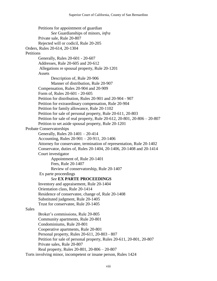Petitions for appointment of guardian *See* Guardianships of minors, *infra* Private sale, Rule 20-807 Rejected will or codicil, Rule 20-205 Orders, Rules 20-614, 20-1304 **Petitions** Generally, Rules 20-601 - 20-607 Addresses, Rule 20-605 and 20-612 Allegations re spousal property, Rule 20-1201 Assets Description of, Rule 20-906 Manner of distribution, Rule 20-907 Compensation, Rules 20-904 and 20-909 Form of, Rules 20-601 - 20-605 Petition for distribution, Rules 20-901 and 20-904 - 907 Petition for extraordinary compensation, Rule 20-904 Petition for family allowance, Rule 20-1102 Petition for sale of personal property, Rule 20-611, 20-803 Petition for sale of real property, Rule 20-612, 20-801, 20-806 – 20-807 Petition to set aside spousal property, Rule 20-1201 Probate Conservatorships Generally, Rules 20-1401 – 20-414 Accounting, Rules 20-901 – 20-911, 20-1406 Attorney for conservatee, termination of representation, Rule 20-1402 Conservator, duties of, Rules 20-1404, 20-1406, 20-1408 and 20-1414 Court investigator Appointment of, Rule 20-1401 Fees, Rule 20-1407 Review of conservatorship, Rule 20-1407 Ex parte proceedings *See* **EX PARTE PROCEEDINGS** Inventory and appraisement, Rule 20-1404 Orientation class, Rule 20-1414 Residence of conservatee, change of, Rule 20-1408 Substituted judgment, Rule 20-1405 Trust for conservatee, Rule 20-1405 **Sales** Broker's commissions, Rule 20-805 Community apartments, Rule 20-801 Condominiums, Rule 20-801 Cooperative apartments, Rule 20-801 Personal property, Rules 20-611, 20-803 - 807 Petition for sale of personal property, Rules 20-611, 20-801, 20-807 Private sales, Rule 20-807 Real property, Rules 20-801, 20-806 – 20-807 Torts involving minor, incompetent or insane person, Rules 1424